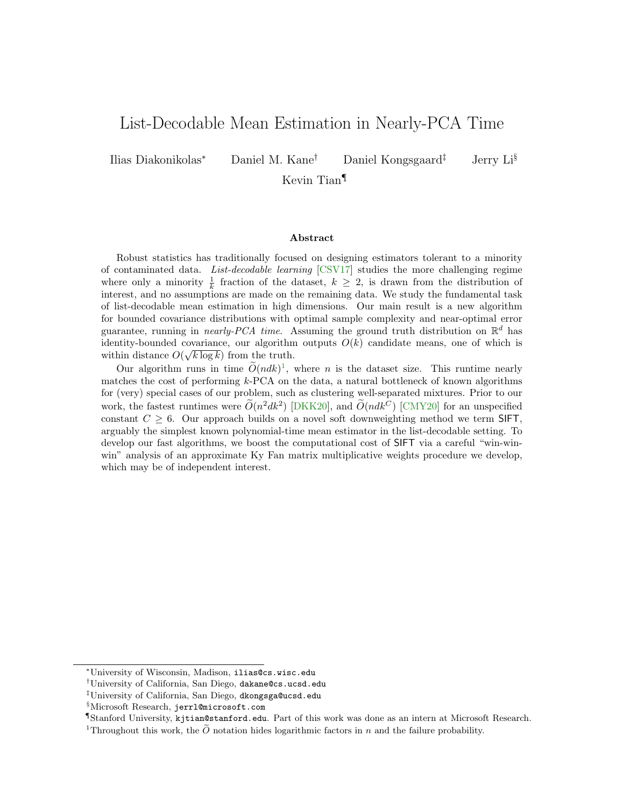# <span id="page-0-1"></span>List-Decodable Mean Estimation in Nearly-PCA Time

Ilias Diakonikolas<sup>∗</sup> Daniel M. Kane† Daniel Kongsgaard‡ Jerry Li§

Kevin Tian¶

#### Abstract

Robust statistics has traditionally focused on designing estimators tolerant to a minority of contaminated data. List-decodable learning [\[CSV17\]](#page-52-0) studies the more challenging regime where only a minority  $\frac{1}{k}$  fraction of the dataset,  $k \geq 2$ , is drawn from the distribution of interest, and no assumptions are made on the remaining data. We study the fundamental task of list-decodable mean estimation in high dimensions. Our main result is a new algorithm for bounded covariance distributions with optimal sample complexity and near-optimal error guarantee, running in *nearly-PCA time*. Assuming the ground truth distribution on  $\mathbb{R}^d$  has identity-bounded covariance, our algorithm outputs  $O(k)$  candidate means, one of which is within distance  $O(\sqrt{k \log k})$  from the truth.

Our algorithm runs in time  $\widetilde{O}(ndk)^1$  $\widetilde{O}(ndk)^1$ , where *n* is the dataset size. This runtime nearly matches the cost of performing k-PCA on the data, a natural bottleneck of known algorithms for (very) special cases of our problem, such as clustering well-separated mixtures. Prior to our work, the fastest runtimes were  $\tilde{O}(n^2 d k^2)$  [\[DKK20\]](#page-53-0), and  $\tilde{O}(nd k^C)$  [\[CMY20\]](#page-52-1) for an unspecified constant  $C > 6$ . Our approach builds on a novel soft downweighting method we term SIFT, arguably the simplest known polynomial-time mean estimator in the list-decodable setting. To develop our fast algorithms, we boost the computational cost of SIFT via a careful "win-winwin" analysis of an approximate Ky Fan matrix multiplicative weights procedure we develop, which may be of independent interest.

<sup>∗</sup>University of Wisconsin, Madison, ilias@cs.wisc.edu

<sup>†</sup>University of California, San Diego, dakane@cs.ucsd.edu

<sup>‡</sup>University of California, San Diego, dkongsga@ucsd.edu

<sup>§</sup>Microsoft Research, jerrl@microsoft.com

<sup>¶</sup>Stanford University, kjtian@stanford.edu. Part of this work was done as an intern at Microsoft Research.

<span id="page-0-0"></span><sup>&</sup>lt;sup>1</sup>Throughout this work, the  $\tilde{O}$  notation hides logarithmic factors in n and the failure probability.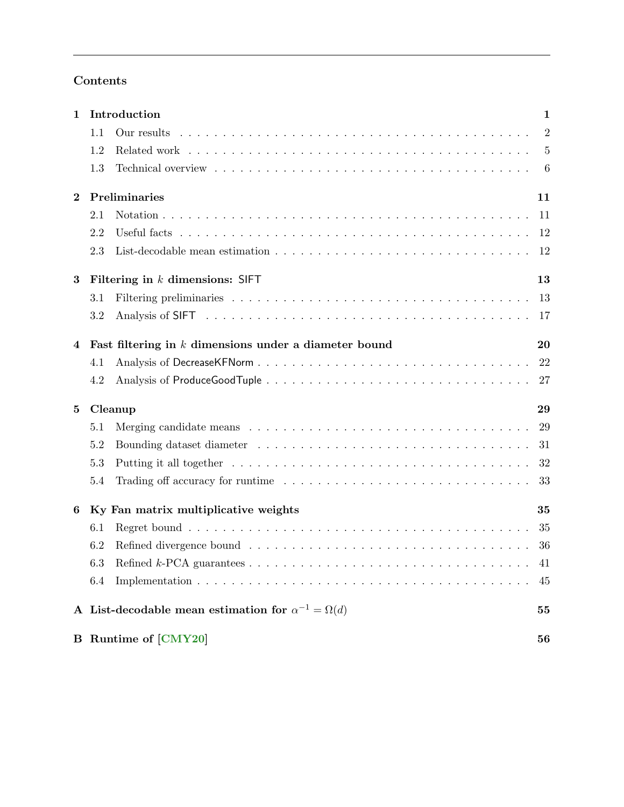# Contents

| $\mathbf{1}$        | Introduction                                                   | $\mathbf{1}$   |
|---------------------|----------------------------------------------------------------|----------------|
|                     | 1.1<br>Our results                                             | $\overline{2}$ |
|                     | 1.2                                                            | $\overline{5}$ |
|                     | 1.3                                                            | 6              |
| $\bf{2}$            | Preliminaries                                                  | 11             |
|                     | 2.1                                                            | 11             |
|                     | 2.2                                                            | 12             |
|                     | 2.3                                                            | 12             |
| 3                   | Filtering in $k$ dimensions: SIFT                              | 13             |
|                     | 3.1                                                            | 13             |
|                     | 3.2                                                            | 17             |
| 4                   | Fast filtering in $k$ dimensions under a diameter bound        | 20             |
|                     | 4.1                                                            | 22             |
|                     | 4.2                                                            | 27             |
| Cleanup<br>$\bf{5}$ |                                                                | 29             |
|                     | 5.1                                                            | 29             |
|                     | 5.2                                                            | 31             |
|                     | 5.3                                                            | 32             |
|                     | 5.4                                                            | 33             |
| 6                   | Ky Fan matrix multiplicative weights                           | 35             |
|                     | 6.1                                                            | 35             |
|                     | 6.2                                                            | 36             |
|                     |                                                                | 41             |
|                     | 6.4                                                            | 45             |
|                     | A List-decodable mean estimation for $\alpha^{-1} = \Omega(d)$ | 55             |
|                     | <b>B</b> Runtime of [CMY20]                                    | 56             |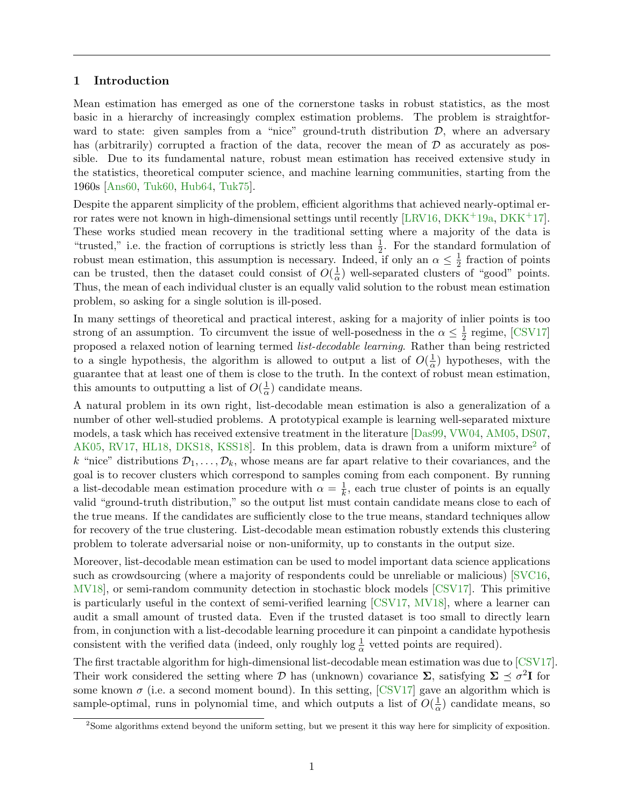## <span id="page-2-0"></span>1 Introduction

Mean estimation has emerged as one of the cornerstone tasks in robust statistics, as the most basic in a hierarchy of increasingly complex estimation problems. The problem is straightforward to state: given samples from a "nice" ground-truth distribution  $D$ , where an adversary has (arbitrarily) corrupted a fraction of the data, recover the mean of  $D$  as accurately as possible. Due to its fundamental nature, robust mean estimation has received extensive study in the statistics, theoretical computer science, and machine learning communities, starting from the 1960s [\[Ans60,](#page-52-2) [Tuk60,](#page-55-0) [Hub64,](#page-54-0) [Tuk75\]](#page-55-1).

Despite the apparent simplicity of the problem, efficient algorithms that achieved nearly-optimal er-ror rates were not known in high-dimensional settings until recently [\[LRV16,](#page-54-1) [DKK](#page-53-2)+19a, DKK+17]. These works studied mean recovery in the traditional setting where a majority of the data is "trusted," i.e. the fraction of corruptions is strictly less than  $\frac{1}{2}$ . For the standard formulation of robust mean estimation, this assumption is necessary. Indeed, if only an  $\alpha \leq \frac{1}{2}$  $\frac{1}{2}$  fraction of points can be trusted, then the dataset could consist of  $O(\frac{1}{\alpha})$  $\frac{1}{\alpha}$ ) well-separated clusters of "good" points. Thus, the mean of each individual cluster is an equally valid solution to the robust mean estimation problem, so asking for a single solution is ill-posed.

In many settings of theoretical and practical interest, asking for a majority of inlier points is too strong of an assumption. To circumvent the issue of well-posedness in the  $\alpha \leq \frac{1}{2}$  $\frac{1}{2}$  regime, [\[CSV17\]](#page-52-0) proposed a relaxed notion of learning termed list-decodable learning. Rather than being restricted to a single hypothesis, the algorithm is allowed to output a list of  $O(\frac{1}{\alpha})$  $\frac{1}{\alpha}$ ) hypotheses, with the guarantee that at least one of them is close to the truth. In the context of robust mean estimation, this amounts to outputting a list of  $O(\frac{1}{\alpha})$  $\frac{1}{\alpha}$ ) candidate means.

A natural problem in its own right, list-decodable mean estimation is also a generalization of a number of other well-studied problems. A prototypical example is learning well-separated mixture models, a task which has received extensive treatment in the literature [\[Das99,](#page-52-3) [VW04,](#page-55-2) [AM05,](#page-52-4) [DS07,](#page-53-3) [AK05,](#page-52-5) [RV17,](#page-55-3) [HL18,](#page-53-4) [DKS18,](#page-53-5) KSS18. In this problem, data is drawn from a uniform mixture<sup>[2](#page-2-1)</sup> of k "nice" distributions  $\mathcal{D}_1, \ldots, \mathcal{D}_k$ , whose means are far apart relative to their covariances, and the goal is to recover clusters which correspond to samples coming from each component. By running a list-decodable mean estimation procedure with  $\alpha = \frac{1}{k}$  $\frac{1}{k}$ , each true cluster of points is an equally valid "ground-truth distribution," so the output list must contain candidate means close to each of the true means. If the candidates are sufficiently close to the true means, standard techniques allow for recovery of the true clustering. List-decodable mean estimation robustly extends this clustering problem to tolerate adversarial noise or non-uniformity, up to constants in the output size.

Moreover, list-decodable mean estimation can be used to model important data science applications such as crowdsourcing (where a majority of respondents could be unreliable or malicious) [\[SVC16,](#page-55-4) [MV18\]](#page-54-3), or semi-random community detection in stochastic block models [\[CSV17\]](#page-52-0). This primitive is particularly useful in the context of semi-verified learning [\[CSV17,](#page-52-0) [MV18\]](#page-54-3), where a learner can audit a small amount of trusted data. Even if the trusted dataset is too small to directly learn from, in conjunction with a list-decodable learning procedure it can pinpoint a candidate hypothesis consistent with the verified data (indeed, only roughly  $\log \frac{1}{\alpha}$  vetted points are required).

The first tractable algorithm for high-dimensional list-decodable mean estimation was due to [\[CSV17\]](#page-52-0). Their work considered the setting where D has (unknown) covariance  $\Sigma$ , satisfying  $\Sigma \preceq \sigma^2 I$  for some known  $\sigma$  (i.e. a second moment bound). In this setting, [\[CSV17\]](#page-52-0) gave an algorithm which is sample-optimal, runs in polynomial time, and which outputs a list of  $O(\frac{1}{\alpha})$  $\frac{1}{\alpha}$ ) candidate means, so

<span id="page-2-1"></span><sup>2</sup>Some algorithms extend beyond the uniform setting, but we present it this way here for simplicity of exposition.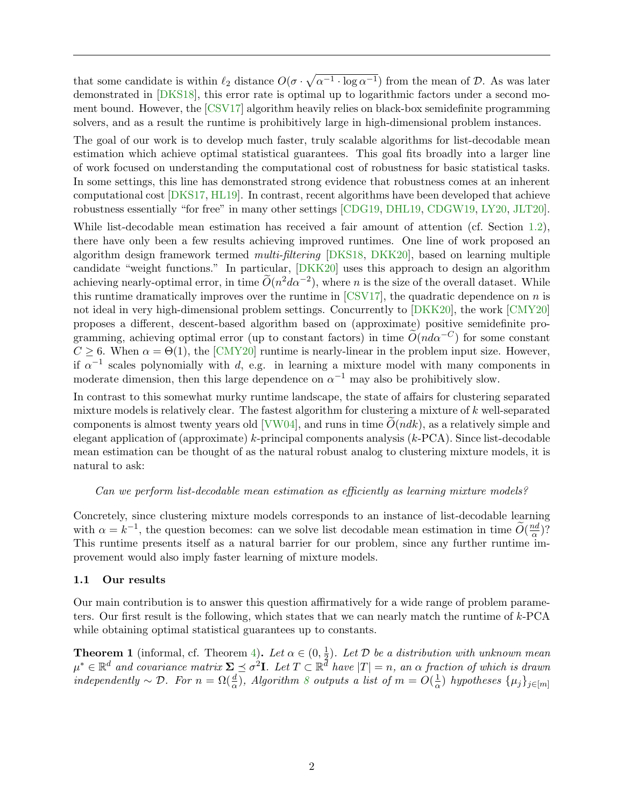that some candidate is within  $\ell_2$  distance  $O(\sigma \cdot \sqrt{\alpha^{-1} \cdot \log \alpha^{-1}})$  from the mean of D. As was later demonstrated in [\[DKS18\]](#page-53-5), this error rate is optimal up to logarithmic factors under a second moment bound. However, the [\[CSV17\]](#page-52-0) algorithm heavily relies on black-box semidefinite programming solvers, and as a result the runtime is prohibitively large in high-dimensional problem instances.

The goal of our work is to develop much faster, truly scalable algorithms for list-decodable mean estimation which achieve optimal statistical guarantees. This goal fits broadly into a larger line of work focused on understanding the computational cost of robustness for basic statistical tasks. In some settings, this line has demonstrated strong evidence that robustness comes at an inherent computational cost [\[DKS17,](#page-53-6) [HL19\]](#page-53-7). In contrast, recent algorithms have been developed that achieve robustness essentially "for free" in many other settings [\[CDG19,](#page-52-6) [DHL19,](#page-52-7) [CDGW19,](#page-52-8) [LY20,](#page-54-4) [JLT20\]](#page-54-5).

While list-decodable mean estimation has received a fair amount of attention (cf. Section [1.2\)](#page-6-0), there have only been a few results achieving improved runtimes. One line of work proposed an algorithm design framework termed multi-filtering [\[DKS18,](#page-53-5) [DKK20\]](#page-53-0), based on learning multiple candidate "weight functions." In particular, [\[DKK20\]](#page-53-0) uses this approach to design an algorithm achieving nearly-optimal error, in time  $\widetilde{O}(n^2 d\alpha^{-2})$ , where *n* is the size of the overall dataset. While this runtime dramatically improves over the runtime in  $\text{[CSV17]}$  $\text{[CSV17]}$  $\text{[CSV17]}$ , the quadratic dependence on n is not ideal in very high-dimensional problem settings. Concurrently to [\[DKK20\]](#page-53-0), the work [\[CMY20\]](#page-52-1) proposes a different, descent-based algorithm based on (approximate) positive semidefinite programming, achieving optimal error (up to constant factors) in time  $\tilde{O}(nd\alpha^{-C})$  for some constant  $C \geq 6$ . When  $\alpha = \Theta(1)$ , the [\[CMY20\]](#page-52-1) runtime is nearly-linear in the problem input size. However, if  $\alpha^{-1}$  scales polynomially with d, e.g. in learning a mixture model with many components in moderate dimension, then this large dependence on  $\alpha^{-1}$  may also be prohibitively slow.

In contrast to this somewhat murky runtime landscape, the state of affairs for clustering separated mixture models is relatively clear. The fastest algorithm for clustering a mixture of k well-separated components is almost twenty years old [\[VW04\]](#page-55-2), and runs in time  $\tilde{O}(ndk)$ , as a relatively simple and elegant application of (approximate) k-principal components analysis (k-PCA). Since list-decodable mean estimation can be thought of as the natural robust analog to clustering mixture models, it is natural to ask:

#### Can we perform list-decodable mean estimation as efficiently as learning mixture models?

Concretely, since clustering mixture models corresponds to an instance of list-decodable learning with  $\alpha = k^{-1}$ , the question becomes: can we solve list decodable mean estimation in time  $\widetilde{O}(\frac{nd}{\alpha})$  $\frac{ad}{\alpha}$ )? This runtime presents itself as a natural barrier for our problem, since any further runtime improvement would also imply faster learning of mixture models.

#### <span id="page-3-0"></span>1.1 Our results

Our main contribution is to answer this question affirmatively for a wide range of problem parameters. Our first result is the following, which states that we can nearly match the runtime of k-PCA while obtaining optimal statistical guarantees up to constants.

<span id="page-3-1"></span>**Theorem 1** (informal, cf. Theorem [4\)](#page-34-1). Let  $\alpha \in (0, \frac{1}{2})$  $\frac{1}{2}$ ). Let D be a distribution with unknown mean  $\mu^* \in \mathbb{R}^d$  and covariance matrix  $\Sigma \preceq \sigma^2 \mathbf{I}$ . Let  $T \subset \mathbb{R}^d$  have  $|T| = n$ , an  $\alpha$  fraction of which is drawn independently  $\sim \mathcal{D}$ . For  $n = \Omega(\frac{d}{\alpha})$ , Algorithm [8](#page-33-1) outputs a list of  $m = O(\frac{1}{\alpha})$  $\frac{1}{\alpha}$ ) hypotheses  $\{\mu_j\}_{j\in[m]}$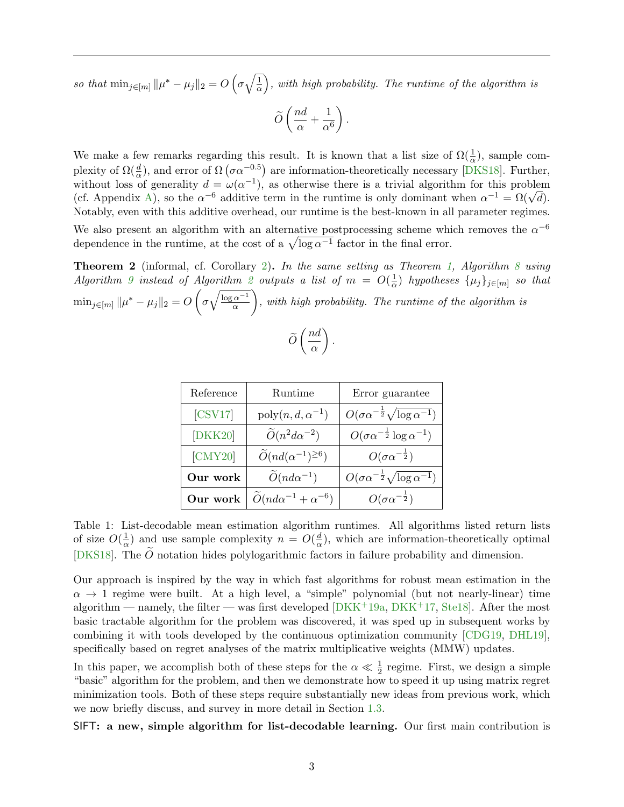so that  $\min_{j \in [m]} ||\mu^* - \mu_j||_2 = O\left(\sigma \sqrt{\frac{1}{\alpha}}\right)$  $\left(\frac{1}{\alpha}\right)$ , with high probability. The runtime of the algorithm is

$$
\widetilde{O}\left(\frac{nd}{\alpha} + \frac{1}{\alpha^6}\right).
$$

We make a few remarks regarding this result. It is known that a list size of  $\Omega(\frac{1}{\alpha})$ , sample complexity of  $\Omega(\frac{d}{\alpha})$ , and error of  $\Omega(\sigma \alpha^{-0.5})$  are information-theoretically necessary [\[DKS18\]](#page-53-5). Further, without loss of generality  $d = \omega(\alpha^{-1})$ , as otherwise there is a trivial algorithm for this problem without loss of generality  $a = \omega(\alpha^{-1})$ , as otherwise there is a trivial algorithm for this problem<br>(cf. Appendix [A\)](#page-56-0), so the  $\alpha^{-6}$  additive term in the runtime is only dominant when  $\alpha^{-1} = \Omega(\sqrt{d})$ . Notably, even with this additive overhead, our runtime is the best-known in all parameter regimes.

We also present an algorithm with an alternative postprocessing scheme which removes the  $\alpha^{-6}$ dependence in the runtime, at the cost of a  $\sqrt{\log a^{-1}}$  factor in the final error.

**Theorem 2** (informal, cf. Corollary [2\)](#page-35-0). In the same setting as Theorem [1,](#page-3-1) Algorithm [8](#page-33-1) using Algorithm [9](#page-35-1) instead of Algorithm [2](#page-21-1) outputs a list of  $m = O(\frac{1}{\alpha})$  $\frac{1}{\alpha}$ ) hypotheses  $\{\mu_j\}_{j\in[m]}$  so that  $\min_{j \in [m]} \| \mu^* - \mu_j \|_2 = O\left( \sigma \sqrt{\frac{\log \alpha^{-1}}{\alpha}} \right)$ α  $\bigg)$ , with high probability. The runtime of the algorithm is

$$
\widetilde{O}\left(\frac{nd}{\alpha}\right).
$$

<span id="page-4-0"></span>

| Reference | <b>Runtime</b>                             | Error guarantee                                           |
|-----------|--------------------------------------------|-----------------------------------------------------------|
| [CSV17]   | $\mathrm{poly}(n, d, \alpha^{-1})$         | $O(\sigma \alpha^{-\frac{1}{2}} \sqrt{\log \alpha^{-1}})$ |
| [DKK20]   | $\widetilde{O}(n^2d\alpha^{-2})$           | $O(\sigma \alpha^{-\frac{1}{2}} \log \alpha^{-1})$        |
| [CMY20]   | $\widetilde{O}(nd(\alpha^{-1})^{\geq 6})$  | $O(\sigma\alpha^{-\frac{1}{2}})$                          |
| Our work  | $\widetilde{O}(nd\alpha^{-1})$             | $O(\sigma \alpha^{-\frac{1}{2}} \sqrt{\log \alpha^{-1}})$ |
| Our work  | $\widetilde{O}(nd\alpha^{-1}+\alpha^{-6})$ | $O(\sigma\alpha^{-\frac{1}{2}})$                          |

Table 1: List-decodable mean estimation algorithm runtimes. All algorithms listed return lists of size  $O(\frac{1}{2})$  $\frac{1}{\alpha}$ ) and use sample complexity  $n = O(\frac{d}{\alpha})$  $\frac{d}{dx}$ , which are information-theoretically optimal [\[DKS18\]](#page-53-5). The  $\overline{O}$  notation hides polylogarithmic factors in failure probability and dimension.

Our approach is inspired by the way in which fast algorithms for robust mean estimation in the  $\alpha \to 1$  regime were built. At a high level, a "simple" polynomial (but not nearly-linear) time algorithm — namely, the filter — was first developed  $[DKK^+19a, DKK^+17, Stel8]$  $[DKK^+19a, DKK^+17, Stel8]$  $[DKK^+19a, DKK^+17, Stel8]$  $[DKK^+19a, DKK^+17, Stel8]$ . After the most basic tractable algorithm for the problem was discovered, it was sped up in subsequent works by combining it with tools developed by the continuous optimization community [\[CDG19,](#page-52-6) [DHL19\]](#page-52-7), specifically based on regret analyses of the matrix multiplicative weights (MMW) updates.

In this paper, we accomplish both of these steps for the  $\alpha \ll \frac{1}{2}$  regime. First, we design a simple "basic" algorithm for the problem, and then we demonstrate how to speed it up using matrix regret minimization tools. Both of these steps require substantially new ideas from previous work, which we now briefly discuss, and survey in more detail in Section [1.3.](#page-7-0)

SIFT: a new, simple algorithm for list-decodable learning. Our first main contribution is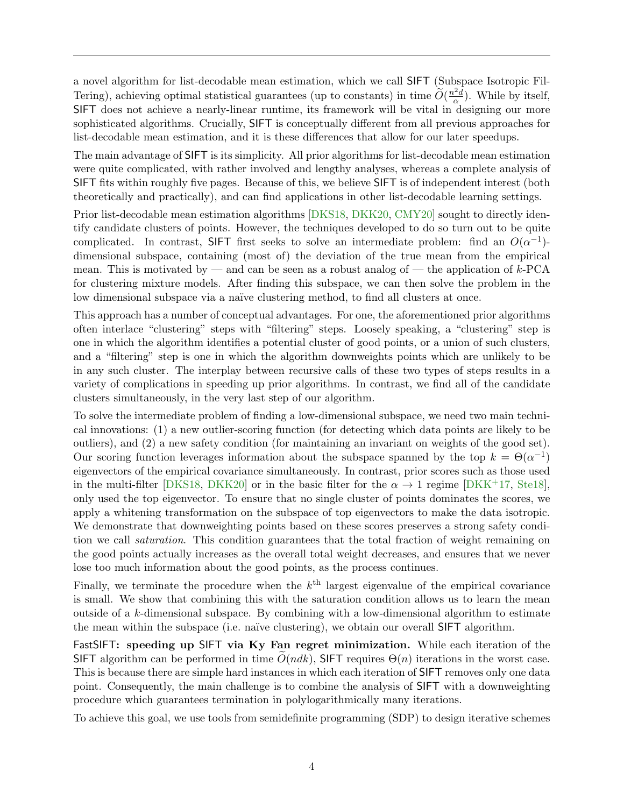a novel algorithm for list-decodable mean estimation, which we call SIFT (Subspace Isotropic Fil-Tering), achieving optimal statistical guarantees (up to constants) in time  $\widetilde{O}(\frac{n^2d}{\alpha})$  $\frac{d^2d}{\alpha}$ ). While by itself, SIFT does not achieve a nearly-linear runtime, its framework will be vital in designing our more sophisticated algorithms. Crucially, SIFT is conceptually different from all previous approaches for list-decodable mean estimation, and it is these differences that allow for our later speedups.

The main advantage of SIFT is its simplicity. All prior algorithms for list-decodable mean estimation were quite complicated, with rather involved and lengthy analyses, whereas a complete analysis of SIFT fits within roughly five pages. Because of this, we believe SIFT is of independent interest (both theoretically and practically), and can find applications in other list-decodable learning settings.

Prior list-decodable mean estimation algorithms [\[DKS18,](#page-53-5) [DKK20,](#page-53-0) [CMY20\]](#page-52-1) sought to directly identify candidate clusters of points. However, the techniques developed to do so turn out to be quite complicated. In contrast, SIFT first seeks to solve an intermediate problem: find an  $O(\alpha^{-1})$ dimensional subspace, containing (most of) the deviation of the true mean from the empirical mean. This is motivated by — and can be seen as a robust analog of — the application of  $k$ -PCA for clustering mixture models. After finding this subspace, we can then solve the problem in the low dimensional subspace via a naïve clustering method, to find all clusters at once.

This approach has a number of conceptual advantages. For one, the aforementioned prior algorithms often interlace "clustering" steps with "filtering" steps. Loosely speaking, a "clustering" step is one in which the algorithm identifies a potential cluster of good points, or a union of such clusters, and a "filtering" step is one in which the algorithm downweights points which are unlikely to be in any such cluster. The interplay between recursive calls of these two types of steps results in a variety of complications in speeding up prior algorithms. In contrast, we find all of the candidate clusters simultaneously, in the very last step of our algorithm.

To solve the intermediate problem of finding a low-dimensional subspace, we need two main technical innovations: (1) a new outlier-scoring function (for detecting which data points are likely to be outliers), and (2) a new safety condition (for maintaining an invariant on weights of the good set). Our scoring function leverages information about the subspace spanned by the top  $k = \Theta(\alpha^{-1})$ eigenvectors of the empirical covariance simultaneously. In contrast, prior scores such as those used in the multi-filter [\[DKS18,](#page-53-5) [DKK20\]](#page-53-0) or in the basic filter for the  $\alpha \to 1$  regime [\[DKK](#page-53-2)+17, [Ste18\]](#page-55-5), only used the top eigenvector. To ensure that no single cluster of points dominates the scores, we apply a whitening transformation on the subspace of top eigenvectors to make the data isotropic. We demonstrate that downweighting points based on these scores preserves a strong safety condition we call *saturation*. This condition guarantees that the total fraction of weight remaining on the good points actually increases as the overall total weight decreases, and ensures that we never lose too much information about the good points, as the process continues.

Finally, we terminate the procedure when the  $k^{\text{th}}$  largest eigenvalue of the empirical covariance is small. We show that combining this with the saturation condition allows us to learn the mean outside of a k-dimensional subspace. By combining with a low-dimensional algorithm to estimate the mean within the subspace (i.e. naïve clustering), we obtain our overall SIFT algorithm.

FastSIFT: speeding up SIFT via Ky Fan regret minimization. While each iteration of the SIFT algorithm can be performed in time  $O(ndk)$ , SIFT requires  $\Theta(n)$  iterations in the worst case. This is because there are simple hard instances in which each iteration of SIFT removes only one data point. Consequently, the main challenge is to combine the analysis of SIFT with a downweighting procedure which guarantees termination in polylogarithmically many iterations.

To achieve this goal, we use tools from semidefinite programming (SDP) to design iterative schemes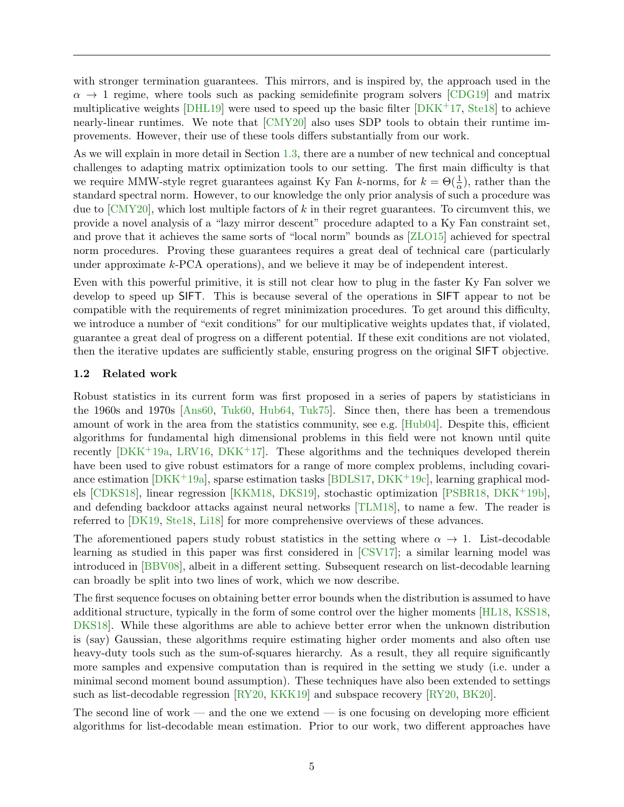with stronger termination guarantees. This mirrors, and is inspired by, the approach used in the  $\alpha \rightarrow 1$  regime, where tools such as packing semidefinite program solvers [\[CDG19\]](#page-52-6) and matrix multiplicative weights  $[DHL19]$  were used to speed up the basic filter  $[DKK^+17, Stel8]$  $[DKK^+17, Stel8]$  to achieve nearly-linear runtimes. We note that [\[CMY20\]](#page-52-1) also uses SDP tools to obtain their runtime improvements. However, their use of these tools differs substantially from our work.

As we will explain in more detail in Section [1.3,](#page-7-0) there are a number of new technical and conceptual challenges to adapting matrix optimization tools to our setting. The first main difficulty is that we require MMW-style regret guarantees against Ky Fan k-norms, for  $k = \Theta(\frac{1}{\alpha})$ , rather than the standard spectral norm. However, to our knowledge the only prior analysis of such a procedure was due to  $\text{[CMY20]}$  $\text{[CMY20]}$  $\text{[CMY20]}$ , which lost multiple factors of k in their regret guarantees. To circumvent this, we provide a novel analysis of a "lazy mirror descent" procedure adapted to a Ky Fan constraint set, and prove that it achieves the same sorts of "local norm" bounds as [\[ZLO15\]](#page-55-6) achieved for spectral norm procedures. Proving these guarantees requires a great deal of technical care (particularly under approximate  $k$ -PCA operations), and we believe it may be of independent interest.

Even with this powerful primitive, it is still not clear how to plug in the faster Ky Fan solver we develop to speed up SIFT. This is because several of the operations in SIFT appear to not be compatible with the requirements of regret minimization procedures. To get around this difficulty, we introduce a number of "exit conditions" for our multiplicative weights updates that, if violated, guarantee a great deal of progress on a different potential. If these exit conditions are not violated, then the iterative updates are sufficiently stable, ensuring progress on the original SIFT objective.

#### <span id="page-6-0"></span>1.2 Related work

Robust statistics in its current form was first proposed in a series of papers by statisticians in the 1960s and 1970s [\[Ans60,](#page-52-2) [Tuk60,](#page-55-0) [Hub64,](#page-54-0) [Tuk75\]](#page-55-1). Since then, there has been a tremendous amount of work in the area from the statistics community, see e.g. [\[Hub04\]](#page-54-6). Despite this, efficient algorithms for fundamental high dimensional problems in this field were not known until quite recently [\[DKK](#page-53-1)+19a, [LRV16,](#page-54-1) [DKK](#page-53-2)+17]. These algorithms and the techniques developed therein have been used to give robust estimators for a range of more complex problems, including covariance estimation  $[DKK^+19a]$  $[DKK^+19a]$ , sparse estimation tasks  $[BDLS17, DKK^+19c]$  $[BDLS17, DKK^+19c]$  $[BDLS17, DKK^+19c]$  $[BDLS17, DKK^+19c]$ , learning graphical models [\[CDKS18\]](#page-52-10), linear regression [\[KKM18,](#page-54-7) [DKS19\]](#page-53-9), stochastic optimization [\[PSBR18,](#page-54-8) [DKK](#page-53-10)+19b], and defending backdoor attacks against neural networks [\[TLM18\]](#page-55-7), to name a few. The reader is referred to [\[DK19,](#page-53-11) [Ste18,](#page-55-5) [Li18\]](#page-54-9) for more comprehensive overviews of these advances.

The aforementioned papers study robust statistics in the setting where  $\alpha \to 1$ . List-decodable learning as studied in this paper was first considered in [\[CSV17\]](#page-52-0); a similar learning model was introduced in [\[BBV08\]](#page-52-11), albeit in a different setting. Subsequent research on list-decodable learning can broadly be split into two lines of work, which we now describe.

The first sequence focuses on obtaining better error bounds when the distribution is assumed to have additional structure, typically in the form of some control over the higher moments [\[HL18,](#page-53-4) [KSS18,](#page-54-2) [DKS18\]](#page-53-5). While these algorithms are able to achieve better error when the unknown distribution is (say) Gaussian, these algorithms require estimating higher order moments and also often use heavy-duty tools such as the sum-of-squares hierarchy. As a result, they all require significantly more samples and expensive computation than is required in the setting we study (i.e. under a minimal second moment bound assumption). These techniques have also been extended to settings such as list-decodable regression [\[RY20,](#page-55-8) [KKK19\]](#page-54-10) and subspace recovery [\[RY20,](#page-55-8) [BK20\]](#page-52-12).

The second line of work — and the one we extend — is one focusing on developing more efficient algorithms for list-decodable mean estimation. Prior to our work, two different approaches have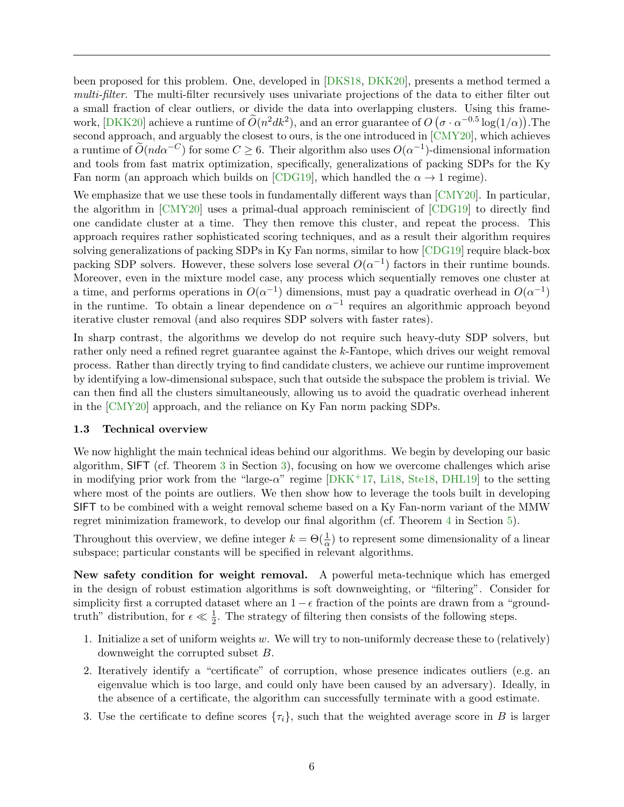been proposed for this problem. One, developed in [\[DKS18,](#page-53-5) [DKK20\]](#page-53-0), presents a method termed a multi-filter. The multi-filter recursively uses univariate projections of the data to either filter out a small fraction of clear outliers, or divide the data into overlapping clusters. Using this frame-work, [\[DKK20\]](#page-53-0) achieve a runtime of  $\tilde{O}(n^2 d k^2)$ , and an error guarantee of  $O(\sigma \cdot \alpha^{-0.5} \log(1/\alpha))$ . The second approach, and arguably the closest to ours, is the one introduced in [\[CMY20\]](#page-52-1), which achieves a runtime of  $\widetilde{O}(nd\alpha^{-C})$  for some  $C \geq 6$ . Their algorithm also uses  $O(\alpha^{-1})$ -dimensional information and tools from fast matrix optimization, specifically, generalizations of packing SDPs for the Ky Fan norm (an approach which builds on [\[CDG19\]](#page-52-6), which handled the  $\alpha \rightarrow 1$  regime).

We emphasize that we use these tools in fundamentally different ways than [\[CMY20\]](#page-52-1). In particular, the algorithm in [\[CMY20\]](#page-52-1) uses a primal-dual approach reminiscient of [\[CDG19\]](#page-52-6) to directly find one candidate cluster at a time. They then remove this cluster, and repeat the process. This approach requires rather sophisticated scoring techniques, and as a result their algorithm requires solving generalizations of packing SDPs in Ky Fan norms, similar to how [\[CDG19\]](#page-52-6) require black-box packing SDP solvers. However, these solvers lose several  $O(\alpha^{-1})$  factors in their runtime bounds. Moreover, even in the mixture model case, any process which sequentially removes one cluster at a time, and performs operations in  $O(\alpha^{-1})$  dimensions, must pay a quadratic overhead in  $O(\alpha^{-1})$ in the runtime. To obtain a linear dependence on  $\alpha^{-1}$  requires an algorithmic approach beyond iterative cluster removal (and also requires SDP solvers with faster rates).

In sharp contrast, the algorithms we develop do not require such heavy-duty SDP solvers, but rather only need a refined regret guarantee against the k-Fantope, which drives our weight removal process. Rather than directly trying to find candidate clusters, we achieve our runtime improvement by identifying a low-dimensional subspace, such that outside the subspace the problem is trivial. We can then find all the clusters simultaneously, allowing us to avoid the quadratic overhead inherent in the [\[CMY20\]](#page-52-1) approach, and the reliance on Ky Fan norm packing SDPs.

#### <span id="page-7-0"></span>1.3 Technical overview

We now highlight the main technical ideas behind our algorithms. We begin by developing our basic algorithm, SIFT (cf. Theorem [3](#page-20-0) in Section [3\)](#page-14-0), focusing on how we overcome challenges which arise in modifying prior work from the "large- $\alpha$ " regime [\[DKK](#page-53-2)+17, [Li18,](#page-54-9) [Ste18,](#page-55-5) [DHL19\]](#page-52-7) to the setting where most of the points are outliers. We then show how to leverage the tools built in developing SIFT to be combined with a weight removal scheme based on a Ky Fan-norm variant of the MMW regret minimization framework, to develop our final algorithm (cf. Theorem [4](#page-34-1) in Section [5\)](#page-30-0).

Throughout this overview, we define integer  $k = \Theta(\frac{1}{\alpha})$  to represent some dimensionality of a linear subspace; particular constants will be specified in relevant algorithms.

New safety condition for weight removal. A powerful meta-technique which has emerged in the design of robust estimation algorithms is soft downweighting, or "filtering". Consider for simplicity first a corrupted dataset where an  $1 - \epsilon$  fraction of the points are drawn from a "groundtruth" distribution, for  $\epsilon \ll \frac{1}{2}$ . The strategy of filtering then consists of the following steps.

- 1. Initialize a set of uniform weights w. We will try to non-uniformly decrease these to (relatively) downweight the corrupted subset B.
- 2. Iteratively identify a "certificate" of corruption, whose presence indicates outliers (e.g. an eigenvalue which is too large, and could only have been caused by an adversary). Ideally, in the absence of a certificate, the algorithm can successfully terminate with a good estimate.
- 3. Use the certificate to define scores  $\{\tau_i\}$ , such that the weighted average score in B is larger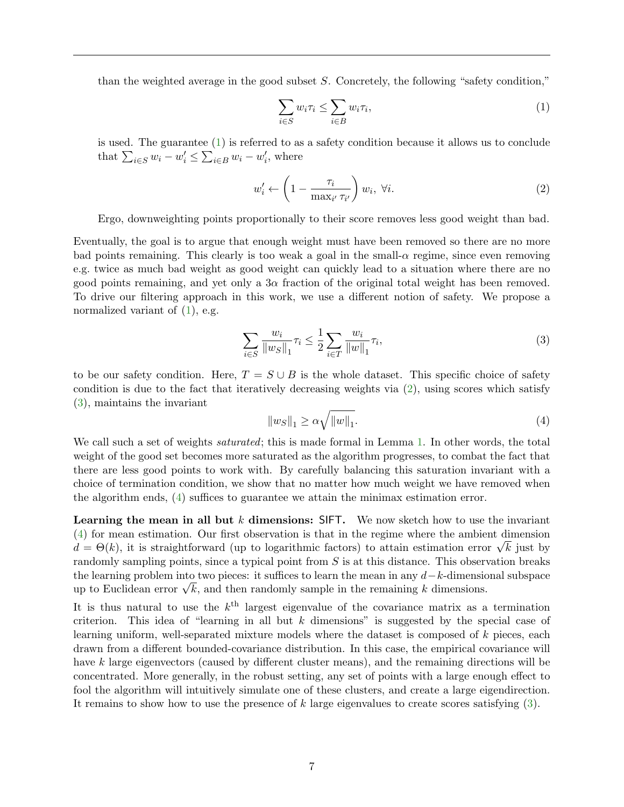than the weighted average in the good subset  $S$ . Concretely, the following "safety condition,"

<span id="page-8-0"></span>
$$
\sum_{i \in S} w_i \tau_i \le \sum_{i \in B} w_i \tau_i,\tag{1}
$$

is used. The guarantee [\(1\)](#page-8-0) is referred to as a safety condition because it allows us to conclude that  $\sum_{i \in S} w_i - w'_i \le \sum_{i \in B} w_i - w'_i$ , where

<span id="page-8-1"></span>
$$
w_i' \leftarrow \left(1 - \frac{\tau_i}{\max_{i'} \tau_{i'}}\right) w_i, \ \forall i. \tag{2}
$$

Ergo, downweighting points proportionally to their score removes less good weight than bad.

Eventually, the goal is to argue that enough weight must have been removed so there are no more bad points remaining. This clearly is too weak a goal in the small- $\alpha$  regime, since even removing e.g. twice as much bad weight as good weight can quickly lead to a situation where there are no good points remaining, and yet only a  $3\alpha$  fraction of the original total weight has been removed. To drive our filtering approach in this work, we use a different notion of safety. We propose a normalized variant of  $(1)$ , e.g.

<span id="page-8-2"></span>
$$
\sum_{i \in S} \frac{w_i}{\|w_S\|_1} \tau_i \le \frac{1}{2} \sum_{i \in T} \frac{w_i}{\|w\|_1} \tau_i,
$$
\n(3)

to be our safety condition. Here,  $T = S \cup B$  is the whole dataset. This specific choice of safety condition is due to the fact that iteratively decreasing weights via [\(2\)](#page-8-1), using scores which satisfy [\(3\)](#page-8-2), maintains the invariant

<span id="page-8-3"></span>
$$
||w_S||_1 \ge \alpha \sqrt{||w||_1}.\tag{4}
$$

We call such a set of weights *saturated*; this is made formal in Lemma [1.](#page-16-0) In other words, the total weight of the good set becomes more saturated as the algorithm progresses, to combat the fact that there are less good points to work with. By carefully balancing this saturation invariant with a choice of termination condition, we show that no matter how much weight we have removed when the algorithm ends, [\(4\)](#page-8-3) suffices to guarantee we attain the minimax estimation error.

**Learning the mean in all but k dimensions:** SIFT. We now sketch how to use the invariant [\(4\)](#page-8-3) for mean estimation. Our first observation is that in the regime where the ambient dimension (4) for mean estimation. Our first observation is that in the regime where the ambient dimension  $d = \Theta(k)$ , it is straightforward (up to logarithmic factors) to attain estimation error  $\sqrt{k}$  just by randomly sampling points, since a typical point from S is at this distance. This observation breaks the learning problem into two pieces: it suffices to learn the mean in any  $d-k$ -dimensional subspace the learning problem into two pieces: it sumces to learn the mean in any  $a - \kappa$ -dimensions.<br>up to Euclidean error  $\sqrt{k}$ , and then randomly sample in the remaining k dimensions.

It is thus natural to use the  $k^{\text{th}}$  largest eigenvalue of the covariance matrix as a termination criterion. This idea of "learning in all but  $k$  dimensions" is suggested by the special case of learning uniform, well-separated mixture models where the dataset is composed of k pieces, each drawn from a different bounded-covariance distribution. In this case, the empirical covariance will have k large eigenvectors (caused by different cluster means), and the remaining directions will be concentrated. More generally, in the robust setting, any set of points with a large enough effect to fool the algorithm will intuitively simulate one of these clusters, and create a large eigendirection. It remains to show how to use the presence of k large eigenvalues to create scores satisfying [\(3\)](#page-8-2).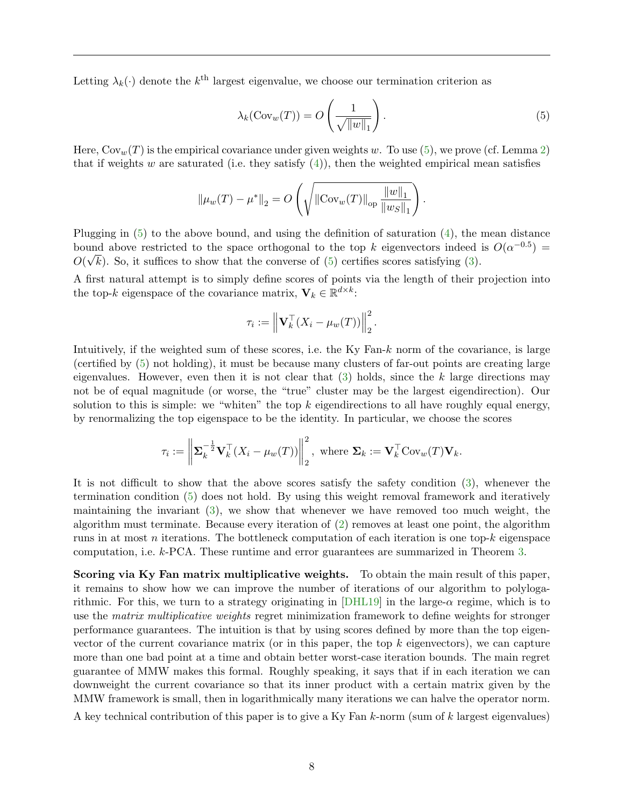Letting  $\lambda_k(\cdot)$  denote the  $k^{\text{th}}$  largest eigenvalue, we choose our termination criterion as

<span id="page-9-0"></span>
$$
\lambda_k(\text{Cov}_w(T)) = O\left(\frac{1}{\sqrt{\|w\|_1}}\right).
$$
\n(5)

Here,  $\text{Cov}_w(T)$  is the empirical covariance under given weights w. To use [\(5\)](#page-9-0), we prove (cf. Lemma [2\)](#page-16-1) that if weights w are saturated (i.e. they satisfy  $(4)$ ), then the weighted empirical mean satisfies

$$
\|\mu_w(T) - \mu^*\|_2 = O\left(\sqrt{\|\text{Cov}_w(T)\|_{\text{op}} \frac{\|w\|_1}{\|w_S\|_1}}\right).
$$

Plugging in [\(5\)](#page-9-0) to the above bound, and using the definition of saturation [\(4\)](#page-8-3), the mean distance bound above restricted to the space orthogonal to the top k eigenvectors indeed is  $O(\alpha^{-0.5}) =$  $O(\sqrt{k})$ . So, it suffices to show that the converse of [\(5\)](#page-9-0) certifies scores satisfying [\(3\)](#page-8-2).

A first natural attempt is to simply define scores of points via the length of their projection into the top-k eigenspace of the covariance matrix,  $\mathbf{V}_k \in \mathbb{R}^{d \times k}$ :

$$
\tau_i := \left\| \mathbf{V}_k^\top (X_i - \mu_w(T)) \right\|_2^2.
$$

Intuitively, if the weighted sum of these scores, i.e. the Ky Fan-k norm of the covariance, is large (certified by [\(5\)](#page-9-0) not holding), it must be because many clusters of far-out points are creating large eigenvalues. However, even then it is not clear that  $(3)$  holds, since the k large directions may not be of equal magnitude (or worse, the "true" cluster may be the largest eigendirection). Our solution to this is simple: we "whiten" the top k eigendirections to all have roughly equal energy, by renormalizing the top eigenspace to be the identity. In particular, we choose the scores

$$
\tau_i := \left\| \boldsymbol{\Sigma}_k^{-\frac{1}{2}} \mathbf{V}_k^\top (X_i - \mu_w(T)) \right\|_2^2, \text{ where } \boldsymbol{\Sigma}_k := \mathbf{V}_k^\top \text{Cov}_w(T) \mathbf{V}_k.
$$

It is not difficult to show that the above scores satisfy the safety condition [\(3\)](#page-8-2), whenever the termination condition [\(5\)](#page-9-0) does not hold. By using this weight removal framework and iteratively maintaining the invariant [\(3\)](#page-8-2), we show that whenever we have removed too much weight, the algorithm must terminate. Because every iteration of [\(2\)](#page-8-1) removes at least one point, the algorithm runs in at most n iterations. The bottleneck computation of each iteration is one top- $k$  eigenspace computation, i.e. k-PCA. These runtime and error guarantees are summarized in Theorem [3.](#page-20-0)

<span id="page-9-1"></span>Scoring via Ky Fan matrix multiplicative weights. To obtain the main result of this paper, it remains to show how we can improve the number of iterations of our algorithm to polyloga-rithmic. For this, we turn to a strategy originating in [\[DHL19\]](#page-52-7) in the large- $\alpha$  regime, which is to use the *matrix multiplicative weights* regret minimization framework to define weights for stronger performance guarantees. The intuition is that by using scores defined by more than the top eigenvector of the current covariance matrix (or in this paper, the top  $k$  eigenvectors), we can capture more than one bad point at a time and obtain better worst-case iteration bounds. The main regret guarantee of MMW makes this formal. Roughly speaking, it says that if in each iteration we can downweight the current covariance so that its inner product with a certain matrix given by the MMW framework is small, then in logarithmically many iterations we can halve the operator norm.

A key technical contribution of this paper is to give a Ky Fan  $k$ -norm (sum of  $k$  largest eigenvalues)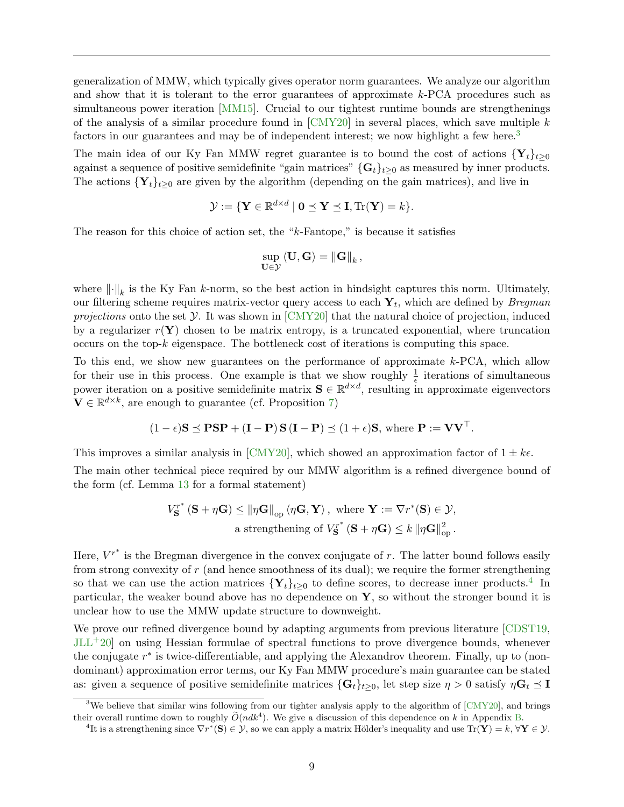generalization of MMW, which typically gives operator norm guarantees. We analyze our algorithm and show that it is tolerant to the error guarantees of approximate k-PCA procedures such as simultaneous power iteration [\[MM15\]](#page-54-11). Crucial to our tightest runtime bounds are strengthenings of the analysis of a similar procedure found in  $\text{[CMY20]}$  $\text{[CMY20]}$  $\text{[CMY20]}$  in several places, which save multiple k factors in our guarantees and may be of independent interest; we now highlight a few here.<sup>[3](#page-10-0)</sup>

The main idea of our Ky Fan MMW regret guarantee is to bound the cost of actions  ${Y_t}_{t\geq 0}$ against a sequence of positive semidefinite "gain matrices"  $\{G_t\}_{t\geq 0}$  as measured by inner products. The actions  $\{Y_t\}_{t>0}$  are given by the algorithm (depending on the gain matrices), and live in

$$
\mathcal{Y} := \{ \mathbf{Y} \in \mathbb{R}^{d \times d} \mid \mathbf{0} \preceq \mathbf{Y} \preceq \mathbf{I}, \text{Tr}(\mathbf{Y}) = k \}.
$$

The reason for this choice of action set, the "k-Fantope," is because it satisfies

$$
\sup_{\mathbf{U}\in\mathcal{Y}}\left\langle \mathbf{U},\mathbf{G}\right\rangle =\left\Vert \mathbf{G}\right\Vert _{k},
$$

where  $\lVert \cdot \rVert_k$  is the Ky Fan k-norm, so the best action in hindsight captures this norm. Ultimately, our filtering scheme requires matrix-vector query access to each  $\mathbf{Y}_t$ , which are defined by *Bregman* projections onto the set  $\mathcal Y$ . It was shown in [\[CMY20\]](#page-52-1) that the natural choice of projection, induced by a regularizer  $r(Y)$  chosen to be matrix entropy, is a truncated exponential, where truncation occurs on the top-k eigenspace. The bottleneck cost of iterations is computing this space.

To this end, we show new guarantees on the performance of approximate k-PCA, which allow for their use in this process. One example is that we show roughly  $\frac{1}{\epsilon}$  iterations of simultaneous power iteration on a positive semidefinite matrix  $S \in \mathbb{R}^{d \times d}$ , resulting in approximate eigenvectors  $\mathbf{V} \in \mathbb{R}^{d \times k}$ , are enough to guarantee (cf. Proposition [7\)](#page-44-0)

$$
(1 - \epsilon)S \preceq PSP + (I - P) S (I - P) \preceq (1 + \epsilon)S
$$
, where  $P := VV^{\top}$ .

This improves a similar analysis in [\[CMY20\]](#page-52-1), which showed an approximation factor of  $1 \pm k\epsilon$ .

The main other technical piece required by our MMW algorithm is a refined divergence bound of the form (cf. Lemma [13](#page-37-1) for a formal statement)

$$
V_{\mathbf{S}}^{r^*}(\mathbf{S} + \eta \mathbf{G}) \leq \|\eta \mathbf{G}\|_{\text{op}} \langle \eta \mathbf{G}, \mathbf{Y} \rangle, \text{ where } \mathbf{Y} := \nabla r^*(\mathbf{S}) \in \mathcal{Y},
$$
  
a strengthening of  $V_{\mathbf{S}}^{r^*}(\mathbf{S} + \eta \mathbf{G}) \leq k \|\eta \mathbf{G}\|_{\text{op}}^2.$ 

Here,  $V^{r^*}$  is the Bregman divergence in the convex conjugate of r. The latter bound follows easily from strong convexity of r (and hence smoothness of its dual); we require the former strengthening so that we can use the action matrices  ${Y_t}_{t\geq 0}$  to define scores, to decrease inner products.<sup>[4](#page-10-1)</sup> In particular, the weaker bound above has no dependence on  $\mathbf{Y}$ , so without the stronger bound it is unclear how to use the MMW update structure to downweight.

We prove our refined divergence bound by adapting arguments from previous literature [\[CDST19,](#page-52-13) [JLL](#page-54-12)+20] on using Hessian formulae of spectral functions to prove divergence bounds, whenever the conjugate  $r^*$  is twice-differentiable, and applying the Alexandrov theorem. Finally, up to (nondominant) approximation error terms, our Ky Fan MMW procedure's main guarantee can be stated as: given a sequence of positive semidefinite matrices  $\{G_t\}_{t>0}$ , let step size  $\eta > 0$  satisfy  $\eta G_t \preceq I$ 

<span id="page-10-0"></span><sup>&</sup>lt;sup>3</sup>We believe that similar wins following from our tighter analysis apply to the algorithm of  $\lceil \text{CMY20} \rceil$ , and brings their overall runtime down to roughly  $\widetilde{O}(ndk^4)$ . We give a discussion of this dependence on k in Appendix [B.](#page-57-0)

<span id="page-10-1"></span><sup>&</sup>lt;sup>4</sup>It is a strengthening since  $\nabla r^*(\mathbf{S}) \in \mathcal{Y}$ , so we can apply a matrix Hölder's inequality and use  $\text{Tr}(\mathbf{Y}) = k$ ,  $\forall \mathbf{Y} \in \mathcal{Y}$ .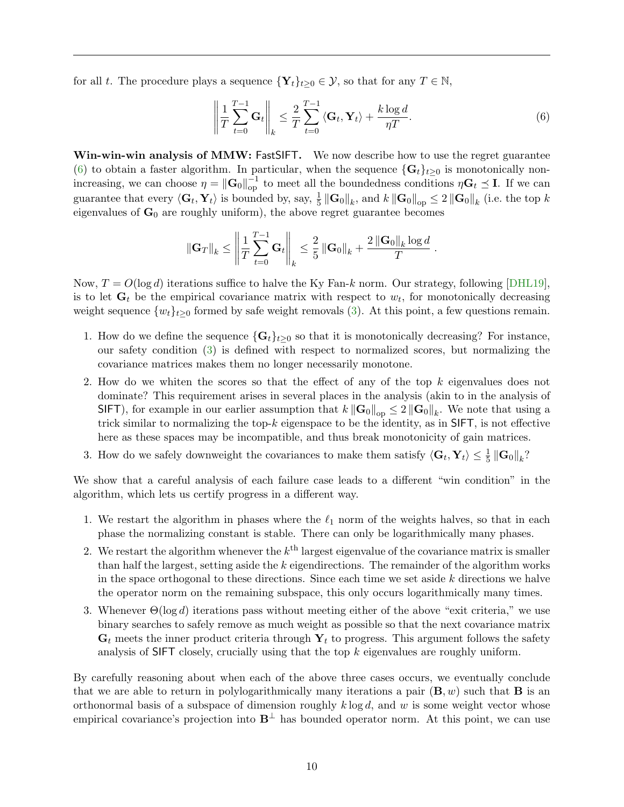for all t. The procedure plays a sequence  $\{Y_t\}_{t\geq 0} \in \mathcal{Y}$ , so that for any  $T \in \mathbb{N}$ ,

<span id="page-11-0"></span>
$$
\left\| \frac{1}{T} \sum_{t=0}^{T-1} \mathbf{G}_t \right\|_k \le \frac{2}{T} \sum_{t=0}^{T-1} \left\langle \mathbf{G}_t, \mathbf{Y}_t \right\rangle + \frac{k \log d}{\eta T}.
$$
 (6)

<span id="page-11-1"></span>Win-win-win analysis of MMW: FastSIFT. We now describe how to use the regret guarantee [\(6\)](#page-11-0) to obtain a faster algorithm. In particular, when the sequence  $\{G_t\}_{t>0}$  is monotonically nonincreasing, we can choose  $\eta = \|\mathbf{G}_0\|_{op}^{-1}$  to meet all the boundedness conditions  $\eta \mathbf{G}_t \preceq \mathbf{I}$ . If we can guarantee that every  $\langle G_t, Y_t \rangle$  is bounded by, say,  $\frac{1}{5} \|\mathbf{G}_0\|_k$ , and  $k \|\mathbf{G}_0\|_{op} \leq 2 \|\mathbf{G}_0\|_k$  (i.e. the top k eigenvalues of  $G_0$  are roughly uniform), the above regret guarantee becomes

$$
\|\mathbf{G}_T\|_k \le \left\|\frac{1}{T}\sum_{t=0}^{T-1}\mathbf{G}_t\right\|_k \le \frac{2}{5}\left\|\mathbf{G}_0\right\|_k + \frac{2\left\|\mathbf{G}_0\right\|_k \log d}{T}.
$$

Now,  $T = O(\log d)$  iterations suffice to halve the Ky Fan-k norm. Our strategy, following [\[DHL19\]](#page-52-7), is to let  $\mathbf{G}_t$  be the empirical covariance matrix with respect to  $w_t$ , for monotonically decreasing weight sequence  $\{w_t\}_{t\geq 0}$  formed by safe weight removals [\(3\)](#page-8-2). At this point, a few questions remain.

- 1. How do we define the sequence  $\{G_t\}_{t>0}$  so that it is monotonically decreasing? For instance, our safety condition [\(3\)](#page-8-2) is defined with respect to normalized scores, but normalizing the covariance matrices makes them no longer necessarily monotone.
- 2. How do we whiten the scores so that the effect of any of the top k eigenvalues does not dominate? This requirement arises in several places in the analysis (akin to in the analysis of SIFT), for example in our earlier assumption that  $k\left\|\mathbf{G}_0\right\|_{\text{op}} \leq 2\left\|\mathbf{G}_0\right\|_k$ . We note that using a trick similar to normalizing the top-k eigenspace to be the identity, as in SIFT, is not effective here as these spaces may be incompatible, and thus break monotonicity of gain matrices.
- 3. How do we safely downweight the covariances to make them satisfy  $\langle G_t, Y_t \rangle \leq \frac{1}{5} \|\mathbf{G}_0\|_k$ ?

We show that a careful analysis of each failure case leads to a different "win condition" in the algorithm, which lets us certify progress in a different way.

- 1. We restart the algorithm in phases where the  $\ell_1$  norm of the weights halves, so that in each phase the normalizing constant is stable. There can only be logarithmically many phases.
- 2. We restart the algorithm whenever the  $k^{\text{th}}$  largest eigenvalue of the covariance matrix is smaller than half the largest, setting aside the  $k$  eigendirections. The remainder of the algorithm works in the space orthogonal to these directions. Since each time we set aside  $k$  directions we halve the operator norm on the remaining subspace, this only occurs logarithmically many times.
- 3. Whenever  $\Theta(\log d)$  iterations pass without meeting either of the above "exit criteria," we use binary searches to safely remove as much weight as possible so that the next covariance matrix  $\mathbf{G}_t$  meets the inner product criteria through  $\mathbf{Y}_t$  to progress. This argument follows the safety analysis of SIFT closely, crucially using that the top  $k$  eigenvalues are roughly uniform.

By carefully reasoning about when each of the above three cases occurs, we eventually conclude that we are able to return in polylogarithmically many iterations a pair  $(\mathbf{B}, w)$  such that **B** is an orthonormal basis of a subspace of dimension roughly  $k \log d$ , and w is some weight vector whose empirical covariance's projection into  $B^{\perp}$  has bounded operator norm. At this point, we can use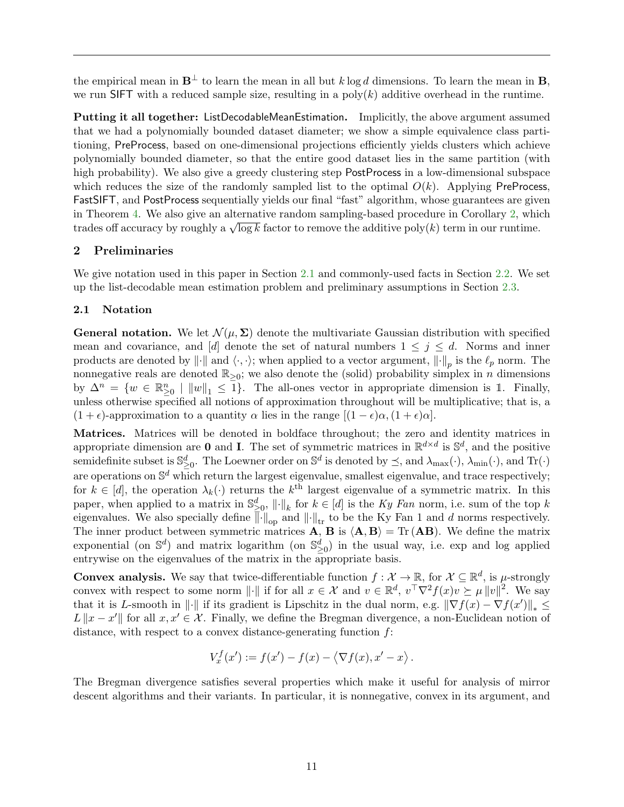the empirical mean in  $\mathbf{B}^{\perp}$  to learn the mean in all but k log d dimensions. To learn the mean in **B**, we run SIFT with a reduced sample size, resulting in a  $poly(k)$  additive overhead in the runtime.

Putting it all together: ListDecodableMeanEstimation. Implicitly, the above argument assumed that we had a polynomially bounded dataset diameter; we show a simple equivalence class partitioning, PreProcess, based on one-dimensional projections efficiently yields clusters which achieve polynomially bounded diameter, so that the entire good dataset lies in the same partition (with high probability). We also give a greedy clustering step PostProcess in a low-dimensional subspace which reduces the size of the randomly sampled list to the optimal  $O(k)$ . Applying PreProcess, FastSIFT, and PostProcess sequentially yields our final "fast" algorithm, whose guarantees are given in Theorem [4.](#page-34-1) We also give an alternative random sampling-based procedure in Corollary [2,](#page-35-0) which In Theorem 4. We also give an alternative random sampling-based procedure in Coronary 2, which<br>trades off accuracy by roughly a  $\sqrt{\log k}$  factor to remove the additive poly(k) term in our runtime.

## <span id="page-12-0"></span>2 Preliminaries

We give notation used in this paper in Section [2.1](#page-12-1) and commonly-used facts in Section [2.2.](#page-13-0) We set up the list-decodable mean estimation problem and preliminary assumptions in Section [2.3.](#page-13-1)

## <span id="page-12-1"></span>2.1 Notation

**General notation.** We let  $\mathcal{N}(\mu, \Sigma)$  denote the multivariate Gaussian distribution with specified mean and covariance, and [d] denote the set of natural numbers  $1 \leq j \leq d$ . Norms and inner products are denoted by  $\|\cdot\|$  and  $\langle \cdot, \cdot \rangle$ ; when applied to a vector argument,  $\|\cdot\|_p$  is the  $\ell_p$  norm. The nonnegative reals are denoted  $\mathbb{R}_{\geq 0}$ ; we also denote the (solid) probability simplex in n dimensions by  $\Delta^n = \{w \in \mathbb{R}^n_{\geq 0} \mid ||w||_1 \leq 1\}.$  The all-ones vector in appropriate dimension is 1. Finally, unless otherwise specified all notions of approximation throughout will be multiplicative; that is, a  $(1 + \epsilon)$ -approximation to a quantity  $\alpha$  lies in the range  $[(1 - \epsilon)\alpha, (1 + \epsilon)\alpha]$ .

Matrices. Matrices will be denoted in boldface throughout; the zero and identity matrices in appropriate dimension are **0** and **I**. The set of symmetric matrices in  $\mathbb{R}^{d \times d}$  is  $\mathbb{S}^d$ , and the positive semidefinite subset is  $\mathbb{S}^d_{\geq 0}$ . The Loewner order on  $\mathbb{S}^d$  is denoted by  $\preceq$ , and  $\lambda_{\max}(\cdot)$ ,  $\lambda_{\min}(\cdot)$ , and  $\text{Tr}(\cdot)$ are operations on  $\mathbb{S}^d$  which return the largest eigenvalue, smallest eigenvalue, and trace respectively; for  $k \in [d]$ , the operation  $\lambda_k(\cdot)$  returns the  $k^{\text{th}}$  largest eigenvalue of a symmetric matrix. In this paper, when applied to a matrix in  $\mathbb{S}^d_{\geq 0}$ ,  $\|\cdot\|_k$  for  $k \in [d]$  is the Ky Fan norm, i.e. sum of the top k eigenvalues. We also specially define  $\|\cdot\|_{\text{op}}$  and  $\|\cdot\|_{\text{tr}}$  to be the Ky Fan 1 and d norms respectively. The inner product between symmetric matrices **A**, **B** is  $\langle \mathbf{A}, \mathbf{B} \rangle = \text{Tr}(\mathbf{A}\mathbf{B})$ . We define the matrix exponential (on  $\mathbb{S}^d$ ) and matrix logarithm (on  $\mathbb{S}^d_{\geq 0}$ ) in the usual way, i.e. exp and log applied entrywise on the eigenvalues of the matrix in the appropriate basis.

**Convex analysis.** We say that twice-differentiable function  $f: \mathcal{X} \to \mathbb{R}$ , for  $\mathcal{X} \subseteq \mathbb{R}^d$ , is  $\mu$ -strongly convex with respect to some norm  $\|\cdot\|$  if for all  $x \in \mathcal{X}$  and  $v \in \mathbb{R}^d$ ,  $v^{\top} \nabla^2 f(x)v \succeq \mu \|v\|^2$ . We say that it is L-smooth in  $\|\cdot\|$  if its gradient is Lipschitz in the dual norm, e.g.  $\|\nabla f(x) - \nabla f(x')\|_* \leq$  $L ||x - x'||$  for all  $x, x' \in \mathcal{X}$ . Finally, we define the Bregman divergence, a non-Euclidean notion of distance, with respect to a convex distance-generating function  $f$ :

$$
V_x^f(x') := f(x') - f(x) - \langle \nabla f(x), x' - x \rangle.
$$

The Bregman divergence satisfies several properties which make it useful for analysis of mirror descent algorithms and their variants. In particular, it is nonnegative, convex in its argument, and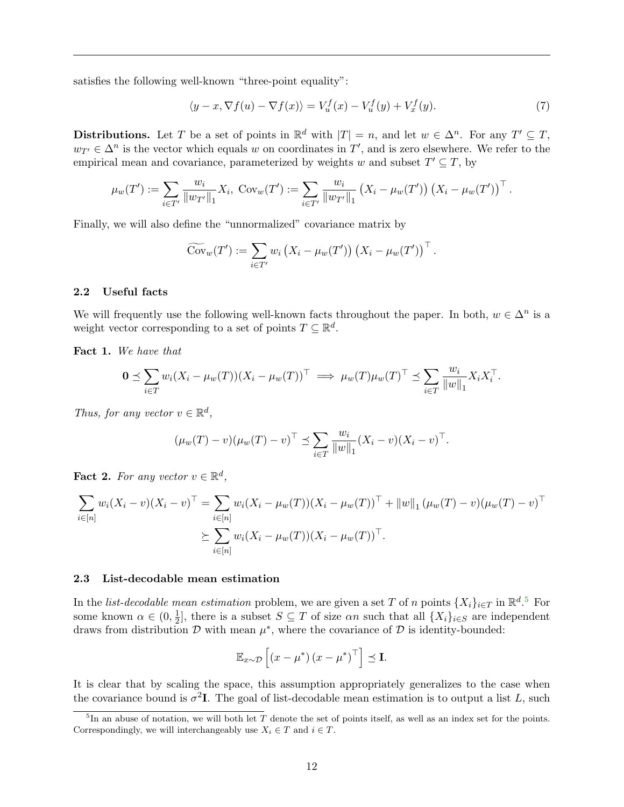satisfies the following well-known "three-point equality":

$$
\langle y - x, \nabla f(u) - \nabla f(x) \rangle = V_u^f(x) - V_u^f(y) + V_x^f(y). \tag{7}
$$

**Distributions.** Let T be a set of points in  $\mathbb{R}^d$  with  $|T| = n$ , and let  $w \in \Delta^n$ . For any  $T' \subseteq T$ ,  $w_{T'} \in \Delta^n$  is the vector which equals w on coordinates in T', and is zero elsewhere. We refer to the empirical mean and covariance, parameterized by weights w and subset  $T' \subseteq T$ , by

$$
\mu_w(T') := \sum_{i \in T'} \frac{w_i}{\|w_{T'}\|_1} X_i, \text{Cov}_w(T') := \sum_{i \in T'} \frac{w_i}{\|w_{T'}\|_1} (X_i - \mu_w(T')) (X_i - \mu_w(T'))^{\top}.
$$

Finally, we will also define the "unnormalized" covariance matrix by

$$
\widetilde{\mathrm{Cov}}_w(T') := \sum_{i \in T'} w_i \left( X_i - \mu_w(T') \right) \left( X_i - \mu_w(T') \right)^\top.
$$

#### <span id="page-13-0"></span>2.2 Useful facts

We will frequently use the following well-known facts throughout the paper. In both,  $w \in \Delta^n$  is a weight vector corresponding to a set of points  $T \subseteq \mathbb{R}^d$ .

<span id="page-13-3"></span>Fact 1. We have that

$$
\mathbf{0} \preceq \sum_{i \in T} w_i (X_i - \mu_w(T))(X_i - \mu_w(T))^\top \implies \mu_w(T)\mu_w(T)^\top \preceq \sum_{i \in T} \frac{w_i}{\|w\|_1} X_i X_i^\top.
$$

Thus, for any vector  $v \in \mathbb{R}^d$ ,

$$
(\mu_w(T) - v)(\mu_w(T) - v)^{\top} \preceq \sum_{i \in T} \frac{w_i}{\|w\|_1} (X_i - v)(X_i - v)^{\top}.
$$

<span id="page-13-4"></span>**Fact 2.** For any vector  $v \in \mathbb{R}^d$ ,

$$
\sum_{i \in [n]} w_i (X_i - v)(X_i - v)^{\top} = \sum_{i \in [n]} w_i (X_i - \mu_w(T))(X_i - \mu_w(T))^{\top} + ||w||_1 (\mu_w(T) - v)(\mu_w(T) - v)^{\top}
$$
  

$$
\geq \sum_{i \in [n]} w_i (X_i - \mu_w(T))(X_i - \mu_w(T))^{\top}.
$$

#### <span id="page-13-1"></span>2.3 List-decodable mean estimation

In the *list-decodable mean estimation* problem, we are given a set T of n points  $\{X_i\}_{i\in\mathcal{I}}$  in  $\mathbb{R}^{d}$ .<sup>[5](#page-13-2)</sup> For some known  $\alpha \in (0, \frac{1}{2})$  $\frac{1}{2}$ , there is a subset  $S \subseteq T$  of size  $\alpha n$  such that all  $\{X_i\}_{i \in S}$  are independent draws from distribution  $\mathcal D$  with mean  $\mu^*$ , where the covariance of  $\mathcal D$  is identity-bounded:

$$
\mathbb{E}_{x \sim \mathcal{D}}\left[ \left( x - \mu^* \right) \left( x - \mu^* \right)^\top \right] \preceq \mathbf{I}.
$$

It is clear that by scaling the space, this assumption appropriately generalizes to the case when the covariance bound is  $\sigma^2 I$ . The goal of list-decodable mean estimation is to output a list L, such

<span id="page-13-2"></span> ${}^{5}$ In an abuse of notation, we will both let T denote the set of points itself, as well as an index set for the points. Correspondingly, we will interchangeably use  $X_i \in T$  and  $i \in T$ .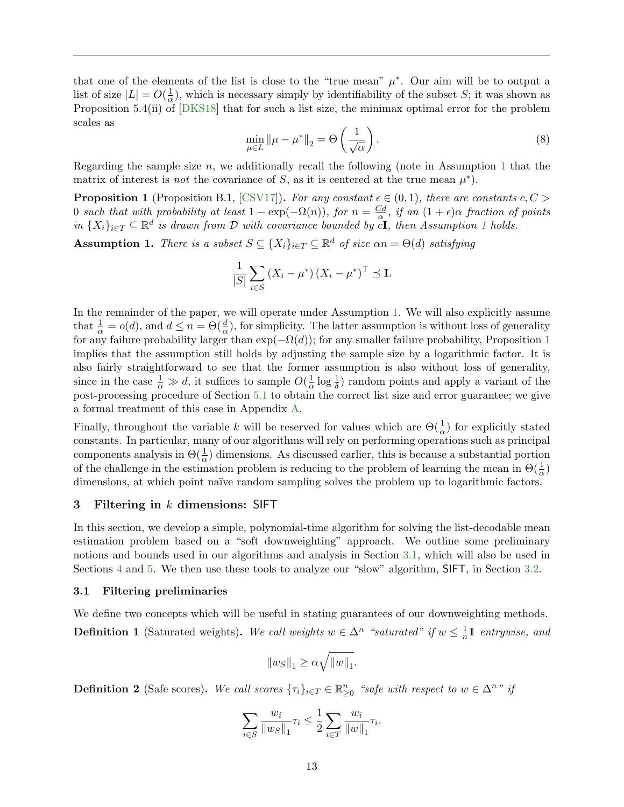that one of the elements of the list is close to the "true mean"  $\mu^*$ . Our aim will be to output a list of size  $|L| = O(\frac{1}{\alpha})$  $\frac{1}{\alpha}$ ), which is necessary simply by identifiability of the subset S; it was shown as Proposition 5.4(ii) of [\[DKS18\]](#page-53-5) that for such a list size, the minimax optimal error for the problem scales as

<span id="page-14-6"></span>
$$
\min_{\mu \in L} \|\mu - \mu^*\|_2 = \Theta\left(\frac{1}{\sqrt{\alpha}}\right). \tag{8}
$$

Regarding the sample size  $n$ , we additionally recall the following (note in Assumption [1](#page-14-2) that the matrix of interest is *not* the covariance of S, as it is centered at the true mean  $\mu^*$ ).

<span id="page-14-3"></span>**Proposition 1** (Proposition B.1, [\[CSV17\]](#page-52-0)). For any constant  $\epsilon \in (0,1)$ , there are constants  $c, C$ 0 such that with probability at least  $1 - \exp(-\Omega(n))$ , for  $n = \frac{Cd}{\alpha}$  $\frac{dA}{d\alpha}$ , if an  $(1+\epsilon)\alpha$  fraction of points in  $\{X_i\}_{i\in\mathcal{I}}\subseteq\mathbb{R}^d$  is drawn from D with covariance bounded by  $\tilde{cI}$ , then Assumption [1](#page-14-2) holds.

<span id="page-14-2"></span>**Assumption 1.** There is a subset  $S \subseteq \{X_i\}_{i \in T} \subseteq \mathbb{R}^d$  of size  $\alpha n = \Theta(d)$  satisfying

$$
\frac{1}{|S|} \sum_{i \in S} \left( X_i - \mu^* \right) \left( X_i - \mu^* \right)^\top \preceq \mathbf{I}.
$$

In the remainder of the paper, we will operate under Assumption [1.](#page-14-2) We will also explicitly assume that  $\frac{1}{\alpha} = o(d)$ , and  $d \leq n = \Theta(\frac{d}{\alpha})$ , for simplicity. The latter assumption is without loss of generality for any failure probability larger than  $\exp(-\Omega(d))$ ; for any smaller failure probability, Proposition [1](#page-14-3) implies that the assumption still holds by adjusting the sample size by a logarithmic factor. It is also fairly straightforward to see that the former assumption is also without loss of generality, since in the case  $\frac{1}{\alpha} \gg d$ , it suffices to sample  $O(\frac{1}{\alpha})$  $\frac{1}{\alpha}$  log  $\frac{1}{\delta}$ ) random points and apply a variant of the post-processing procedure of Section [5.1](#page-30-1) to obtain the correct list size and error guarantee; we give a formal treatment of this case in Appendix [A.](#page-56-0)

Finally, throughout the variable k will be reserved for values which are  $\Theta(\frac{1}{\alpha})$  for explicitly stated constants. In particular, many of our algorithms will rely on performing operations such as principal components analysis in  $\Theta(\frac{1}{\alpha})$  dimensions. As discussed earlier, this is because a substantial portion of the challenge in the estimation problem is reducing to the problem of learning the mean in  $\Theta(\frac{1}{\alpha})$ dimensions, at which point naïve random sampling solves the problem up to logarithmic factors.

## <span id="page-14-0"></span>3 Filtering in  $k$  dimensions: SIFT

In this section, we develop a simple, polynomial-time algorithm for solving the list-decodable mean estimation problem based on a "soft downweighting" approach. We outline some preliminary notions and bounds used in our algorithms and analysis in Section [3.1,](#page-14-1) which will also be used in Sections [4](#page-21-0) and [5.](#page-30-0) We then use these tools to analyze our "slow" algorithm, SIFT, in Section [3.2.](#page-18-0)

#### <span id="page-14-1"></span>3.1 Filtering preliminaries

<span id="page-14-4"></span>We define two concepts which will be useful in stating guarantees of our downweighting methods. **Definition 1** (Saturated weights). We call weights  $w \in \Delta^n$  "saturated" if  $w \leq \frac{1}{n}$  $\frac{1}{n}$  1 entrywise, and

$$
\|w_S\|_1 \geq \alpha \sqrt{\|w\|_1}.
$$

<span id="page-14-5"></span>**Definition 2** (Safe scores). We call scores  $\{\tau_i\}_{i\in\mathcal{I}} \in \mathbb{R}_{\geq 0}^n$  "safe with respect to  $w \in \Delta^n$ " if

$$
\sum_{i\in S}\frac{w_i}{\|w_S\|_1}\tau_i\leq \frac{1}{2}\sum_{i\in T}\frac{w_i}{\|w\|_1}\tau_i.
$$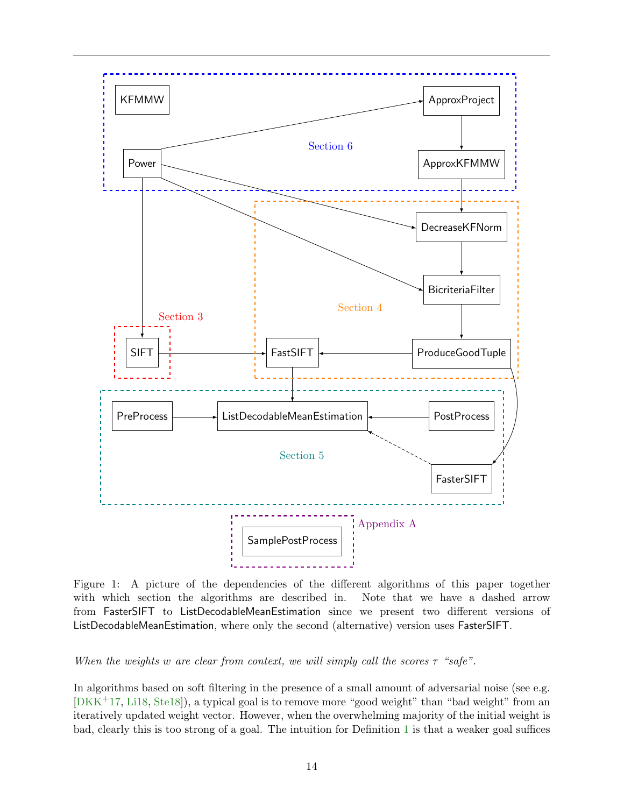

Figure 1: A picture of the dependencies of the different algorithms of this paper together with which section the algorithms are described in. Note that we have a dashed arrow from FasterSIFT to ListDecodableMeanEstimation since we present two different versions of ListDecodableMeanEstimation, where only the second (alternative) version uses FasterSIFT.

When the weights w are clear from context, we will simply call the scores  $\tau$  "safe".

In algorithms based on soft filtering in the presence of a small amount of adversarial noise (see e.g. [\[DKK](#page-53-2)+17, [Li18,](#page-54-9) [Ste18\]](#page-55-5)), a typical goal is to remove more "good weight" than "bad weight" from an iteratively updated weight vector. However, when the overwhelming majority of the initial weight is bad, clearly this is too strong of a goal. The intuition for Definition [1](#page-14-4) is that a weaker goal suffices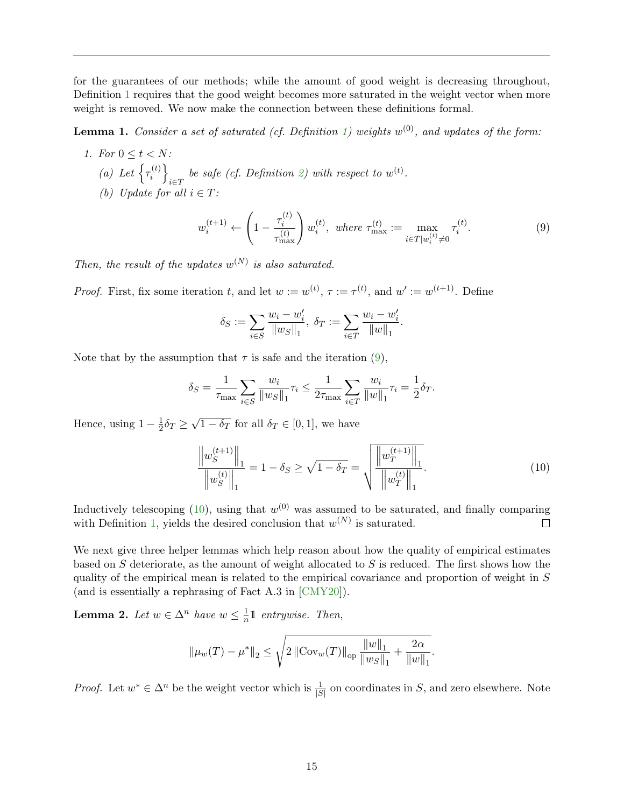for the guarantees of our methods; while the amount of good weight is decreasing throughout, Definition [1](#page-14-4) requires that the good weight becomes more saturated in the weight vector when more weight is removed. We now make the connection between these definitions formal.

<span id="page-16-0"></span>**Lemma 1.** Consider a set of saturated (cf. Definition [1\)](#page-14-4) weights  $w^{(0)}$ , and updates of the form:

1. For  $0 \leq t < N$ : (a) Let  $\left\{ \tau_i^{(t)} \right\}$  $\begin{bmatrix} i \end{bmatrix}$  $\sum_{i\in T}$  be safe (cf. Definition [2\)](#page-14-5) with respect to  $w^{(t)}$ . (b) Update for all  $i \in T$ :

<span id="page-16-2"></span>
$$
w_i^{(t+1)} \leftarrow \left(1 - \frac{\tau_i^{(t)}}{\tau_{\text{max}}^{(t)}}\right) w_i^{(t)}, \text{ where } \tau_{\text{max}}^{(t)} := \max_{i \in T | w_i^{(t)} \neq 0} \tau_i^{(t)}.
$$
 (9)

Then, the result of the updates  $w^{(N)}$  is also saturated.

*Proof.* First, fix some iteration t, and let  $w := w^{(t)}$ ,  $\tau := \tau^{(t)}$ , and  $w' := w^{(t+1)}$ . Define

$$
\delta_S:=\sum_{i\in S}\frac{w_i-w_i'}{\|w_S\|_1},\ \delta_T:=\sum_{i\in T}\frac{w_i-w_i'}{\|w\|_1}.
$$

Note that by the assumption that  $\tau$  is safe and the iteration [\(9\)](#page-16-2),

$$
\delta_S = \frac{1}{\tau_{\text{max}}} \sum_{i \in S} \frac{w_i}{\|w_S\|_1} \tau_i \le \frac{1}{2\tau_{\text{max}}} \sum_{i \in T} \frac{w_i}{\|w\|_1} \tau_i = \frac{1}{2} \delta_T.
$$

Hence, using  $1-\frac{1}{2}$  $\frac{1}{2}\delta_T \geq$ √  $\overline{1 - \delta_T}$  for all  $\delta_T \in [0, 1]$ , we have

<span id="page-16-3"></span>
$$
\frac{\left\|w_S^{(t+1)}\right\|_1}{\left\|w_S^{(t)}\right\|_1} = 1 - \delta_S \ge \sqrt{1 - \delta_T} = \sqrt{\frac{\left\|w_T^{(t+1)}\right\|_1}{\left\|w_T^{(t)}\right\|_1}}.
$$
\n(10)

Inductively telescoping [\(10\)](#page-16-3), using that  $w^{(0)}$  was assumed to be saturated, and finally comparing with Definition [1,](#page-14-4) yields the desired conclusion that  $w^{(N)}$  is saturated.  $\Box$ 

We next give three helper lemmas which help reason about how the quality of empirical estimates based on S deteriorate, as the amount of weight allocated to S is reduced. The first shows how the quality of the empirical mean is related to the empirical covariance and proportion of weight in S (and is essentially a rephrasing of Fact A.3 in [\[CMY20\]](#page-52-1)).

<span id="page-16-1"></span>**Lemma 2.** Let  $w \in \Delta^n$  have  $w \leq \frac{1}{n}$  $\frac{1}{n}$  1 entrywise. Then,

$$
\|\mu_w(T) - \mu^*\|_2 \le \sqrt{2 \left\| \text{Cov}_w(T) \right\|_{\text{op}} \frac{\|w\|_1}{\|w_S\|_1} + \frac{2\alpha}{\|w\|_1}}.
$$

*Proof.* Let  $w^* \in \Delta^n$  be the weight vector which is  $\frac{1}{|S|}$  on coordinates in S, and zero elsewhere. Note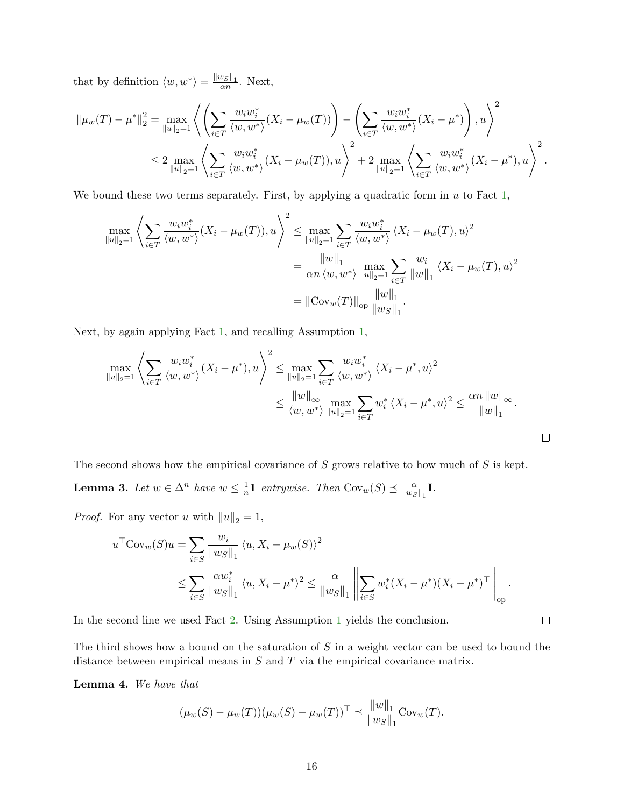that by definition  $\langle w, w^* \rangle = \frac{||w_S||_1}{\alpha n}$ . Next,

$$
\|\mu_{w}(T) - \mu^{*}\|_{2}^{2} = \max_{\|u\|_{2} = 1} \left\langle \left( \sum_{i \in T} \frac{w_{i}w_{i}^{*}}{\langle w, w^{*} \rangle} (X_{i} - \mu_{w}(T)) \right) - \left( \sum_{i \in T} \frac{w_{i}w_{i}^{*}}{\langle w, w^{*} \rangle} (X_{i} - \mu^{*}) \right), u \right\rangle^{2} \leq 2 \max_{\|u\|_{2} = 1} \left\langle \sum_{i \in T} \frac{w_{i}w_{i}^{*}}{\langle w, w^{*} \rangle} (X_{i} - \mu_{w}(T)), u \right\rangle^{2} + 2 \max_{\|u\|_{2} = 1} \left\langle \sum_{i \in T} \frac{w_{i}w_{i}^{*}}{\langle w, w^{*} \rangle} (X_{i} - \mu^{*}), u \right\rangle^{2}.
$$

We bound these two terms separately. First, by applying a quadratic form in  $u$  to Fact [1,](#page-13-3)

$$
\max_{\|u\|_{2}=1} \left\langle \sum_{i\in T} \frac{w_{i}w_{i}^{*}}{\langle w,w^{*}\rangle} (X_{i}-\mu_{w}(T)),u \right\rangle^{2} \leq \max_{\|u\|_{2}=1} \sum_{i\in T} \frac{w_{i}w_{i}^{*}}{\langle w,w^{*}\rangle} \left\langle X_{i}-\mu_{w}(T),u\right\rangle^{2}
$$

$$
= \frac{\|w\|_{1}}{\alpha n \left\langle w,w^{*}\right\rangle} \max_{\|u\|_{2}=1} \sum_{i\in T} \frac{w_{i}}{\|w\|_{1}} \left\langle X_{i}-\mu_{w}(T),u\right\rangle^{2}
$$

$$
= \|\text{Cov}_{w}(T)\|_{op} \frac{\|w\|_{1}}{\|w_{S}\|_{1}}.
$$

Next, by again applying Fact [1,](#page-13-3) and recalling Assumption [1,](#page-14-2)

$$
\max_{\|u\|_{2}=1} \left\langle \sum_{i\in T} \frac{w_{i}w_{i}^{*}}{\langle w,w^{*}\rangle}(X_{i}-\mu^{*}),u \right\rangle^{2} \leq \max_{\|u\|_{2}=1} \sum_{i\in T} \frac{w_{i}w_{i}^{*}}{\langle w,w^{*}\rangle} \left\langle X_{i}-\mu^{*},u\right\rangle^{2} \leq \frac{\|w\|_{\infty}}{\langle w,w^{*}\rangle} \max_{\|u\|_{2}=1} \sum_{i\in T} w_{i}^{*} \left\langle X_{i}-\mu^{*},u\right\rangle^{2} \leq \frac{\alpha n \left\|w\right\|_{\infty}}{\|w\|_{1}}.
$$

<span id="page-17-0"></span>The second shows how the empirical covariance of  $S$  grows relative to how much of  $S$  is kept. **Lemma 3.** Let  $w \in \Delta^n$  have  $w \leq \frac{1}{n}$  $\frac{1}{n} \mathbb{1}$  entrywise. Then  $\text{Cov}_w(S) \preceq \frac{\alpha}{\|w_S\|}$  $\frac{\alpha}{\left\Vert w_S \right\Vert_1} \mathbf{I}.$ 

*Proof.* For any vector u with  $||u||_2 = 1$ ,

$$
u^{\top}Cov_{w}(S)u = \sum_{i \in S} \frac{w_{i}}{\|w_{S}\|_{1}} \langle u, X_{i} - \mu_{w}(S) \rangle^{2}
$$
  
 
$$
\leq \sum_{i \in S} \frac{\alpha w_{i}^{*}}{\|w_{S}\|_{1}} \langle u, X_{i} - \mu^{*} \rangle^{2} \leq \frac{\alpha}{\|w_{S}\|_{1}} \left\| \sum_{i \in S} w_{i}^{*}(X_{i} - \mu^{*})(X_{i} - \mu^{*})^{\top} \right\|_{op}.
$$

In the second line we used Fact [2.](#page-13-4) Using Assumption [1](#page-14-2) yields the conclusion.

The third shows how a bound on the saturation of  $S$  in a weight vector can be used to bound the distance between empirical means in  $S$  and  $T$  via the empirical covariance matrix.

<span id="page-17-1"></span>Lemma 4. We have that

$$
(\mu_w(S) - \mu_w(T))(\mu_w(S) - \mu_w(T))^\top \preceq \frac{\|w\|_1}{\|w_S\|_1} \text{Cov}_w(T).
$$

 $\Box$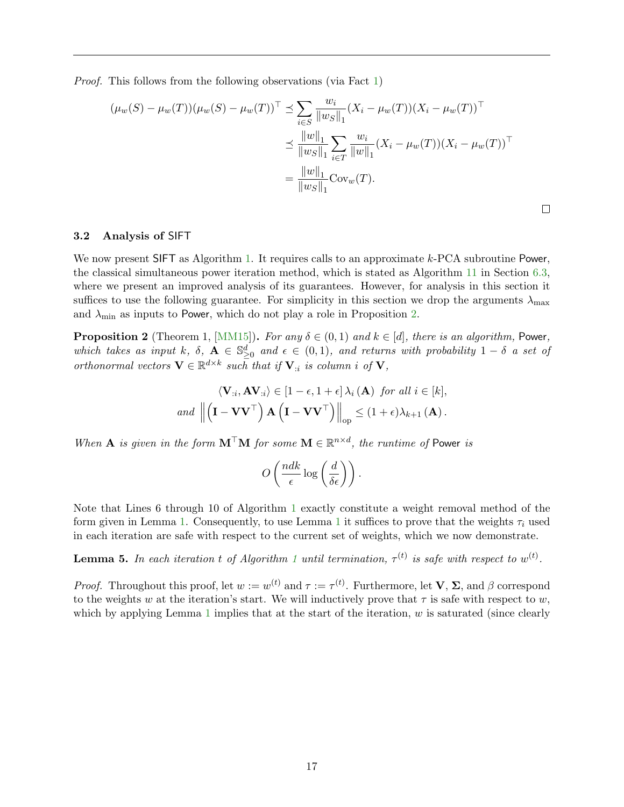Proof. This follows from the following observations (via Fact [1\)](#page-13-3)

$$
(\mu_w(S) - \mu_w(T))(\mu_w(S) - \mu_w(T))^\top \preceq \sum_{i \in S} \frac{w_i}{\|w_S\|_1} (X_i - \mu_w(T))(X_i - \mu_w(T))^\top
$$
  

$$
\preceq \frac{\|w\|_1}{\|w_S\|_1} \sum_{i \in T} \frac{w_i}{\|w\|_1} (X_i - \mu_w(T))(X_i - \mu_w(T))^\top
$$
  

$$
= \frac{\|w\|_1}{\|w_S\|_1} \text{Cov}_w(T).
$$

 $\Box$ 

<span id="page-18-0"></span>3.2 Analysis of SIFT

We now present SIFT as Algorithm [1.](#page-19-0) It requires calls to an approximate  $k$ -PCA subroutine Power, the classical simultaneous power iteration method, which is stated as Algorithm [11](#page-42-1) in Section [6.3,](#page-42-0) where we present an improved analysis of its guarantees. However, for analysis in this section it suffices to use the following guarantee. For simplicity in this section we drop the arguments  $\lambda_{\text{max}}$ and  $\lambda_{\text{min}}$  as inputs to Power, which do not play a role in Proposition [2.](#page-18-1)

<span id="page-18-1"></span>**Proposition 2** (Theorem 1, [\[MM15\]](#page-54-11)). For any  $\delta \in (0,1)$  and  $k \in [d]$ , there is an algorithm, Power, which takes as input k,  $\delta$ ,  $\mathbf{A} \in \mathbb{S}_{\geq 0}^d$  and  $\epsilon \in (0,1)$ , and returns with probability  $1-\delta$  a set of orthonormal vectors  $\mathbf{V} \in \mathbb{R}^{d \times k}$  such that if  $\mathbf{V}_{:i}$  is column i of  $\mathbf{V}_{:i}$ ,

$$
\langle \mathbf{V}_{:i}, \mathbf{A} \mathbf{V}_{:i} \rangle \in [1 - \epsilon, 1 + \epsilon] \lambda_i(\mathbf{A}) \text{ for all } i \in [k],
$$
  
and 
$$
\left\| \left( \mathbf{I} - \mathbf{V} \mathbf{V}^\top \right) \mathbf{A} \left( \mathbf{I} - \mathbf{V} \mathbf{V}^\top \right) \right\|_{op} \leq (1 + \epsilon) \lambda_{k+1}(\mathbf{A}).
$$

When **A** is given in the form  $M^{\top}M$  for some  $M \in \mathbb{R}^{n \times d}$ , the runtime of Power is

$$
O\left(\frac{ndk}{\epsilon}\log\left(\frac{d}{\delta\epsilon}\right)\right).
$$

Note that Lines 6 through 10 of Algorithm [1](#page-19-0) exactly constitute a weight removal method of the form given in Lemma [1.](#page-16-0) Consequently, to use Lemma [1](#page-16-0) it suffices to prove that the weights  $\tau_i$  used in each iteration are safe with respect to the current set of weights, which we now demonstrate.

<span id="page-18-2"></span>**Lemma 5.** In each iteration t of Algorithm [1](#page-19-0) until termination,  $\tau^{(t)}$  is safe with respect to  $w^{(t)}$ .

*Proof.* Throughout this proof, let  $w := w^{(t)}$  and  $\tau := \tau^{(t)}$ . Furthermore, let **V**,  $\Sigma$ , and  $\beta$  correspond to the weights w at the iteration's start. We will inductively prove that  $\tau$  is safe with respect to w, which by applying Lemma [1](#page-16-0) implies that at the start of the iteration,  $w$  is saturated (since clearly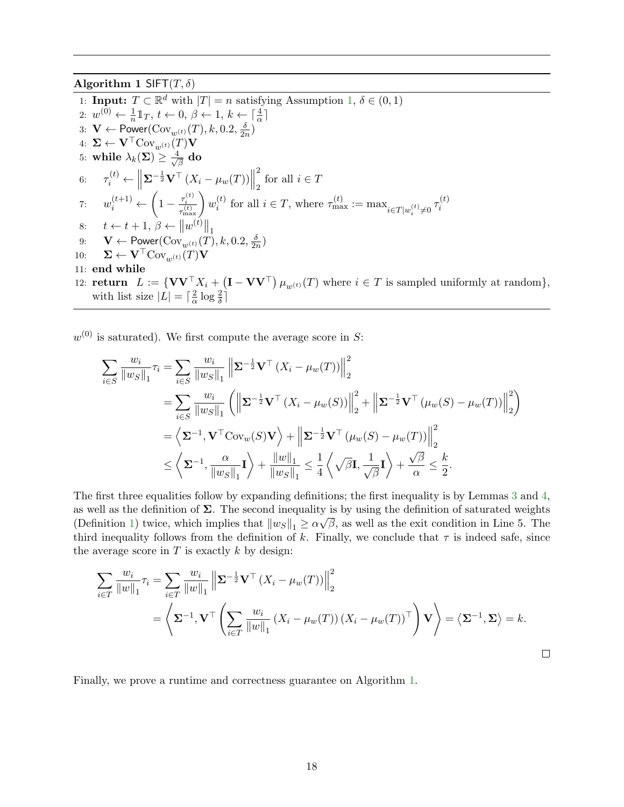Algorithm 1 SIFT $(T, \delta)$ 

<span id="page-19-0"></span>1: **Input:**  $T \subset \mathbb{R}^d$  with  $|T| = n$  satisfying Assumption [1,](#page-14-2)  $\delta \in (0, 1)$ 2:  $w^{(0)} \leftarrow \frac{1}{n} \mathbb{1}_T, t \leftarrow 0, \beta \leftarrow 1, k \leftarrow \lceil \frac{4}{\alpha} \rceil$ 3:  $\mathbf{V} \leftarrow \mathsf{Power}(\mathrm{Cov}_{w^{(t)}}(T), k, 0.2, \frac{\delta}{2n})$  $\frac{\delta}{2n})$ 4:  $\mathbf{\Sigma} \leftarrow \mathbf{V}^\top \text{Cov}_{w^{(t)}}(T)\mathbf{V}$ 5: while  $\lambda_k(\mathbf{\Sigma}) \geq \frac{4}{\sqrt{2}}$  $\frac{1}{\overline{\beta}}$  do 6:  $\tau_i^{(t)} \leftarrow \parallel$  $\sum_{i=1}^{-1} \mathbf{V}^{\top} (X_i - \mu_w(T))$ 2 for all  $i \in T$ 7:  $w_i^{(t+1)} \leftarrow \left(1 - \frac{\tau_i^{(t)}}{\tau_i^{(t)}}\right)$  $\left(\frac{\tau_i^{(t)}}{\tau_\text{max}^{(t)}}\right)w_i^{(t)}$ (*t*) for all  $i \in T$ , where  $\tau_{\max}^{(t)} := \max_{i \in T | w_i^{(t)} \neq 0} \tau_i^{(t)}$ i 8:  $t \leftarrow t + 1, \beta \leftarrow ||w^{(t)}||_1$ 9:  $\mathbf{V} \leftarrow \mathsf{Power}(\mathrm{Cov}_{w^{(t)}}(T), k, 0.2, \frac{\delta}{2n})$  $\frac{\delta}{2n})$ 10:  $\mathbf{\Sigma} \leftarrow \mathbf{V}^\top \text{Cov}_{w(t)}(T)\mathbf{V}$ 11: end while 12: **return**  $L := \{ \mathbf{V} \mathbf{V}^\top X_i + (\mathbf{I} - \mathbf{V} \mathbf{V}^\top) \mu_{w^{(t)}}(T) \text{ where } i \in T \text{ is sampled uniformly at random} \},\$ with list size  $|L| = \lceil \frac{2}{\alpha} \rceil$  $\frac{2}{\alpha} \log \frac{2}{\delta}$ 

 $w^{(0)}$  is saturated). We first compute the average score in S:

$$
\sum_{i \in S} \frac{w_i}{\|w_S\|_1} \tau_i = \sum_{i \in S} \frac{w_i}{\|w_S\|_1} \left\| \Sigma^{-\frac{1}{2}} \mathbf{V}^\top (X_i - \mu_w(T)) \right\|_2^2
$$
  
\n
$$
= \sum_{i \in S} \frac{w_i}{\|w_S\|_1} \left( \left\| \Sigma^{-\frac{1}{2}} \mathbf{V}^\top (X_i - \mu_w(S)) \right\|_2^2 + \left\| \Sigma^{-\frac{1}{2}} \mathbf{V}^\top (\mu_w(S) - \mu_w(T)) \right\|_2^2 \right)
$$
  
\n
$$
= \left\langle \Sigma^{-1}, \mathbf{V}^\top \text{Cov}_w(S) \mathbf{V} \right\rangle + \left\| \Sigma^{-\frac{1}{2}} \mathbf{V}^\top (\mu_w(S) - \mu_w(T)) \right\|_2^2
$$
  
\n
$$
\leq \left\langle \Sigma^{-1}, \frac{\alpha}{\|w_S\|_1} \mathbf{I} \right\rangle + \frac{\|w\|_1}{\|w_S\|_1} \leq \frac{1}{4} \left\langle \sqrt{\beta} \mathbf{I}, \frac{1}{\sqrt{\beta}} \mathbf{I} \right\rangle + \frac{\sqrt{\beta}}{\alpha} \leq \frac{k}{2}.
$$

The first three equalities follow by expanding definitions; the first inequality is by Lemmas [3](#page-17-0) and [4,](#page-17-1) as well as the definition of  $\Sigma$ . The second inequality is by using the definition of saturated weights  $\overline{O}$ (Definition [1\)](#page-14-4) twice, which implies that  $||w_S||_1 \ge \alpha \sqrt{\beta}$ , as well as the exit condition in Line 5. The third inequality follows from the definition of k. Finally, we conclude that  $\tau$  is indeed safe, since the average score in  $T$  is exactly  $k$  by design:

$$
\sum_{i \in T} \frac{w_i}{\|w\|_1} \tau_i = \sum_{i \in T} \frac{w_i}{\|w\|_1} \left\| \Sigma^{-\frac{1}{2}} \mathbf{V}^\top (X_i - \mu_w(T)) \right\|_2^2
$$
  
=  $\left\langle \Sigma^{-1}, \mathbf{V}^\top \left( \sum_{i \in T} \frac{w_i}{\|w\|_1} (X_i - \mu_w(T)) (X_i - \mu_w(T))^\top \right) \mathbf{V} \right\rangle = \left\langle \Sigma^{-1}, \Sigma \right\rangle = k.$ 

Finally, we prove a runtime and correctness guarantee on Algorithm [1.](#page-19-0)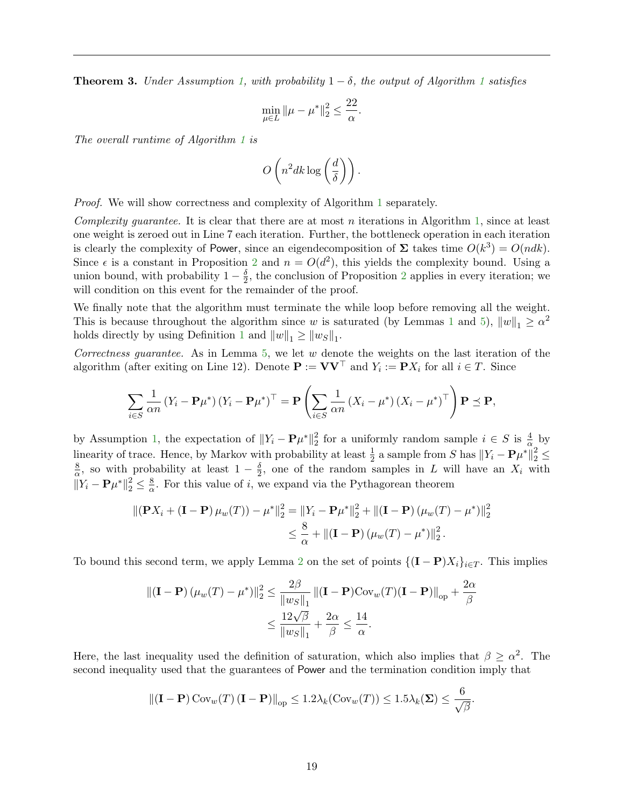<span id="page-20-0"></span>**Theorem 3.** Under Assumption [1,](#page-14-2) with probability  $1 - \delta$  $1 - \delta$ , the output of Algorithm 1 satisfies

$$
\min_{\mu \in L} \|\mu - \mu^*\|_2^2 \le \frac{22}{\alpha}.
$$

The overall runtime of Algorithm [1](#page-19-0) is

$$
O\left(n^2 d k \log\left(\frac{d}{\delta}\right)\right).
$$

Proof. We will show correctness and complexity of Algorithm [1](#page-19-0) separately.

Complexity guarantee. It is clear that there are at most n iterations in Algorithm [1,](#page-19-0) since at least one weight is zeroed out in Line 7 each iteration. Further, the bottleneck operation in each iteration is clearly the complexity of Power, since an eigendecomposition of  $\Sigma$  takes time  $O(k^3) = O(ndk)$ . Since  $\epsilon$  is a constant in Proposition [2](#page-18-1) and  $n = O(d^2)$ , this yields the complexity bound. Using a union bound, with probability  $1-\frac{\delta}{2}$  $\frac{\delta}{2}$  $\frac{\delta}{2}$  $\frac{\delta}{2}$ , the conclusion of Proposition 2 applies in every iteration; we will condition on this event for the remainder of the proof.

We finally note that the algorithm must terminate the while loop before removing all the weight. This is because throughout the algorithm since w is saturated (by Lemmas [1](#page-16-0) and [5\)](#page-18-2),  $||w||_1 \ge \alpha^2$ holds directly by using Definition [1](#page-14-4) and  $||w||_1 \ge ||ws||_1$ .

Correctness guarantee. As in Lemma  $5$ , we let  $w$  denote the weights on the last iteration of the algorithm (after exiting on Line 12). Denote  $\mathbf{P} := \mathbf{V}\mathbf{V}^\top$  and  $Y_i := \mathbf{P}X_i$  for all  $i \in T$ . Since

$$
\sum_{i \in S} \frac{1}{\alpha n} \left( Y_i - \mathbf{P} \mu^* \right) \left( Y_i - \mathbf{P} \mu^* \right)^\top = \mathbf{P} \left( \sum_{i \in S} \frac{1}{\alpha n} \left( X_i - \mu^* \right) \left( X_i - \mu^* \right)^\top \right) \mathbf{P} \preceq \mathbf{P},
$$

by Assumption [1,](#page-14-2) the expectation of  $||Y_i - \mathbf{P}\mu^*||_2^2$ <sup>2</sup>/<sub>2</sub> for a uniformly random sample  $i \in S$  is  $\frac{4}{\alpha}$  by linearity of trace. Hence, by Markov with probability at least  $\frac{1}{2}$  a sample from S has  $||Y_i - \mathbf{P}\mu^*||_2^2 \le$ 8  $\frac{8}{\alpha}$ , so with probability at least  $1-\frac{\delta}{2}$  $\frac{\delta}{2}$ , one of the random samples in L will have an  $X_i$  with  $\|\overline{Y}_i - \mathbf{P}\mu^*\|_2^2 \leq \frac{8}{\alpha}$  $\frac{8}{\alpha}$ . For this value of *i*, we expand via the Pythagorean theorem

$$
\|(\mathbf{P}X_i + (\mathbf{I} - \mathbf{P})\mu_w(T)) - \mu^*\|_2^2 = \|Y_i - \mathbf{P}\mu^*\|_2^2 + \|(\mathbf{I} - \mathbf{P})(\mu_w(T) - \mu^*)\|_2^2
$$
  

$$
\leq \frac{8}{\alpha} + \|(\mathbf{I} - \mathbf{P})(\mu_w(T) - \mu^*)\|_2^2.
$$

To bound this second term, we apply Lemma [2](#page-16-1) on the set of points  $\{({\bf I}-{\bf P})X_i\}_{i\in T}$ . This implies

$$
\begin{aligned} \left\| \left( \mathbf{I} - \mathbf{P} \right) \left( \mu_w(T) - \mu^* \right) \right\|_2^2 &\leq \frac{2\beta}{\|w_S\|_1} \left\| (\mathbf{I} - \mathbf{P}) \text{Cov}_w(T) (\mathbf{I} - \mathbf{P}) \right\|_{\text{op}} + \frac{2\alpha}{\beta} \\ &\leq \frac{12\sqrt{\beta}}{\|w_S\|_1} + \frac{2\alpha}{\beta} \leq \frac{14}{\alpha}. \end{aligned}
$$

Here, the last inequality used the definition of saturation, which also implies that  $\beta \geq \alpha^2$ . The second inequality used that the guarantees of Power and the termination condition imply that

$$
\|(\mathbf{I}-\mathbf{P})\operatorname{Cov}_{w}(T)(\mathbf{I}-\mathbf{P})\|_{\text{op}} \leq 1.2\lambda_{k}(\operatorname{Cov}_{w}(T)) \leq 1.5\lambda_{k}(\boldsymbol{\Sigma}) \leq \frac{6}{\sqrt{\beta}}.
$$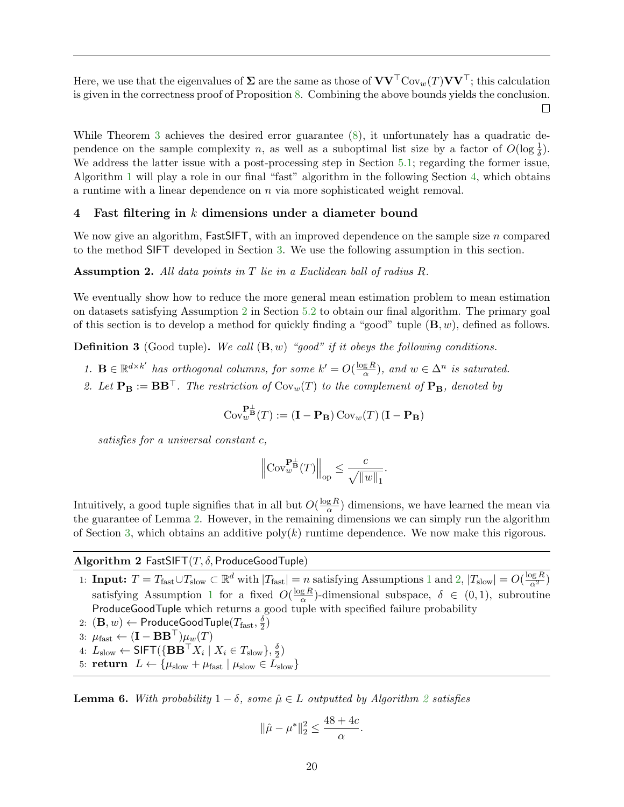Here, we use that the eigenvalues of  $\Sigma$  are the same as those of  $VV<sup>T</sup>Cov<sub>w</sub>(T)VV<sup>T</sup>$ ; this calculation is given in the correctness proof of Proposition [8.](#page-46-1) Combining the above bounds yields the conclusion.  $\Box$ 

While Theorem [3](#page-20-0) achieves the desired error guarantee [\(8\)](#page-14-6), it unfortunately has a quadratic dependence on the sample complexity n, as well as a suboptimal list size by a factor of  $O(\log \frac{1}{\delta})$ . We address the latter issue with a post-processing step in Section [5.1;](#page-30-1) regarding the former issue, Algorithm [1](#page-19-0) will play a role in our final "fast" algorithm in the following Section [4,](#page-21-0) which obtains a runtime with a linear dependence on  $n$  via more sophisticated weight removal.

## <span id="page-21-0"></span>4 Fast filtering in k dimensions under a diameter bound

We now give an algorithm,  $FastSIFT$ , with an improved dependence on the sample size n compared to the method SIFT developed in Section [3.](#page-14-0) We use the following assumption in this section.

#### <span id="page-21-2"></span>Assumption 2. All data points in T lie in a Euclidean ball of radius R.

We eventually show how to reduce the more general mean estimation problem to mean estimation on datasets satisfying Assumption [2](#page-21-2) in Section [5.2](#page-32-0) to obtain our final algorithm. The primary goal of this section is to develop a method for quickly finding a "good" tuple  $(\mathbf{B}, w)$ , defined as follows.

<span id="page-21-3"></span>**Definition 3** (Good tuple). We call  $(\mathbf{B}, w)$  "good" if it obeys the following conditions.

- 1.  $\mathbf{B} \in \mathbb{R}^{d \times k'}$  has orthogonal columns, for some  $k' = O(\frac{\log R}{\alpha})$  $\frac{gR}{\alpha}$ ), and  $w \in \Delta^n$  is saturated.
- 2. Let  $\mathbf{P}_B := BB^{\top}$ . The restriction of  $Cov_w(T)$  to the complement of  $\mathbf{P}_B$ , denoted by

$$
\mathrm{Cov}^{\mathbf{P}_{\mathbf{B}}^{\perp}}_{w}(T) := (\mathbf{I} - \mathbf{P}_{\mathbf{B}}) \, \mathrm{Cov}_w(T) \, (\mathbf{I} - \mathbf{P}_{\mathbf{B}})
$$

satisfies for a universal constant c,

$$
\left\|\mathrm{Cov}^{\mathbf{P}^\perp_\mathbf{B}}_w(T)\right\|_{\mathrm{op}} \leq \frac{c}{\sqrt{\|w\|_1}}.
$$

Intuitively, a good tuple signifies that in all but  $O(\frac{\log R}{\alpha})$  $\frac{gR}{\alpha}$ ) dimensions, we have learned the mean via the guarantee of Lemma [2.](#page-16-1) However, in the remaining dimensions we can simply run the algorithm of Section [3,](#page-14-0) which obtains an additive  $poly(k)$  runtime dependence. We now make this rigorous.

## Algorithm 2 FastSIFT $(T, \delta, \text{ProductGoodTuple})$

- <span id="page-21-1"></span>[1](#page-14-2): **Input:**  $T = T_{\text{fast}} \cup T_{\text{slow}} \subset \mathbb{R}^d$  with  $|T_{\text{fast}}| = n$  satisfying Assumptions 1 and [2,](#page-21-2)  $|T_{\text{slow}}| = O(\frac{\log R}{\alpha^2})$ satisfying Assumption [1](#page-14-2) for a fixed  $O(\frac{\log R}{\alpha})$  $\frac{g R}{\alpha}$ )-dimensional subspace,  $\delta \in (0,1)$ , subroutine ProduceGoodTuple which returns a good tuple with specified failure probability
- 2:  $(\mathbf{B}, w) \leftarrow \mathsf{ProduceGoodTuple}(T_{\text{fast}}, \frac{\delta}{2})$ 2.  $(\mathbf{D}, w) \leftarrow \mathbf{1}$  founded bod tupie( $\mathbf{I}$  fast,  $\frac{1}{2}$ <br>3:  $\mu_{\text{fast}} \leftarrow (\mathbf{I} - \mathbf{B} \mathbf{B}^{\top}) \mu_w(T)$

- 4:  $L_{\rm slow} \leftarrow \mathsf{SIFT}(\{\mathbf{B}\mathbf{B}^\top X_i \mid X_i \in T_{\rm slow}\}, \frac{\delta}{2})$  $\frac{\delta}{2})$
- 5: **return**  $L \leftarrow {\mu_{slow} + \mu_{fast} | \mu_{slow} \in L_{slow}}$

<span id="page-21-4"></span>**Lemma 6.** With probability  $1 - \delta$ , some  $\hat{\mu} \in L$  outputted by Algorithm [2](#page-21-1) satisfies

$$
\|\hat{\mu} - \mu^*\|_2^2 \le \frac{48 + 4c}{\alpha}.
$$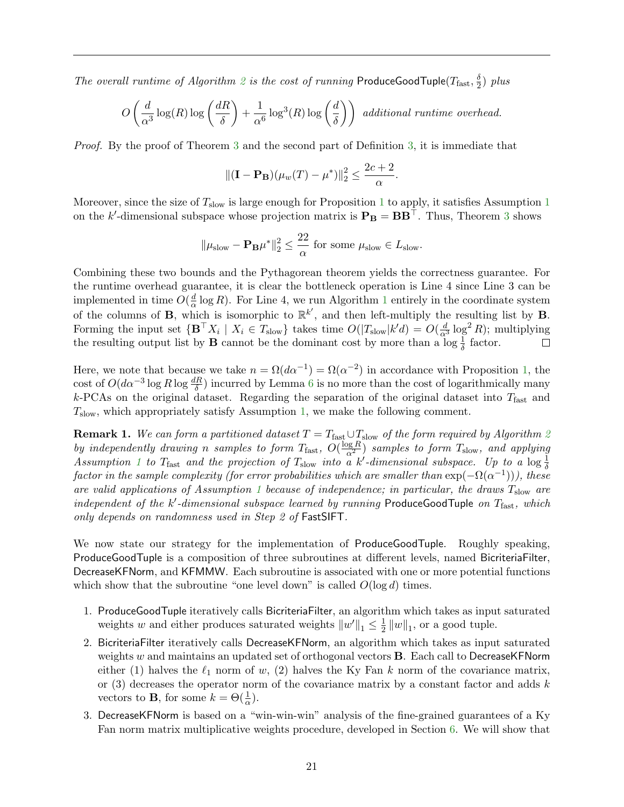The overall runtime of Algorithm [2](#page-21-1) is the cost of running ProduceGoodTuple( $T_{\text{fast}}, \frac{\delta}{2}$  $\frac{\delta}{2}$ ) plus

$$
O\left(\frac{d}{\alpha^3}\log(R)\log\left(\frac{dR}{\delta}\right) + \frac{1}{\alpha^6}\log^3(R)\log\left(\frac{d}{\delta}\right)\right) \text{ additional runtime overhead.}
$$

Proof. By the proof of Theorem [3](#page-20-0) and the second part of Definition [3,](#page-21-3) it is immediate that

$$
\|(\mathbf{I} - \mathbf{P}_{\mathbf{B}})(\mu_w(T) - \mu^*)\|_2^2 \le \frac{2c + 2}{\alpha}.
$$

Moreover, since the size of  $T_{slow}$  is large enough for Proposition [1](#page-14-2) to apply, it satisfies Assumption 1 on the k'-dimensional subspace whose projection matrix is  $P_B = BB^{\top}$ . Thus, Theorem [3](#page-20-0) shows

$$
\|\mu_{\mathrm{slow}}-\mathbf{P}_{\mathbf{B}}\mu^*\|_2^2\leq \frac{22}{\alpha}\text{ for some }\mu_{\mathrm{slow}}\in L_{\mathrm{slow}}.
$$

Combining these two bounds and the Pythagorean theorem yields the correctness guarantee. For the runtime overhead guarantee, it is clear the bottleneck operation is Line 4 since Line 3 can be implemented in time  $O(\frac{d}{\alpha})$  $\frac{a}{\alpha}$  log R). For Line 4, we run Algorithm [1](#page-19-0) entirely in the coordinate system of the columns of **B**, which is isomorphic to  $\mathbb{R}^{k'}$ , and then left-multiply the resulting list by **B**. Forming the input set  $\{ \mathbf{B}^\top X_i \mid X_i \in T_{\text{slow}} \}$  takes time  $O(|T_{\text{slow}}|k'd) = O(\frac{d}{\alpha^3} \log^2 R)$ ; multiplying the resulting output list by **B** cannot be the dominant cost by more than a  $\log \frac{1}{\delta}$  factor.

Here, we note that because we take  $n = \Omega(d\alpha^{-1}) = \Omega(\alpha^{-2})$  in accordance with Proposition [1,](#page-14-3) the cost of  $O(d\alpha^{-3}\log R\log \frac{dR}{\delta})$  incurred by Lemma [6](#page-21-4) is no more than the cost of logarithmically many  $k$ -PCAs on the original dataset. Regarding the separation of the original dataset into  $T<sub>fast</sub>$  and  $T_{\text{slow}}$ , which appropriately satisfy Assumption [1,](#page-14-2) we make the following comment.

<span id="page-22-0"></span>**Remark 1.** We can form a partitioned dataset  $T = T_{\text{fast}} \cup T_{\text{slow}}$  of the form required by Algorithm [2](#page-21-1) by independently drawing n samples to form  $T_{\text{fast}}$ ,  $O(\frac{\log R}{\alpha^2})$  samples to form  $T_{\text{slow}}$ , and applying Assumption [1](#page-14-2) to  $T_{\text{fast}}$  and the projection of  $T_{\text{slow}}$  into a k'-dimensional subspace. Up to a  $\log \frac{1}{\delta}$ factor in the sample complexity (for error probabilities which are smaller than  $\exp(-\Omega(\alpha^{-1})))$ , these are valid applications of Assumption [1](#page-14-2) because of independence; in particular, the draws  $T_{slow}$  are independent of the  $k'$ -dimensional subspace learned by running ProduceGoodTuple on  $T_{\text{fast}}$ , which only depends on randomness used in Step 2 of FastSIFT.

We now state our strategy for the implementation of ProduceGoodTuple. Roughly speaking, ProduceGoodTuple is a composition of three subroutines at different levels, named BicriteriaFilter, DecreaseKFNorm, and KFMMW. Each subroutine is associated with one or more potential functions which show that the subroutine "one level down" is called  $O(\log d)$  times.

- 1. ProduceGoodTuple iteratively calls BicriteriaFilter, an algorithm which takes as input saturated weights w and either produces saturated weights  $||w'||_1 \leq \frac{1}{2}$  $\frac{1}{2}$   $||w||_1$ , or a good tuple.
- 2. BicriteriaFilter iteratively calls DecreaseKFNorm, an algorithm which takes as input saturated weights w and maintains an updated set of orthogonal vectors  $\bf{B}$ . Each call to DecreaseKFNorm either (1) halves the  $\ell_1$  norm of w, (2) halves the Ky Fan k norm of the covariance matrix, or  $(3)$  decreases the operator norm of the covariance matrix by a constant factor and adds k vectors to **B**, for some  $k = \Theta(\frac{1}{\alpha})$ .
- 3. DecreaseKFNorm is based on a "win-win-win" analysis of the fine-grained guarantees of a Ky Fan norm matrix multiplicative weights procedure, developed in Section [6.](#page-36-0) We will show that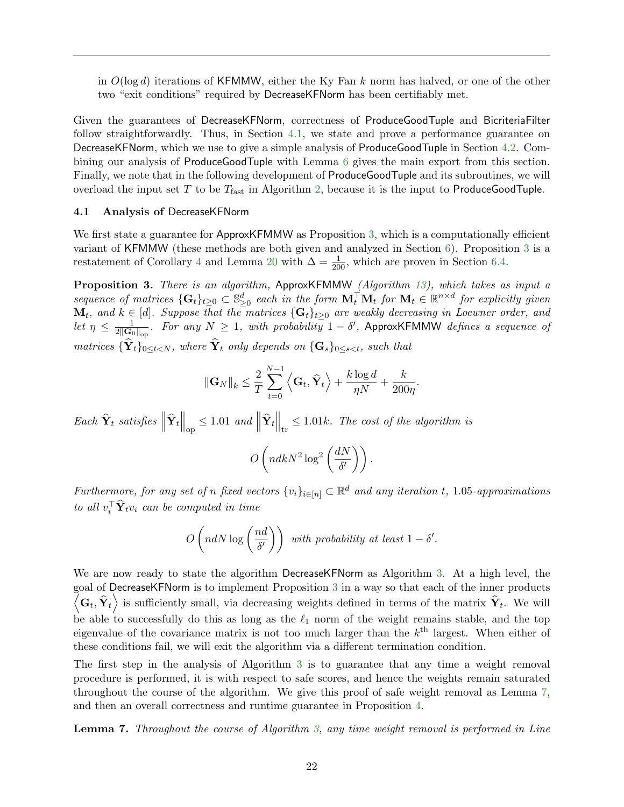in  $O(\log d)$  iterations of KFMMW, either the Ky Fan k norm has halved, or one of the other two "exit conditions" required by DecreaseKFNorm has been certifiably met.

Given the guarantees of DecreaseKFNorm, correctness of ProduceGoodTuple and BicriteriaFilter follow straightforwardly. Thus, in Section [4.1,](#page-23-0) we state and prove a performance guarantee on DecreaseKFNorm, which we use to give a simple analysis of ProduceGoodTuple in Section [4.2.](#page-28-0) Combining our analysis of ProduceGoodTuple with Lemma [6](#page-21-4) gives the main export from this section. Finally, we note that in the following development of ProduceGoodTuple and its subroutines, we will overload the input set  $T$  to be  $T_{\text{fast}}$  in Algorithm [2,](#page-21-1) because it is the input to ProduceGoodTuple.

#### <span id="page-23-0"></span>4.1 Analysis of DecreaseKFNorm

We first state a guarantee for ApproxKFMMW as Proposition [3,](#page-23-1) which is a computationally efficient variant of KFMMW (these methods are both given and analyzed in Section [6\)](#page-36-0). Proposition [3](#page-23-1) is a restatement of Corollary [4](#page-50-0) and Lemma [20](#page-50-1) with  $\Delta = \frac{1}{200}$ , which are proven in Section [6.4.](#page-46-0)

<span id="page-23-1"></span>Proposition 3. There is an algorithm, ApproxKFMMW (Algorithm [13\)](#page-50-2), which takes as input a sequence of matrices  $\{G_t\}_{t\geq 0}\subset \mathbb{S}^d_{\geq 0}$  each in the form  $\mathbf{M}_t^\top\mathbf{M}_t$  for  $\mathbf{M}_t\in \mathbb{R}^{n\times d}$  for explicitly given  $\mathbf{M}_t$ , and  $k \in [d]$ . Suppose that the matrices  $\{\mathbf{G}_t\}_{t\geq 0}$  are weakly decreasing in Loewner order, and let  $\eta \leq \frac{1}{2\|\mathbf{G}_c\|}$  $\frac{1}{2\|\mathbf{G}_0\|_{\text{op}}}$ . For any  $N \geq 1$ , with probability  $1-\delta'$ , ApproxKFMMW defines a sequence of matrices  ${\{\hat{\mathbf{Y}}_t\}_{0\leq t\leq N}}$ , where  ${\hat{\mathbf{Y}}_t}$  only depends on  ${\{\mathbf{G}_s\}_{0\leq s\leq t}}$ , such that

$$
\|\mathbf{G}_{N}\|_{k} \leq \frac{2}{T} \sum_{t=0}^{N-1} \left\langle \mathbf{G}_{t}, \widehat{\mathbf{Y}}_{t} \right\rangle + \frac{k \log d}{\eta N} + \frac{k}{200\eta}.
$$

Each  $\widehat{\mathbf{Y}}_t$  satisfies  $\left\|\widehat{\mathbf{Y}}_t\right\|_{\mathrm{op}} \leq 1.01$  and  $\left\|\widehat{\mathbf{Y}}_t\right\|_{\mathrm{tr}} \leq 1.01k$ . The cost of the algorithm is

$$
O\left(ndkN^2\log^2\left(\frac{dN}{\delta'}\right)\right).
$$

Furthermore, for any set of n fixed vectors  $\{v_i\}_{i\in[n]}\subset \mathbb{R}^d$  and any iteration t, 1.05-approximations to all  $v_i^{\top} \hat{\mathbf{Y}}_t v_i$  can be computed in time

$$
O\left(ndN\log\left(\frac{nd}{\delta'}\right)\right) \text{ with probability at least } 1-\delta'.
$$

We are now ready to state the algorithm DecreaseKFNorm as Algorithm [3.](#page-24-0) At a high level, the goal of DecreaseKFNorm is to implement Proposition [3](#page-23-1) in a way so that each of the inner products  $\left\langle \mathbf{G}_t, \widehat{\mathbf{Y}}_t \right\rangle$  is sufficiently small, via decreasing weights defined in terms of the matrix  $\widehat{\mathbf{Y}}_t$ . We will be able to successfully do this as long as the  $\ell_1$  norm of the weight remains stable, and the top eigenvalue of the covariance matrix is not too much larger than the  $k<sup>th</sup>$  largest. When either of these conditions fail, we will exit the algorithm via a different termination condition.

The first step in the analysis of Algorithm [3](#page-24-0) is to guarantee that any time a weight removal procedure is performed, it is with respect to safe scores, and hence the weights remain saturated throughout the course of the algorithm. We give this proof of safe weight removal as Lemma [7,](#page-23-2) and then an overall correctness and runtime guarantee in Proposition [4.](#page-26-0)

<span id="page-23-2"></span>**Lemma 7.** Throughout the course of Algorithm [3,](#page-24-0) any time weight removal is performed in Line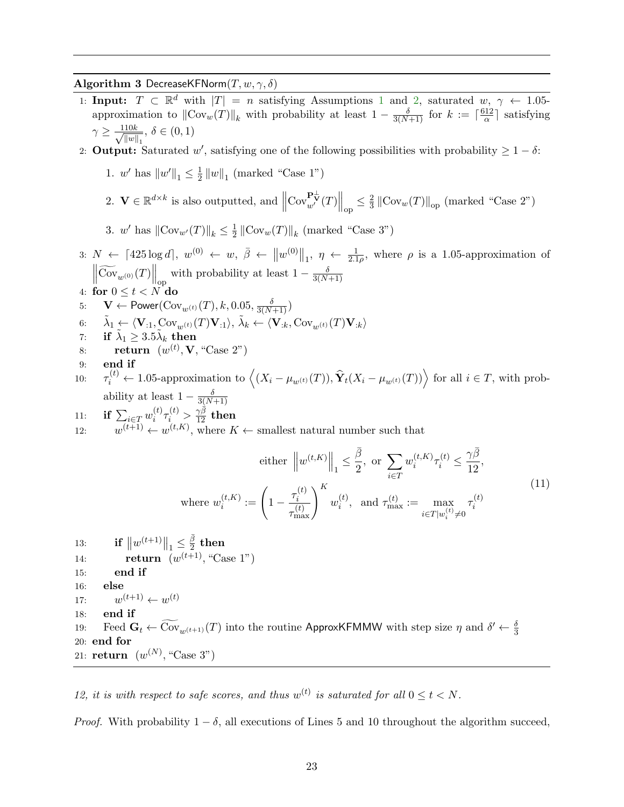## Algorithm 3 DecreaseKFNorm $(T, w, \gamma, \delta)$

- <span id="page-24-0"></span>[1](#page-14-2): Input:  $T \subset \mathbb{R}^d$  with  $|T| = n$  satisfying Assumptions 1 and [2,](#page-21-2) saturated  $w, \gamma \leftarrow 1.05$ approximation to  $\|\text{Cov}_w(T)\|_k$  with probability at least  $1 - \frac{\delta}{3(N+1)}$  for  $k := \lceil \frac{612}{\alpha} \rceil$  $\frac{12}{\alpha}$  satisfying  $\gamma \geq \frac{-110k}{(110)}$  $\frac{10k}{\|w\|_1}, \delta \in (0,1)$
- 2: **Output:** Saturated w', satisfying one of the following possibilities with probability  $\geq 1 \delta$ :
	- 1. *w'* has  $||w'||_1 \leq \frac{1}{2}$  $\frac{1}{2}||w||_1$  (marked "Case 1")
	- 2.  $\mathbf{V} \in \mathbb{R}^{d \times k}$  is also outputted, and  $\|$  $\mathrm{Cov}_{w'}^{\mathbf{P}_{\mathbf{V}}^{\perp}}(T)\Big\|_{\mathrm{op}} \leq \frac{2}{3}$  $\frac{2}{3}$   $\left\Vert \mathrm{Cov}_{w}(T)\right\Vert _{\text{op}}$  (marked "Case 2")
	- 3. *w*' has  $\|\text{Cov}_{w'}(T)\|_{k} \leq \frac{1}{2}$  $\frac{1}{2}$   $\left\| \text{Cov}_w(T) \right\|_k$  (marked "Case 3")
- 3:  $N \leftarrow [425 \log d], w^{(0)} \leftarrow w, \overline{\beta} \leftarrow ||w^{(0)}||_1, \eta \leftarrow \frac{1}{2.1\rho}$ , where  $\rho$  is a 1.05-approximation of  $\left\|\widetilde{\mathrm{Cov}}_{w^{(0)}}(T)\right\|_{\mathrm{op}}$  with probability at least  $1-\frac{\delta}{3(N-1)}$  $3(N+1)$
- 4: for  $0 \leq t < N$  do
- 5:  $\mathbf{V} \leftarrow \mathsf{Power}(\mathrm{Cov}_{w^{(t)}}(T), k, 0.05, \frac{\delta}{3(N+1)})$
- 6:  $\tilde{\lambda}_1 \leftarrow \langle \mathbf{V}_{:1}, \text{Cov}_{w^{(t)}}(T)\mathbf{V}_{:1}\rangle, \, \tilde{\lambda}_k \leftarrow \langle \mathbf{V}_{:k}, \text{Cov}_{w^{(t)}}(T)\mathbf{V}_{:k}\rangle$
- 7: if  $\tilde{\lambda}_1 \geq 3.5 \tilde{\lambda}_k$  then
- 8: return  $(w^{(t)}, \mathbf{V}, \text{``Case 2''})$
- 9: end if
- 10:  $\tau_i^{(t)} \leftarrow 1.05$ -approximation to  $\left\langle (X_i \mu_{w^{(t)}}(T)), \hat{\mathbf{Y}}_t(X_i \mu_{w^{(t)}}(T)) \right\rangle$  for all  $i \in T$ , with probability at least  $1 - \frac{\delta}{3(N)}$  $\frac{3(N+1)}{2}$
- 11: if  $\sum_{i \in T} w_i^{(t)}$  $\hat{\tau}^{(t)}_i \tau^{(t)}_i > \frac{\gamma \bar{\beta}}{12} \; {\rm then}$ 12:  $w^{(t+1)} \leftarrow w^{(t,K)}$ , where  $K \leftarrow$  smallest natural number such that

<span id="page-24-1"></span>
$$
\text{either } \left\|w^{(t,K)}\right\|_{1} \leq \frac{\bar{\beta}}{2}, \text{ or } \sum_{i \in T} w_i^{(t,K)} \tau_i^{(t)} \leq \frac{\gamma \bar{\beta}}{12},
$$
\n
$$
\text{where } w_i^{(t,K)} := \left(1 - \frac{\tau_i^{(t)}}{\tau_{\text{max}}^{(t)}}\right)^K w_i^{(t)}, \text{ and } \tau_{\text{max}}^{(t)} := \max_{i \in T|w_i^{(t)} \neq 0} \tau_i^{(t)} \tag{11}
$$

13: **if**  $||w^{(t+1)}||_1 \leq \frac{\bar{\beta}}{2}$  $\frac{\beta}{2}$  then 14: **return**  $(w^{(t+1)}, "Case 1")$ 15: end if 16: else 17: w  $(t+1) \leftarrow w^{(t)}$ 18: end if 19: Feed  $\mathbf{G}_t \leftarrow \widetilde{\text{Cov}}_{w^{(t+1)}}(T)$  into the routine ApproxKFMMW with step size  $\eta$  and  $\delta' \leftarrow \frac{\delta}{3}$ 20: end for 21: **return**  $(w^{(N)}, "Case 3")$ 

12, it is with respect to safe scores, and thus  $w^{(t)}$  is saturated for all  $0 \le t < N$ .

*Proof.* With probability  $1 - \delta$ , all executions of Lines 5 and 10 throughout the algorithm succeed,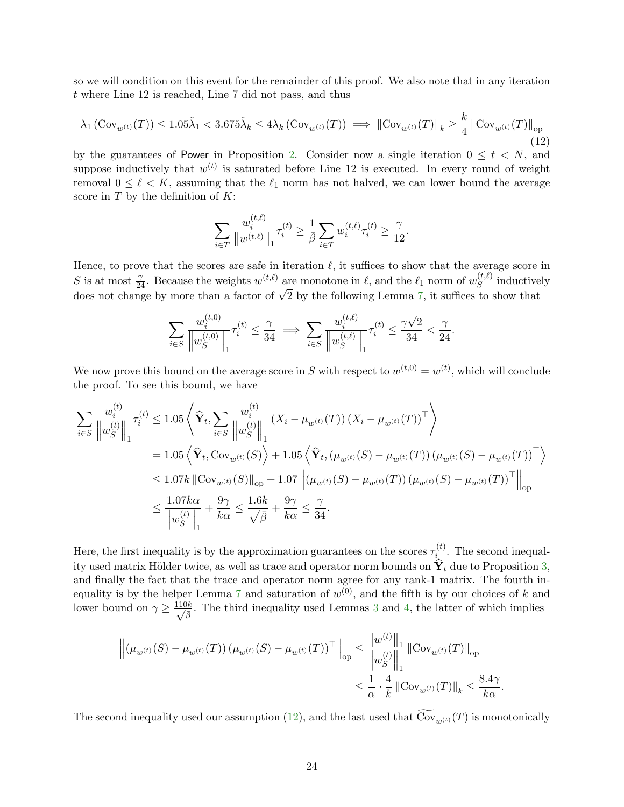so we will condition on this event for the remainder of this proof. We also note that in any iteration t where Line 12 is reached, Line 7 did not pass, and thus

<span id="page-25-0"></span>
$$
\lambda_1 \left( \operatorname{Cov}_{w^{(t)}}(T) \right) \le 1.05 \tilde{\lambda}_1 < 3.675 \tilde{\lambda}_k \le 4 \lambda_k \left( \operatorname{Cov}_{w^{(t)}}(T) \right) \implies \left\| \operatorname{Cov}_{w^{(t)}}(T) \right\|_k \ge \frac{k}{4} \left\| \operatorname{Cov}_{w^{(t)}}(T) \right\|_{\text{op}} \tag{12}
$$

by the guarantees of Power in Proposition [2.](#page-18-1) Consider now a single iteration  $0 \leq t \leq N$ , and suppose inductively that  $w^{(t)}$  is saturated before Line 12 is executed. In every round of weight removal  $0 \leq \ell \leq K$ , assuming that the  $\ell_1$  norm has not halved, we can lower bound the average score in  $T$  by the definition of  $K$ :

$$
\sum_{i \in T} \frac{w_i^{(t,\ell)}}{\big\| w^{(t,\ell)} \big\|_1} \tau_i^{(t)} \ge \frac{1}{\bar{\beta}} \sum_{i \in T} w_i^{(t,\ell)} \tau_i^{(t)} \ge \frac{\gamma}{12}.
$$

Hence, to prove that the scores are safe in iteration  $\ell$ , it suffices to show that the average score in S is at most  $\frac{\gamma}{24}$ . Because the weights  $w^{(t,\ell)}$  are monotone in  $\ell$ , and the  $\ell_1$  norm of  $w_S^{(t,\ell)}$ S is at most  $\frac{\gamma}{24}$ . Because the weights  $w^{(t,\ell)}$  are monotone in  $\ell$ , and the  $\ell_1$  norm of  $w_S^{(\ell,\ell)}$  inductively does not change by more than a factor of  $\sqrt{2}$  by the following Lemma [7,](#page-23-2) it suffices to show tha

$$
\sum_{i \in S} \frac{w_i^{(t,0)}}{\left\|w_S^{(t,0)}\right\|_1} \tau_i^{(t)} \le \frac{\gamma}{34} \implies \sum_{i \in S} \frac{w_i^{(t,\ell)}}{\left\|w_S^{(t,\ell)}\right\|_1} \tau_i^{(t)} \le \frac{\gamma\sqrt{2}}{34} < \frac{\gamma}{24}.
$$

We now prove this bound on the average score in S with respect to  $w^{(t,0)} = w^{(t)}$ , which will conclude the proof. To see this bound, we have

$$
\sum_{i \in S} \frac{w_i^{(t)}}{\|w_S^{(t)}\|_1} \tau_i^{(t)} \le 1.05 \left\langle \hat{\mathbf{Y}}_t, \sum_{i \in S} \frac{w_i^{(t)}}{\|w_S^{(t)}\|_1} (X_i - \mu_{w^{(t)}}(T)) (X_i - \mu_{w^{(t)}}(T))^{\top} \right\rangle
$$
  
= 1.05  $\left\langle \hat{\mathbf{Y}}_t, \text{Cov}_{w^{(t)}}(S) \right\rangle + 1.05 \left\langle \hat{\mathbf{Y}}_t, (\mu_{w^{(t)}}(S) - \mu_{w^{(t)}}(T)) (\mu_{w^{(t)}}(S) - \mu_{w^{(t)}}(T))^{\top} \right\rangle$   

$$
\le 1.07k \left\| \text{Cov}_{w^{(t)}}(S) \right\|_{\text{op}} + 1.07 \left\| (\mu_{w^{(t)}}(S) - \mu_{w^{(t)}}(T)) (\mu_{w^{(t)}}(S) - \mu_{w^{(t)}}(T))^{\top} \right\|_{\text{op}}
$$
  

$$
\le \frac{1.07k\alpha}{\left\| w_S^{(t)} \right\|_1} + \frac{9\gamma}{k\alpha} \le \frac{1.6k}{\sqrt{\beta}} + \frac{9\gamma}{k\alpha} \le \frac{\gamma}{34}.
$$

Here, the first inequality is by the approximation guarantees on the scores  $\tau_i^{(t)}$  $i_{i}^{(i)}$ . The second inequality used matrix Hölder twice, as well as trace and operator norm bounds on  $\hat{\mathbf{Y}}_t$  due to Proposition 3. and finally the fact that the trace and operator norm agree for any rank-1 matrix. The fourth in-equality is by the helper Lemma [7](#page-23-2) and saturation of  $w^{(0)}$ , and the fifth is by our choices of k and lower bound on  $\gamma \geq \frac{110k}{\sqrt{2}}$  $\frac{1}{\beta}$ . The third inequality used Lemmas [3](#page-17-0) and [4,](#page-17-1) the latter of which implies

$$
\left\| (\mu_{w^{(t)}}(S) - \mu_{w^{(t)}}(T)) (\mu_{w^{(t)}}(S) - \mu_{w^{(t)}}(T))^\top \right\|_{op} \leq \frac{\left\| w^{(t)} \right\|_1}{\left\| w^{(t)}_S \right\|_1} \left\| \text{Cov}_{w^{(t)}}(T) \right\|_{op}
$$
  

$$
\leq \frac{1}{\alpha} \cdot \frac{4}{k} \left\| \text{Cov}_{w^{(t)}}(T) \right\|_k \leq \frac{8.4\gamma}{k\alpha}.
$$

The second inequality used our assumption [\(12\)](#page-25-0), and the last used that  $\widetilde{\mathrm{Cov}}_{w(t)}(T)$  is monotonically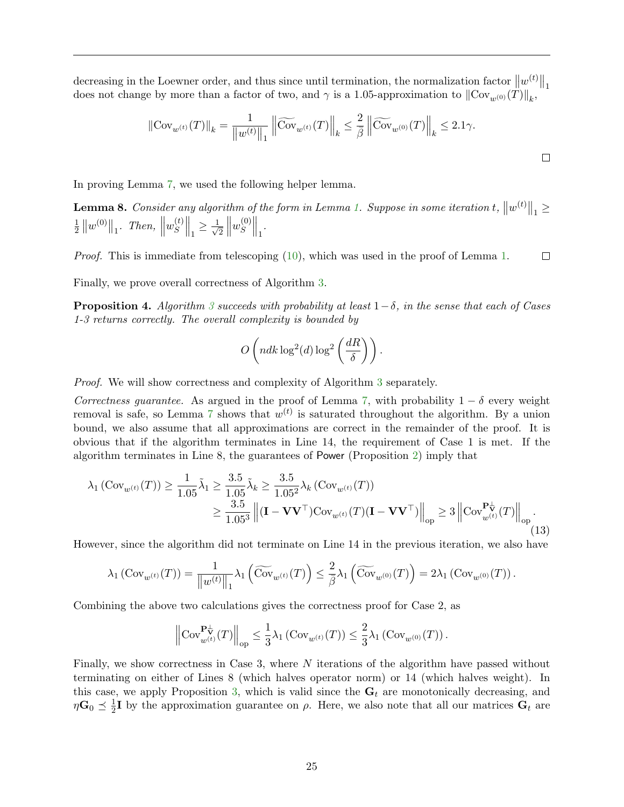decreasing in the Loewner order, and thus since until termination, the normalization factor  $||w^{(t)}||_1$ does not change by more than a factor of two, and  $\gamma$  is a 1.05-approximation to  $\|\text{Cov}_{w^{(0)}}(T)\|_{k}$ ,

$$
\left\|\text{Cov}_{w^{(t)}}(T)\right\|_{k} = \frac{1}{\left\|w^{(t)}\right\|_{1}}\left\|\widetilde{\text{Cov}}_{w^{(t)}}(T)\right\|_{k} \le \frac{2}{\bar{\beta}}\left\|\widetilde{\text{Cov}}_{w^{(0)}}(T)\right\|_{k} \le 2.1\gamma.
$$

In proving Lemma [7,](#page-23-2) we used the following helper lemma.

**Lemma 8.** Consider any algorithm of the form in Lemma [1.](#page-16-0) Suppose in some iteration  $t$ ,  $\|w^{(t)}\|_1 \ge$ 1  $\frac{1}{2}$   $||w^{(0)}||_1$ . Then,  $||$  $w_S^{(t)}$  $S\bigg\|_1 \geq \frac{1}{\sqrt{2}}$ 2  $\begin{array}{c} \hline \end{array}$  $w_S^{(0)}$  $S^{(0)}\Big\|_1$ .

*Proof.* This is immediate from telescoping [\(10\)](#page-16-3), which was used in the proof of Lemma [1.](#page-16-0)  $\Box$ 

Finally, we prove overall correctness of Algorithm [3.](#page-24-0)

<span id="page-26-0"></span>**Proposition 4.** Algorithm [3](#page-24-0) succeeds with probability at least  $1-\delta$ , in the sense that each of Cases 1-3 returns correctly. The overall complexity is bounded by

$$
O\left(ndk\log^2(d)\log^2\left(\frac{dR}{\delta}\right)\right).
$$

Proof. We will show correctness and complexity of Algorithm [3](#page-24-0) separately.

Correctness guarantee. As argued in the proof of Lemma [7,](#page-23-2) with probability  $1 - \delta$  every weight removal is safe, so Lemma [7](#page-23-2) shows that  $w^{(t)}$  is saturated throughout the algorithm. By a union bound, we also assume that all approximations are correct in the remainder of the proof. It is obvious that if the algorithm terminates in Line 14, the requirement of Case 1 is met. If the algorithm terminates in Line 8, the guarantees of Power (Proposition [2\)](#page-18-1) imply that

<span id="page-26-1"></span>
$$
\lambda_1 (\text{Cov}_{w^{(t)}}(T)) \ge \frac{1}{1.05} \tilde{\lambda}_1 \ge \frac{3.5}{1.05} \tilde{\lambda}_k \ge \frac{3.5}{1.05^2} \lambda_k (\text{Cov}_{w^{(t)}}(T))
$$
  

$$
\ge \frac{3.5}{1.05^3} \left\| (\mathbf{I} - \mathbf{V} \mathbf{V}^\top) \text{Cov}_{w^{(t)}}(T) (\mathbf{I} - \mathbf{V} \mathbf{V}^\top) \right\|_{op} \ge 3 \left\| \text{Cov}_{w^{(t)}}^{\mathbf{P}^+_W}(T) \right\|_{op} .
$$
 (13)

However, since the algorithm did not terminate on Line 14 in the previous iteration, we also have

$$
\lambda_1(\mathrm{Cov}_{w^{(t)}}(T)) = \frac{1}{\|w^{(t)}\|_1} \lambda_1\left(\widetilde{\mathrm{Cov}}_{w^{(t)}}(T)\right) \leq \frac{2}{\bar{\beta}} \lambda_1\left(\widetilde{\mathrm{Cov}}_{w^{(0)}}(T)\right) = 2\lambda_1\left(\mathrm{Cov}_{w^{(0)}}(T)\right).
$$

Combining the above two calculations gives the correctness proof for Case 2, as

$$
\left\| \mathrm{Cov}^{\mathbf{P}^{\perp}_{\mathbf{V}}}_{w^{(t)}}(T) \right\|_{\mathrm{op}} \leq \frac{1}{3} \lambda_1 \left( \mathrm{Cov}_{w^{(t)}}(T) \right) \leq \frac{2}{3} \lambda_1 \left( \mathrm{Cov}_{w^{(0)}}(T) \right).
$$

Finally, we show correctness in Case 3, where N iterations of the algorithm have passed without terminating on either of Lines 8 (which halves operator norm) or 14 (which halves weight). In this case, we apply Proposition [3,](#page-23-1) which is valid since the  $G_t$  are monotonically decreasing, and  $\eta \mathbf{G}_0 \preceq \frac{1}{2}$  $\frac{1}{2}I$  by the approximation guarantee on  $\rho$ . Here, we also note that all our matrices  $G_t$  are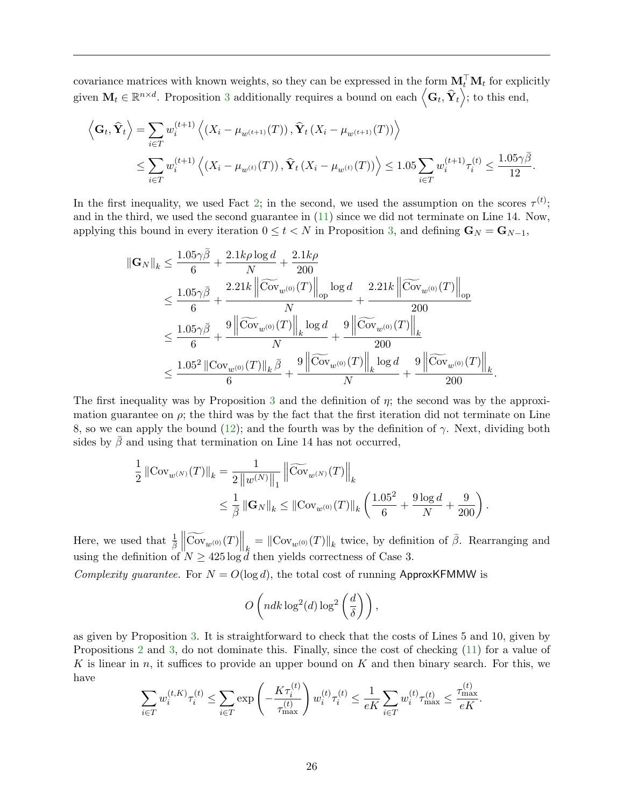covariance matrices with known weights, so they can be expressed in the form  $\mathbf{M}_t^{\top} \mathbf{M}_t$  for explicitly given  $\mathbf{M}_t \in \mathbb{R}^{n \times d}$ . Proposition [3](#page-23-1) additionally requires a bound on each  $\left\langle \mathbf{G}_t, \hat{\mathbf{Y}}_t \right\rangle$ ; to this end,

$$
\left\langle \mathbf{G}_{t}, \hat{\mathbf{Y}}_{t} \right\rangle = \sum_{i \in T} w_{i}^{(t+1)} \left\langle \left(X_{i} - \mu_{w^{(t+1)}}(T)\right), \hat{\mathbf{Y}}_{t} \left(X_{i} - \mu_{w^{(t+1)}}(T)\right) \right\rangle
$$
\n
$$
\leq \sum_{i \in T} w_{i}^{(t+1)} \left\langle \left(X_{i} - \mu_{w^{(t)}}(T)\right), \hat{\mathbf{Y}}_{t} \left(X_{i} - \mu_{w^{(t)}}(T)\right) \right\rangle \leq 1.05 \sum_{i \in T} w_{i}^{(t+1)} \tau_{i}^{(t)} \leq \frac{1.05 \gamma \bar{\beta}}{12}.
$$

In the first inequality, we used Fact [2;](#page-13-4) in the second, we used the assumption on the scores  $\tau^{(t)}$ ; and in the third, we used the second guarantee in [\(11\)](#page-24-1) since we did not terminate on Line 14. Now, applying this bound in every iteration  $0 \le t < N$  in Proposition [3,](#page-23-1) and defining  $\mathbf{G}_N = \mathbf{G}_{N-1}$ ,

$$
\begin{aligned} \|\mathbf{G}_{N}\|_{k}&\leq \frac{1.05\gamma\bar{\beta}}{6}+\frac{2.1k\rho\log d}{N}+\frac{2.1k\rho}{200}\\ &\leq \frac{1.05\gamma\bar{\beta}}{6}+\frac{2.21k\left\|\widetilde{\mathrm{Cov}}_{w^{(0)}}(T)\right\|_{\mathrm{op}}\log d}{N}+\frac{2.21k\left\|\widetilde{\mathrm{Cov}}_{w^{(0)}}(T)\right\|_{\mathrm{op}}}{200}\\ &\leq \frac{1.05\gamma\bar{\beta}}{6}+\frac{9\left\|\widetilde{\mathrm{Cov}}_{w^{(0)}}(T)\right\|_{k}\log d}{N}+\frac{9\left\|\widetilde{\mathrm{Cov}}_{w^{(0)}}(T)\right\|_{k}}{200}\\ &\leq \frac{1.05^{2}\left\|\mathrm{Cov}_{w^{(0)}}(T)\right\|_{k}\bar{\beta}}{6}+\frac{9\left\|\widetilde{\mathrm{Cov}}_{w^{(0)}}(T)\right\|_{k}\log d}{N}+\frac{9\left\|\widetilde{\mathrm{Cov}}_{w^{(0)}}(T)\right\|_{k}}{200}.\end{aligned}
$$

The first inequality was by Proposition [3](#page-23-1) and the definition of  $\eta$ ; the second was by the approximation guarantee on  $\rho$ ; the third was by the fact that the first iteration did not terminate on Line 8, so we can apply the bound [\(12\)](#page-25-0); and the fourth was by the definition of  $\gamma$ . Next, dividing both sides by  $\bar{\beta}$  and using that termination on Line 14 has not occurred,

$$
\begin{aligned} \frac{1}{2}\left\|\operatorname{Cov}_{w^{(N)}}(T)\right\|_{k}&=\frac{1}{2\left\|w^{(N)}\right\|_{1}}\left\|\widetilde{\operatorname{Cov}}_{w^{(N)}}(T)\right\|_{k}\\ &\leq\frac{1}{\bar{\beta}}\left\|\mathbf{G}_{N}\right\|_{k}\leq\left\|\operatorname{Cov}_{w^{(0)}}(T)\right\|_{k}\left(\frac{1.05^{2}}{6}+\frac{9\log d}{N}+\frac{9}{200}\right). \end{aligned}
$$

Here, we used that  $\frac{1}{\beta}$  $\left\|\widetilde{\text{Cov}}_{w^{(0)}}(T)\right\|_{k} = \|\text{Cov}_{w^{(0)}}(T)\|_{k}$  twice, by definition of  $\bar{\beta}$ . Rearranging and using the definition of  $N \geq 425 \log d$  then yields correctness of Case 3.

Complexity guarantee. For  $N = O(\log d)$ , the total cost of running ApproxKFMMW is

$$
O\left(ndk\log^2(d)\log^2\left(\frac{d}{\delta}\right)\right),\,
$$

as given by Proposition [3.](#page-23-1) It is straightforward to check that the costs of Lines 5 and 10, given by Propositions [2](#page-18-1) and [3,](#page-23-1) do not dominate this. Finally, since the cost of checking [\(11\)](#page-24-1) for a value of K is linear in n, it suffices to provide an upper bound on K and then binary search. For this, we have

$$
\sum_{i \in T} w_i^{(t,K)} \tau_i^{(t)} \le \sum_{i \in T} \exp \left( -\frac{K \tau_i^{(t)}}{\tau_{\max}^{(t)}} \right) w_i^{(t)} \tau_i^{(t)} \le \frac{1}{eK} \sum_{i \in T} w_i^{(t)} \tau_{\max}^{(t)} \le \frac{\tau_{\max}^{(t)}}{eK}.
$$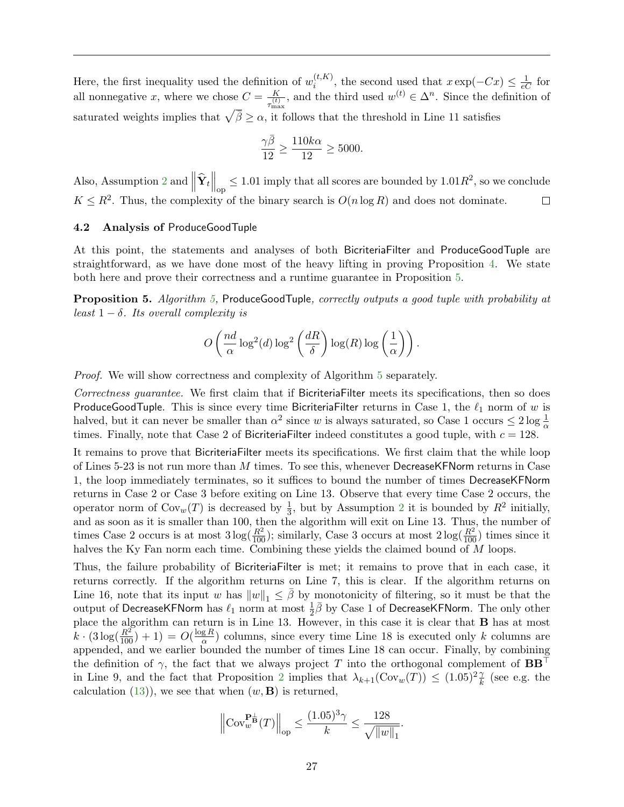Here, the first inequality used the definition of  $w_i^{(t,K)}$  $i_t^{(t,K)}$ , the second used that  $x \exp(-Cx) \leq \frac{1}{eC}$  for all nonnegative x, where we chose  $C = \frac{K}{\sqrt{t}}$  $\frac{K}{\tau_{\text{max}}^{(t)}}$ , and the third used  $w^{(t)} \in \Delta^n$ . Since the definition of saturated weights implies that  $\sqrt{\bar{\beta}} \ge \alpha$ , it follows that the threshold in Line 11 satisfies

$$
\frac{\gamma\bar{\beta}}{12}\geq\frac{110k\alpha}{12}\geq5000.
$$

Also, Assumption [2](#page-21-2) and  $\left\|\hat{\mathbf{Y}}_t\right\|_{\text{op}} \leq 1.01$  imply that all scores are bounded by  $1.01R^2$ , so we conclude  $K \leq R^2$ . Thus, the complexity of the binary search is  $O(n \log R)$  and does not dominate.  $\Box$ 

## <span id="page-28-0"></span>4.2 Analysis of ProduceGoodTuple

At this point, the statements and analyses of both BicriteriaFilter and ProduceGoodTuple are straightforward, as we have done most of the heavy lifting in proving Proposition [4.](#page-26-0) We state both here and prove their correctness and a runtime guarantee in Proposition [5.](#page-28-1)

<span id="page-28-1"></span>Proposition 5. Algorithm [5,](#page-29-0) ProduceGoodTuple, correctly outputs a good tuple with probability at least  $1 - \delta$ . Its overall complexity is

$$
O\left(\frac{nd}{\alpha}\log^2(d)\log^2\left(\frac{dR}{\delta}\right)\log(R)\log\left(\frac{1}{\alpha}\right)\right).
$$

Proof. We will show correctness and complexity of Algorithm [5](#page-29-0) separately.

Correctness guarantee. We first claim that if BicriteriaFilter meets its specifications, then so does ProduceGoodTuple. This is since every time BicriteriaFilter returns in Case 1, the  $\ell_1$  norm of w is halved, but it can never be smaller than  $\alpha^2$  since w is always saturated, so Case 1 occurs  $\leq 2 \log \frac{1}{\alpha}$ times. Finally, note that Case 2 of BicriteriaFilter indeed constitutes a good tuple, with  $c = 128$ .

It remains to prove that BicriteriaFilter meets its specifications. We first claim that the while loop of Lines 5-23 is not run more than  $M$  times. To see this, whenever DecreaseKFNorm returns in Case 1, the loop immediately terminates, so it suffices to bound the number of times DecreaseKFNorm returns in Case 2 or Case 3 before exiting on Line 13. Observe that every time Case 2 occurs, the operator norm of  $\text{Cov}_w(T)$  is decreased by  $\frac{1}{3}$ , but by Assumption [2](#page-21-2) it is bounded by  $R^2$  initially, and as soon as it is smaller than 100, then the algorithm will exit on Line 13. Thus, the number of times Case 2 occurs is at most  $3\log(\frac{R^2}{100})$ ; similarly, Case 3 occurs at most  $2\log(\frac{R^2}{100})$  times since it halves the Ky Fan norm each time. Combining these yields the claimed bound of M loops.

Thus, the failure probability of BicriteriaFilter is met; it remains to prove that in each case, it returns correctly. If the algorithm returns on Line 7, this is clear. If the algorithm returns on Line 16, note that its input w has  $||w||_1 \leq \beta$  by monotonicity of filtering, so it must be that the output of DecreaseKFNorm has  $\ell_1$  norm at most  $\frac{1}{2}\bar{\beta}$  by Case 1 of DecreaseKFNorm. The only other place the algorithm can return is in Line 13. However, in this case it is clear that B has at most  $k \cdot (3 \log(\frac{R^2}{100}) + 1) = O(\frac{\log R}{\alpha})$  $\frac{gR}{\alpha}$ ) columns, since every time Line 18 is executed only k columns are appended, and we earlier bounded the number of times Line 18 can occur. Finally, by combining the definition of  $\gamma$ , the fact that we always project T into the orthogonal complement of  $BB^{\top}$ in Line 9, and the fact that Proposition [2](#page-18-1) implies that  $\lambda_{k+1}(\text{Cov}_w(T)) \leq (1.05)^2 \frac{\gamma}{k}$  (see e.g. the calculation  $(13)$ , we see that when  $(w, \mathbf{B})$  is returned,

$$
\left\|\mathrm{Cov}_{w}^{\mathbf{P}_{\mathbf{B}}^{\perp}}(T)\right\|_{\mathrm{op}} \leq \frac{(1.05)^{3}\gamma}{k} \leq \frac{128}{\sqrt{\left\|w\right\|_1}}.
$$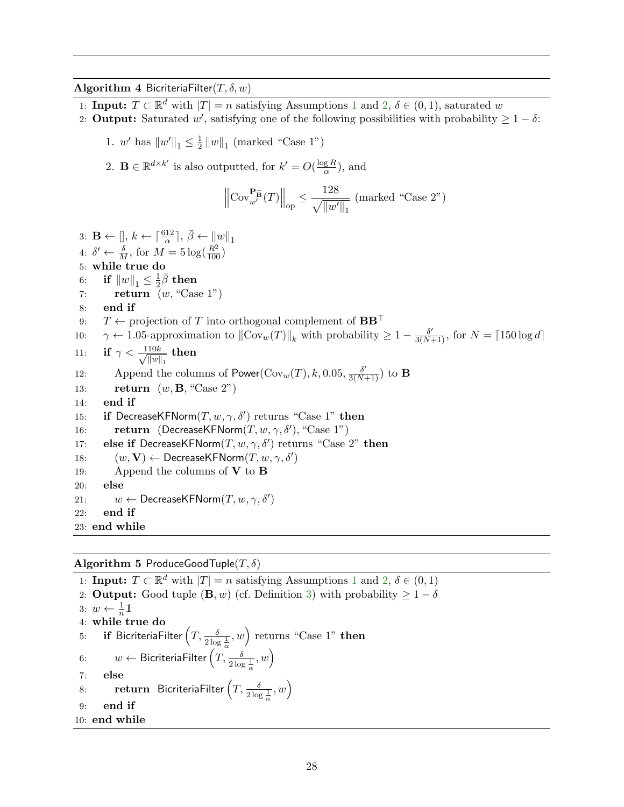## Algorithm 4 BicriteriaFilter $(T, \delta, w)$

- [1](#page-14-2): **Input:**  $T \subset \mathbb{R}^d$  with  $|T| = n$  satisfying Assumptions 1 and [2,](#page-21-2)  $\delta \in (0, 1)$ , saturated w
- 2: **Output:** Saturated w', satisfying one of the following possibilities with probability  $\geq 1 \delta$ :
	- 1.  $w'$  has  $||w'||_1 \leq \frac{1}{2}$  $\frac{1}{2}||w||_1$  (marked "Case 1")
	- 2.  $\mathbf{B} \in \mathbb{R}^{d \times k'}$  is also outputted, for  $k' = O(\frac{\log R}{\alpha})$  $\frac{gR}{\alpha}$ , and

$$
\left\| \mathrm{Cov}_{w'}^{\mathbf{P}_{\mathbf{B}}^{\perp}}(T) \right\|_{\mathrm{op}} \le \frac{128}{\sqrt{\|w'\|_1}} \text{ (marked "Case 2")}
$$

```
3: \mathbf{B} \leftarrow [], k \leftarrow \lceil \frac{612}{\alpha} \rceil, \bar{\beta} \leftarrow ||w||_14: \delta' \leftarrow \frac{\delta}{M}, for M = 5 \log(\frac{R^2}{100})5: while true do
 6: if \|w\|_1 \leq \frac{1}{2}\frac{1}{2}\bar{\beta} then
 7: return (w, "Case 1")8: end if
 9: T \leftarrow projection of T into orthogonal complement of BB^{\top}10: \gamma \leftarrow 1.05-approximation to \|\text{Cov}_w(T)\|_k with probability \geq 1 - \frac{\delta'}{3(N+1)}, for N = \lceil 150 \log d \rceil11: if \gamma < \frac{110k}{\sqrt{11}}\frac{10k}{\|w\|_1} then
12: Append the columns of \mathsf{Power}(\mathrm{Cov}_w(T), k, 0.05, \frac{\delta'}{3(N+1)}) to B
13: return (w, \mathbf{B}, \text{``Case 2''})14: end if
15: if DecreaseKFNorm(T, w, \gamma, \delta') returns "Case 1" then
16: return (DecreaseKFNorm(T, w, \gamma, \delta'), "Case 1")
17: else if DecreaseKFNorm(T, w, \gamma, \delta') returns "Case 2" then
18: (w, V) \leftarrow DecreaseKFNorm(T, w, \gamma, \delta')19: Append the columns of V to B20: else
21: w \leftarrow DecreaseKFNorm(T, w, \gamma, \delta')22: end if
23: end while
```
Algorithm 5 ProduceGoodTuple $(T, \delta)$ 

<span id="page-29-0"></span>[1](#page-14-2): **Input:**  $T \subset \mathbb{R}^d$  with  $|T| = n$  satisfying Assumptions 1 and [2,](#page-21-2)  $\delta \in (0, 1)$ 2: **Output:** Good tuple  $(\mathbf{B}, w)$  (cf. Definition [3\)](#page-21-3) with probability  $\geq 1 - \delta$ 3:  $w \leftarrow \frac{1}{n} \mathbb{1}$ 4: while true do 5: **if** BicriteriaFilter  $\left(T,\frac{\delta}{2\log{\frac{1}{\alpha}}},w\right)$  returns "Case 1" then 6:  $w \leftarrow$  BicriteriaFilter  $(T, \frac{\delta}{2 \log \frac{1}{\alpha}}, w)$ 7: else 8: return BicriteriaFilter  $\left(T,\frac{\delta}{2\log{\frac{1}{\alpha}}},w\right)$ 9: end if 10: end while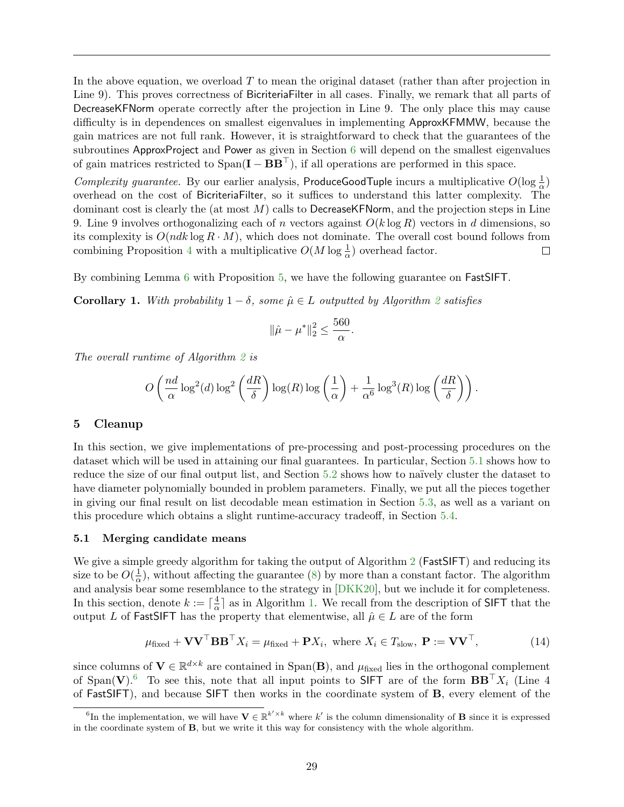In the above equation, we overload  $T$  to mean the original dataset (rather than after projection in Line 9). This proves correctness of BicriteriaFilter in all cases. Finally, we remark that all parts of DecreaseKFNorm operate correctly after the projection in Line 9. The only place this may cause difficulty is in dependences on smallest eigenvalues in implementing ApproxKFMMW, because the gain matrices are not full rank. However, it is straightforward to check that the guarantees of the subroutines ApproxProject and Power as given in Section [6](#page-36-0) will depend on the smallest eigenvalues of gain matrices restricted to  $Span(I - BB^{\top})$ , if all operations are performed in this space.

Complexity guarantee. By our earlier analysis, ProduceGoodTuple incurs a multiplicative  $O(\log \frac{1}{\alpha})$ overhead on the cost of BicriteriaFilter, so it suffices to understand this latter complexity. The dominant cost is clearly the (at most  $M$ ) calls to DecreaseKFNorm, and the projection steps in Line 9. Line 9 involves orthogonalizing each of n vectors against  $O(k \log R)$  vectors in d dimensions, so its complexity is  $O(ndk \log R \cdot M)$ , which does not dominate. The overall cost bound follows from combining Proposition [4](#page-26-0) with a multiplicative  $O(M \log \frac{1}{\alpha})$  overhead factor.  $\Box$ 

By combining Lemma [6](#page-21-4) with Proposition [5,](#page-28-1) we have the following guarantee on FastSIFT.

<span id="page-30-4"></span>**Corollary 1.** With probability  $1 - \delta$ , some  $\hat{\mu} \in L$  outputted by Algorithm [2](#page-21-1) satisfies

$$
\|\hat{\mu} - \mu^*\|_2^2 \le \frac{560}{\alpha}.
$$

The overall runtime of Algorithm [2](#page-21-1) is

$$
O\left(\frac{nd}{\alpha}\log^2(d)\log^2\left(\frac{dR}{\delta}\right)\log(R)\log\left(\frac{1}{\alpha}\right)+\frac{1}{\alpha^6}\log^3(R)\log\left(\frac{dR}{\delta}\right)\right).
$$

#### <span id="page-30-0"></span>5 Cleanup

In this section, we give implementations of pre-processing and post-processing procedures on the dataset which will be used in attaining our final guarantees. In particular, Section [5.1](#page-30-1) shows how to reduce the size of our final output list, and Section [5.2](#page-32-0) shows how to naïvely cluster the dataset to have diameter polynomially bounded in problem parameters. Finally, we put all the pieces together in giving our final result on list decodable mean estimation in Section [5.3,](#page-33-0) as well as a variant on this procedure which obtains a slight runtime-accuracy tradeoff, in Section [5.4.](#page-34-0)

#### <span id="page-30-1"></span>5.1 Merging candidate means

We give a simple greedy algorithm for taking the output of Algorithm [2](#page-21-1) (**FastSIFT**) and reducing its size to be  $O(\frac{1}{\alpha})$  $\frac{1}{\alpha}$ ), without affecting the guarantee [\(8\)](#page-14-6) by more than a constant factor. The algorithm and analysis bear some resemblance to the strategy in [\[DKK20\]](#page-53-0), but we include it for completeness. In this section, denote  $k := \lceil \frac{4}{\alpha} \rceil$  $\frac{4}{\alpha}$  as in Algorithm [1.](#page-19-0) We recall from the description of SIFT that the output L of FastSIFT has the property that elementwise, all  $\hat{\mu} \in L$  are of the form

<span id="page-30-3"></span>
$$
\mu_{\text{fixed}} + \mathbf{V} \mathbf{V}^{\top} \mathbf{B} \mathbf{B}^{\top} X_i = \mu_{\text{fixed}} + \mathbf{P} X_i, \text{ where } X_i \in T_{\text{slow}}, \ \mathbf{P} := \mathbf{V} \mathbf{V}^{\top}, \tag{14}
$$

since columns of  $V \in \mathbb{R}^{d \times k}$  are contained in Span(B), and  $\mu_{fixed}$  lies in the orthogonal complement of Span(V).<sup>[6](#page-30-2)</sup> To see this, note that all input points to SIFT are of the form  $BB^{\top}X_i$  (Line 4 of FastSIFT), and because SIFT then works in the coordinate system of B, every element of the

<span id="page-30-2"></span><sup>&</sup>lt;sup>6</sup>In the implementation, we will have  $\mathbf{V} \in \mathbb{R}^{k' \times k}$  where k' is the column dimensionality of **B** since it is expressed in the coordinate system of B, but we write it this way for consistency with the whole algorithm.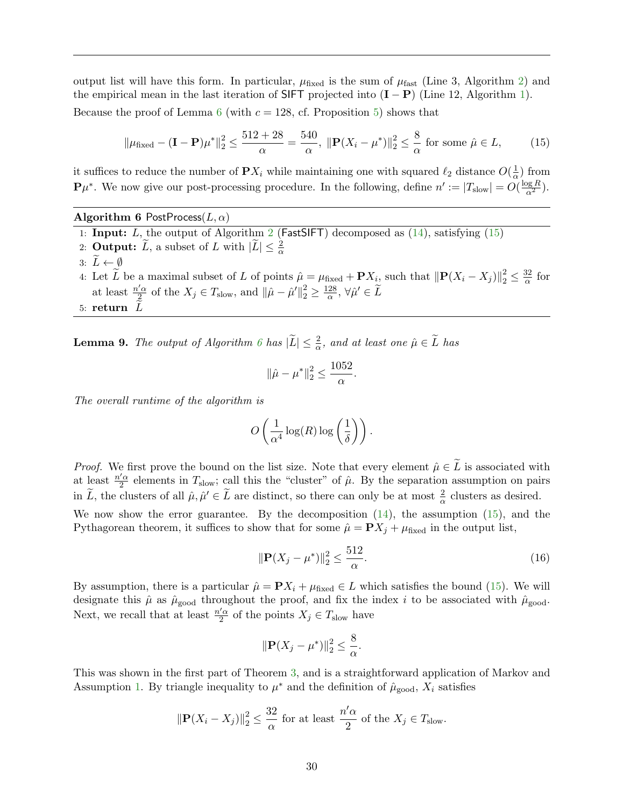output list will have this form. In particular,  $\mu_{fixed}$  is the sum of  $\mu_{fast}$  (Line 3, Algorithm [2\)](#page-21-1) and the empirical mean in the last iteration of SIFT projected into  $(I - P)$  (Line 12, Algorithm [1\)](#page-19-0). Because the proof of Lemma [6](#page-21-4) (with  $c = 128$ , cf. Proposition [5\)](#page-28-1) shows that

<span id="page-31-0"></span>
$$
\|\mu_{\text{fixed}} - (\mathbf{I} - \mathbf{P})\mu^*\|_2^2 \le \frac{512 + 28}{\alpha} = \frac{540}{\alpha}, \ \|\mathbf{P}(X_i - \mu^*)\|_2^2 \le \frac{8}{\alpha} \text{ for some } \hat{\mu} \in L,\tag{15}
$$

it suffices to reduce the number of  $\mathbf{P} X_i$  while maintaining one with squared  $\ell_2$  distance  $O(\frac{1}{\alpha})$  $\frac{1}{\alpha}$ ) from  $\mathbf{P}\mu^*$ . We now give our post-processing procedure. In the following, define  $n' := |T_{\text{slow}}| = O(\frac{\log R}{\alpha^2})$ .

Algorithm 6 PostProcess $(L, \alpha)$ 

- <span id="page-31-1"></span>1: **Input:**  $L$ , the output of Algorithm [2](#page-21-1) (FastSIFT) decomposed as  $(14)$ , satisfying  $(15)$
- 2: **Output:**  $\widetilde{L}$ , a subset of L with  $|\widetilde{L}| \leq \frac{2}{\alpha}$
- 3:  $L \leftarrow \emptyset$
- 4: Let  $\widetilde{L}$  be a maximal subset of L of points  $\hat{\mu} = \mu_{\text{fixed}} + \mathbf{P}X_i$ , such that  $\|\mathbf{P}(X_i X_j)\|_2^2 \leq \frac{32}{\alpha}$  $rac{32}{\alpha}$  for at least  $\frac{n'\alpha}{2}$  $\frac{\gamma' \alpha}{2}$  of the  $X_j \in T_{\text{slow}}$ , and  $\|\hat{\mu} - \hat{\mu}'\|_2^2 \ge \frac{128}{\alpha}$  $\frac{28}{\alpha}, \forall \hat{\mu}' \in \widetilde{L}$ 5: return  $\tilde{I}$

<span id="page-31-3"></span>**Lemma 9.** The output of Algorithm [6](#page-31-1) has  $|\widetilde{L}| \leq \frac{2}{\alpha}$ , and at least one  $\hat{\mu} \in \widetilde{L}$  has

$$
\|\hat{\mu} - \mu^*\|_2^2 \le \frac{1052}{\alpha}.
$$

The overall runtime of the algorithm is

$$
O\left(\frac{1}{\alpha^4} \log(R) \log\left(\frac{1}{\delta}\right)\right).
$$

*Proof.* We first prove the bound on the list size. Note that every element  $\hat{\mu} \in \tilde{L}$  is associated with at least  $\frac{n'\alpha}{2}$  $\frac{7\alpha}{2}$  elements in  $T_{slow}$ ; call this the "cluster" of  $\hat{\mu}$ . By the separation assumption on pairs in  $\tilde{L}$ , the clusters of all  $\hat{\mu}, \hat{\mu}' \in \tilde{L}$  are distinct, so there can only be at most  $\frac{2}{\alpha}$  clusters as desired.

We now show the error guarantee. By the decomposition  $(14)$ , the assumption  $(15)$ , and the Pythagorean theorem, it suffices to show that for some  $\hat{\mu} = \mathbf{P}X_j + \mu_{\text{fixed}}$  in the output list,

<span id="page-31-2"></span>
$$
\|\mathbf{P}(X_j - \mu^*)\|_2^2 \le \frac{512}{\alpha}.\tag{16}
$$

By assumption, there is a particular  $\hat{\mu} = \mathbf{P}X_i + \mu_{\text{fixed}} \in L$  which satisfies the bound [\(15\)](#page-31-0). We will designate this  $\hat{\mu}$  as  $\hat{\mu}_{\text{good}}$  throughout the proof, and fix the index i to be associated with  $\hat{\mu}_{\text{good}}$ . Next, we recall that at least  $\frac{n'\alpha}{2}$  $\frac{7\alpha}{2}$  of the points  $X_j \in T_{\text{slow}}$  have

$$
\|\mathbf{P}(X_j - \mu^*)\|_2^2 \le \frac{8}{\alpha}.
$$

This was shown in the first part of Theorem [3,](#page-20-0) and is a straightforward application of Markov and Assumption [1.](#page-14-2) By triangle inequality to  $\mu^*$  and the definition of  $\hat{\mu}_{\text{good}}$ ,  $X_i$  satisfies

$$
\|\mathbf{P}(X_i - X_j)\|_2^2 \le \frac{32}{\alpha} \text{ for at least } \frac{n'\alpha}{2} \text{ of the } X_j \in T_{\text{slow}}.
$$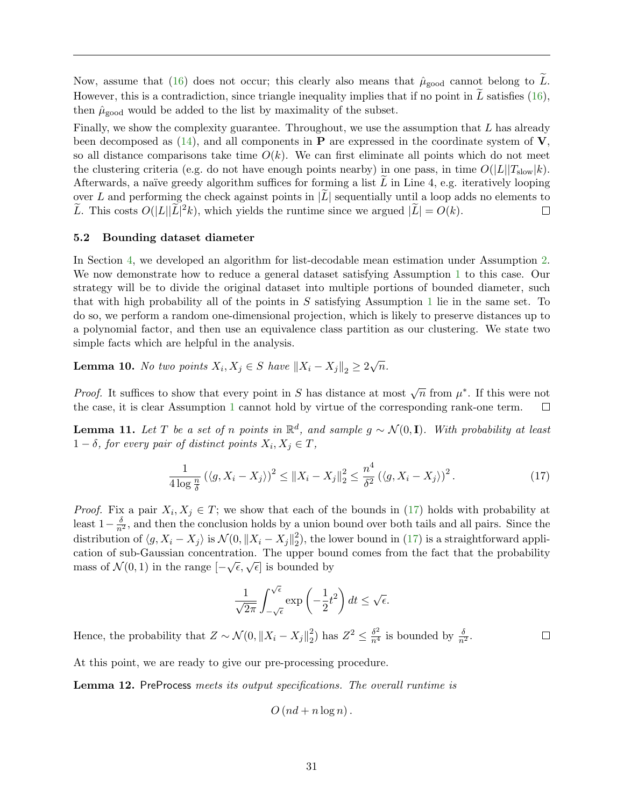Now, assume that [\(16\)](#page-31-2) does not occur; this clearly also means that  $\hat{\mu}_{\text{good}}$  cannot belong to L. However, this is a contradiction, since triangle inequality implies that if no point in  $\overline{L}$  satisfies [\(16\)](#page-31-2), then  $\hat{\mu}_{\text{good}}$  would be added to the list by maximality of the subset.

Finally, we show the complexity guarantee. Throughout, we use the assumption that L has already been decomposed as  $(14)$ , and all components in **P** are expressed in the coordinate system of **V**, so all distance comparisons take time  $O(k)$ . We can first eliminate all points which do not meet the clustering criteria (e.g. do not have enough points nearby) in one pass, in time  $O(|L||T_{slow}|k)$ . Afterwards, a naïve greedy algorithm suffices for forming a list  $L$  in Line 4, e.g. iteratively looping over L and performing the check against points in  $|L|$  sequentially until a loop adds no elements to  $\tilde{L}$ . This costs  $O(|L||\tilde{L}|^2k)$ , which yields the runtime since we argued  $|\tilde{L}| = O(k)$ .  $\tilde{L}$ . This costs  $O(|L||\tilde{L}|^2k)$ , which yields the runtime since we argued  $|\tilde{L}| = O(k)$ .

#### <span id="page-32-0"></span>5.2 Bounding dataset diameter

In Section [4,](#page-21-0) we developed an algorithm for list-decodable mean estimation under Assumption [2.](#page-21-2) We now demonstrate how to reduce a general dataset satisfying Assumption [1](#page-14-2) to this case. Our strategy will be to divide the original dataset into multiple portions of bounded diameter, such that with high probability all of the points in  $S$  satisfying Assumption [1](#page-14-2) lie in the same set. To do so, we perform a random one-dimensional projection, which is likely to preserve distances up to a polynomial factor, and then use an equivalence class partition as our clustering. We state two simple facts which are helpful in the analysis.

<span id="page-32-3"></span>**Lemma 10.** No two points  $X_i, X_j \in S$  have  $||X_i - X_j||_2 \geq 2\sqrt{n}$ .

*Proof.* It suffices to show that every point in S has distance at most  $\sqrt{n}$  from  $\mu^*$ . If this were not the case, it is clear Assumption [1](#page-14-2) cannot hold by virtue of the corresponding rank-one term.  $\Box$ 

<span id="page-32-2"></span>**Lemma 11.** Let T be a set of n points in  $\mathbb{R}^d$ , and sample  $g \sim \mathcal{N}(0, \mathbf{I})$ . With probability at least  $1 - \delta$ , for every pair of distinct points  $X_i, X_j \in T$ ,

<span id="page-32-1"></span>
$$
\frac{1}{4\log\frac{n}{\delta}}\left(\langle g, X_i - X_j \rangle\right)^2 \le \|X_i - X_j\|_2^2 \le \frac{n^4}{\delta^2}\left(\langle g, X_i - X_j \rangle\right)^2. \tag{17}
$$

 $\Box$ 

*Proof.* Fix a pair  $X_i, X_j \in T$ ; we show that each of the bounds in [\(17\)](#page-32-1) holds with probability at least  $1-\frac{\delta}{n^2}$ , and then the conclusion holds by a union bound over both tails and all pairs. Since the distribution of  $\langle g, X_i - X_j \rangle$  is  $\mathcal{N}(0, \|X_i - X_j\|_2^2)$  $2<sup>2</sup>$ ), the lower bound in [\(17\)](#page-32-1) is a straightforward application of sub-Gaussian concentration. The upper bound comes from the fact that the probability mass of  $\mathcal{N}(0,1)$  in the range  $[-\sqrt{\epsilon}, \sqrt{\epsilon}]$  is bounded by

$$
\frac{1}{\sqrt{2\pi}} \int_{-\sqrt{\epsilon}}^{\sqrt{\epsilon}} \exp\left(-\frac{1}{2}t^2\right) dt \le \sqrt{\epsilon}.
$$

Hence, the probability that  $Z \sim \mathcal{N}(0, \|X_i - X_j\|_2^2)$  $\frac{2}{2}$ ) has  $Z^2 \leq \frac{\delta^2}{n^4}$  is bounded by  $\frac{\delta}{n^2}$ .

At this point, we are ready to give our pre-processing procedure.

<span id="page-32-4"></span>Lemma 12. PreProcess meets its output specifications. The overall runtime is

$$
O\left(nd + n\log n\right).
$$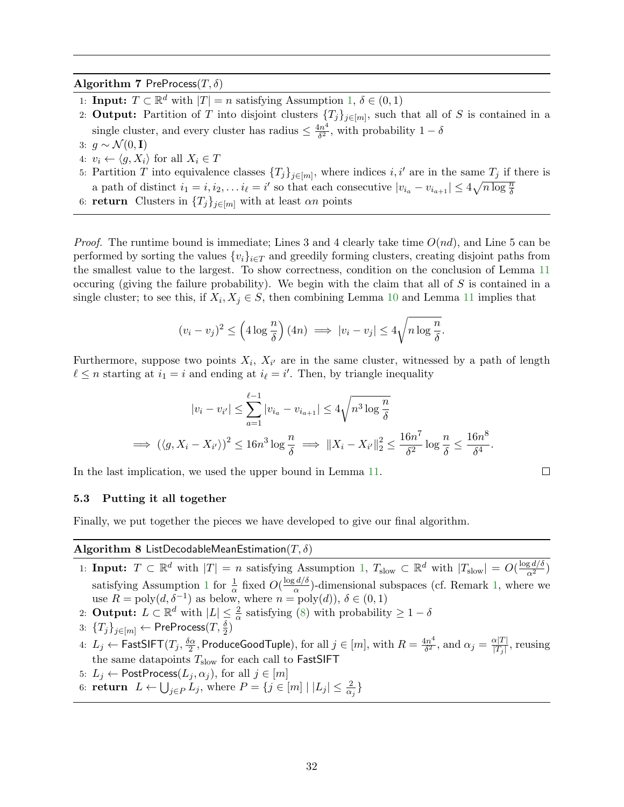## Algorithm 7 PreProcess $(T, \delta)$

- 1: **Input:**  $T \subset \mathbb{R}^d$  with  $|T| = n$  satisfying Assumption [1,](#page-14-2)  $\delta \in (0, 1)$
- 2: **Output:** Partition of T into disjoint clusters  $\{T_j\}_{j\in[m]}$ , such that all of S is contained in a single cluster, and every cluster has radius  $\leq \frac{4n^4}{\delta^2}$  $\frac{4n^4}{\delta^2}$ , with probability  $1-\delta$
- 3:  $g \sim \mathcal{N}(0, I)$
- 4:  $v_i \leftarrow \langle q, X_i \rangle$  for all  $X_i \in T$
- 5: Partition T into equivalence classes  $\{T_j\}_{j\in[m]}$ , where indices i, i' are in the same  $T_j$  if there is a path of distinct  $i_1 = i, i_2, \ldots i_\ell = i'$  so that each consecutive  $|v_{i_a} - v_{i_{a+1}}| \leq 4\sqrt{n \log \frac{n}{\delta}}$
- 6: **return** Clusters in  ${T_j}_{j\in[m]}$  with at least  $\alpha n$  points

*Proof.* The runtime bound is immediate; Lines 3 and 4 clearly take time  $O(nd)$ , and Line 5 can be performed by sorting the values  $\{v_i\}_{i\in\mathcal{I}}$  and greedily forming clusters, creating disjoint paths from the smallest value to the largest. To show correctness, condition on the conclusion of Lemma [11](#page-32-2) occuring (giving the failure probability). We begin with the claim that all of  $S$  is contained in a single cluster; to see this, if  $X_i, X_j \in S$ , then combining Lemma [10](#page-32-3) and Lemma [11](#page-32-2) implies that

$$
(v_i - v_j)^2 \le \left(4\log\frac{n}{\delta}\right)(4n) \implies |v_i - v_j| \le 4\sqrt{n\log\frac{n}{\delta}}.
$$

Furthermore, suppose two points  $X_i$ ,  $X_{i'}$  are in the same cluster, witnessed by a path of length  $\ell \leq n$  starting at  $i_1 = i$  and ending at  $i_{\ell} = i'$ . Then, by triangle inequality

$$
|v_i - v_{i'}| \leq \sum_{a=1}^{\ell-1} |v_{i_a} - v_{i_{a+1}}| \leq 4\sqrt{n^3 \log \frac{n}{\delta}}
$$
  
\n
$$
\implies (\langle g, X_i - X_{i'} \rangle)^2 \leq 16n^3 \log \frac{n}{\delta} \implies ||X_i - X_{i'}||_2^2 \leq \frac{16n^7}{\delta^2} \log \frac{n}{\delta} \leq \frac{16n^8}{\delta^4}.
$$

 $\Box$ 

In the last implication, we used the upper bound in Lemma [11.](#page-32-2)

#### <span id="page-33-0"></span>5.3 Putting it all together

Finally, we put together the pieces we have developed to give our final algorithm.

## <span id="page-33-1"></span>Algorithm 8 ListDecodableMeanEstimation( $T, \delta$ )

- 1: Input:  $T \subset \mathbb{R}^d$  with  $|T| = n$  satisfying Assumption [1,](#page-14-2)  $T_{\text{slow}} \subset \mathbb{R}^d$  with  $|T_{\text{slow}}| = O(\frac{\log d/\delta}{\alpha^2})$ satisfying Assumption [1](#page-14-2) for  $\frac{1}{\alpha}$  fixed  $O(\frac{\log d}{\alpha})$  $\frac{a}{\alpha}$ )-dimensional subspaces (cf. Remark [1,](#page-22-0) where we use  $R = \text{poly}(d, \delta^{-1})$  as below, where  $n = \text{poly}(d)$ ),  $\delta \in (0, 1)$
- 2: **Output:**  $L \subset \mathbb{R}^d$  with  $|L| \leq \frac{2}{\alpha}$  satisfying [\(8\)](#page-14-6) with probability  $\geq 1 \delta$
- $3: \; \{T_j\}_{j \in [m]} \leftarrow \mathsf{PreProcess}(T, \frac{\delta}{2})$
- 4:  $L_j \leftarrow \textsf{FastSIFT}(T_j, \frac{\delta \alpha}{2})$  $\frac{\tilde{\omega}_{\alpha}}{2},$  ProduceGoodTuple), for all  $j\in[m],$  with  $R=\frac{4n^4}{\delta^2}$  $\frac{\Delta n^4}{\delta^2}$ , and  $\alpha_j = \frac{\alpha|T|}{|T_j|}$  $\frac{\alpha |I|}{|T_j|}$ , reusing the same datapoints  $T_{\mathrm{slow}}$  for each call to  $\mathsf{FastSIFT}$
- 5:  $L_j \leftarrow$  PostProcess $(L_j, \alpha_j)$ , for all  $j \in [m]$
- 6: **return**  $L \leftarrow \bigcup_{j \in P} L_j$ , where  $P = \{j \in [m] \mid |L_j| \leq \frac{2}{\alpha_j}\}$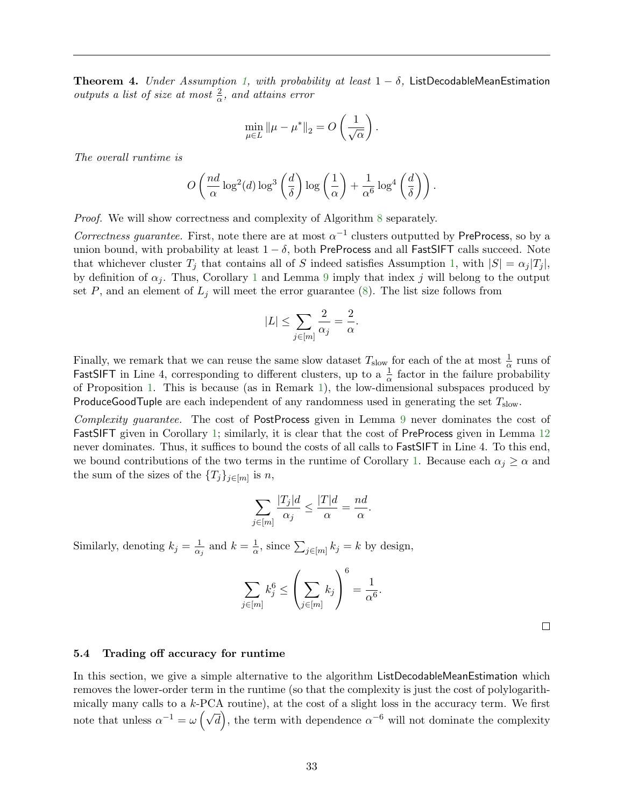<span id="page-34-1"></span>**Theorem 4.** Under Assumption [1,](#page-14-2) with probability at least  $1 - \delta$ , ListDecodableMeanEstimation outputs a list of size at most  $\frac{2}{\alpha}$ , and attains error

$$
\min_{\mu \in L} ||\mu - \mu^*||_2 = O\left(\frac{1}{\sqrt{\alpha}}\right).
$$

The overall runtime is

$$
O\left(\frac{nd}{\alpha}\log^2(d)\log^3\left(\frac{d}{\delta}\right)\log\left(\frac{1}{\alpha}\right)+\frac{1}{\alpha^6}\log^4\left(\frac{d}{\delta}\right)\right).
$$

Proof. We will show correctness and complexity of Algorithm [8](#page-33-1) separately.

Correctness guarantee. First, note there are at most  $\alpha^{-1}$  clusters outputted by PreProcess, so by a union bound, with probability at least  $1 - \delta$ , both PreProcess and all FastSIFT calls succeed. Note that whichever cluster  $T_j$  that contains all of S indeed satisfies Assumption [1,](#page-14-2) with  $|S| = \alpha_j |T_j|$ , by definition of  $\alpha_j$ . Thus, Corollary [1](#page-30-4) and Lemma [9](#page-31-3) imply that index j will belong to the output set P, and an element of  $L_j$  will meet the error guarantee [\(8\)](#page-14-6). The list size follows from

$$
|L|\leq \sum_{j\in [m]}\frac{2}{\alpha_j}=\frac{2}{\alpha}.
$$

Finally, we remark that we can reuse the same slow dataset  $T_{slow}$  for each of the at most  $\frac{1}{\alpha}$  runs of FastSIFT in Line 4, corresponding to different clusters, up to a  $\frac{1}{\alpha}$  factor in the failure probability of Proposition [1.](#page-14-3) This is because (as in Remark [1\)](#page-22-0), the low-dimensional subspaces produced by ProduceGoodTuple are each independent of any randomness used in generating the set  $T_{slow}$ .

Complexity guarantee. The cost of PostProcess given in Lemma [9](#page-31-3) never dominates the cost of FastSIFT given in Corollary [1;](#page-30-4) similarly, it is clear that the cost of PreProcess given in Lemma [12](#page-32-4) never dominates. Thus, it suffices to bound the costs of all calls to FastSIFT in Line 4. To this end, we bound contributions of the two terms in the runtime of Corollary [1.](#page-30-4) Because each  $\alpha_j \geq \alpha$  and the sum of the sizes of the  $\{T_j\}_{j\in[m]}$  is n,

$$
\sum_{j \in [m]} \frac{|T_j|d}{\alpha_j} \le \frac{|T|d}{\alpha} = \frac{nd}{\alpha}.
$$

Similarly, denoting  $k_j = \frac{1}{\alpha}$  $\frac{1}{\alpha_j}$  and  $k=\frac{1}{\alpha}$  $\frac{1}{\alpha}$ , since  $\sum_{j\in[m]}k_j=k$  by design,

$$
\sum_{j \in [m]} k_j^6 \le \left(\sum_{j \in [m]} k_j\right)^6 = \frac{1}{\alpha^6}.
$$

 $\Box$ 

#### <span id="page-34-0"></span>5.4 Trading off accuracy for runtime

In this section, we give a simple alternative to the algorithm ListDecodableMeanEstimation which removes the lower-order term in the runtime (so that the complexity is just the cost of polylogarithmically many calls to a  $k$ -PCA routine), at the cost of a slight loss in the accuracy term. We first note that unless  $\alpha^{-1} = \omega \left( \sqrt{d} \right)$ , the term with dependence  $\alpha^{-6}$  will not dominate the complexity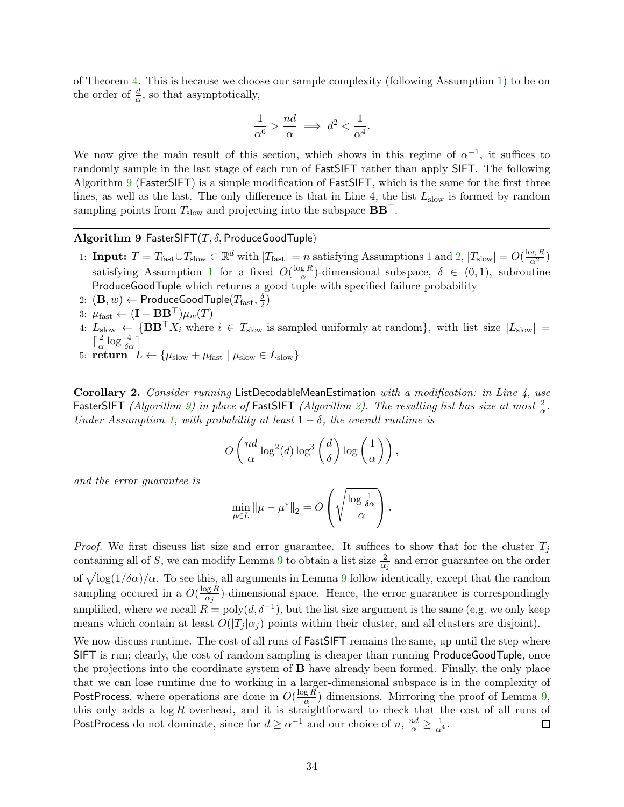of Theorem [4.](#page-34-1) This is because we choose our sample complexity (following Assumption [1\)](#page-14-2) to be on the order of  $\frac{d}{\alpha}$ , so that asymptotically,

$$
\frac{1}{\alpha^6} > \frac{nd}{\alpha} \implies d^2 < \frac{1}{\alpha^4}.
$$

We now give the main result of this section, which shows in this regime of  $\alpha^{-1}$ , it suffices to randomly sample in the last stage of each run of FastSIFT rather than apply SIFT. The following Algorithm [9](#page-35-1) (FasterSIFT) is a simple modification of FastSIFT, which is the same for the first three lines, as well as the last. The only difference is that in Line 4, the list  $L_{slow}$  is formed by random sampling points from  $T_{slow}$  and projecting into the subspace  $BB^{\perp}$ .

Algorithm 9 FasterSIFT $(T, \delta, \text{ProduceGoodTuple})$ 

- <span id="page-35-1"></span>[1](#page-14-2): **Input:**  $T = T_{\text{fast}} \cup T_{\text{slow}} \subset \mathbb{R}^d$  with  $|T_{\text{fast}}| = n$  satisfying Assumptions 1 and [2,](#page-21-2)  $|T_{\text{slow}}| = O(\frac{\log R}{\alpha^2})$ satisfying Assumption [1](#page-14-2) for a fixed  $O(\frac{\log R}{\alpha})$  $\frac{gR}{\alpha}$ -dimensional subspace,  $\delta \in (0,1)$ , subroutine ProduceGoodTuple which returns a good tuple with specified failure probability
- $2\colon \left( \mathbf{B}, w \right) \leftarrow \mathsf{ProduceGoodTuple}(T_{\text{fast}}, \frac{\delta}{2})$  $\frac{\delta}{2})$
- 3:  $\mu_{\text{fast}} \leftarrow (\mathbf{I} \mathbf{B} \mathbf{B}^{\top}) \mu_w(T)$
- 4:  $L_{\text{slow}} \leftarrow \{ \mathbf{BB}^\top X_i \text{ where } i \in T_{\text{slow}} \text{ is sampled uniformly at random} \}$ , with list size  $|L_{\text{slow}}|$  =  $\lceil \frac{2}{\alpha} \rceil$  $\frac{2}{\alpha} \log \frac{4}{\delta \alpha}$ ]
- 5:  $\text{return } L \leftarrow {\mu_{\text{slow}} + \mu_{\text{fast}} \mid \mu_{\text{slow}} \in L_{\text{slow}} }$

<span id="page-35-0"></span>Corollary 2. Consider running ListDecodableMeanEstimation with a modification: in Line 4, use FasterSIFT (Algorithm [9\)](#page-35-1) in place of FastSIFT (Algorithm [2\)](#page-21-1). The resulting list has size at most  $\frac{2}{\alpha}$ . Under Assumption [1,](#page-14-2) with probability at least  $1 - \delta$ , the overall runtime is

$$
O\left(\frac{nd}{\alpha}\log^2(d)\log^3\left(\frac{d}{\delta}\right)\log\left(\frac{1}{\alpha}\right)\right),\right
$$

and the error guarantee is

$$
\min_{\mu \in L} ||\mu - \mu^*||_2 = O\left(\sqrt{\frac{\log \frac{1}{\delta \alpha}}{\alpha}}\right).
$$

*Proof.* We first discuss list size and error guarantee. It suffices to show that for the cluster  $T_i$ containing all of S, we can modify Lemma [9](#page-31-3) to obtain a list size  $\frac{2}{\alpha_j}$  and error guarantee on the order of  $\sqrt{\log(1/\delta\alpha)/\alpha}$ . To see this, all arguments in Lemma [9](#page-31-3) follow identically, except that the random sampling occured in a  $O(\frac{\log R}{\alpha})$  $\frac{\log R}{\alpha_j}$ )-dimensional space. Hence, the error guarantee is correspondingly amplified, where we recall  $R = poly(d, \delta^{-1})$ , but the list size argument is the same (e.g. we only keep means which contain at least  $O(|T_i| \alpha_i)$  points within their cluster, and all clusters are disjoint).

We now discuss runtime. The cost of all runs of **FastSIFT** remains the same, up until the step where SIFT is run; clearly, the cost of random sampling is cheaper than running ProduceGoodTuple, once the projections into the coordinate system of B have already been formed. Finally, the only place that we can lose runtime due to working in a larger-dimensional subspace is in the complexity of PostProcess, where operations are done in  $O(\frac{\log R}{\alpha})$  $\frac{gR}{\alpha}$ ) dimensions. Mirroring the proof of Lemma [9,](#page-31-3) this only adds a  $log R$  overhead, and it is straightforward to check that the cost of all runs of PostProcess do not dominate, since for  $d \ge \alpha^{-1}$  and our choice of  $n, \frac{nd}{\alpha} \ge \frac{1}{\alpha^4}$ .  $\Box$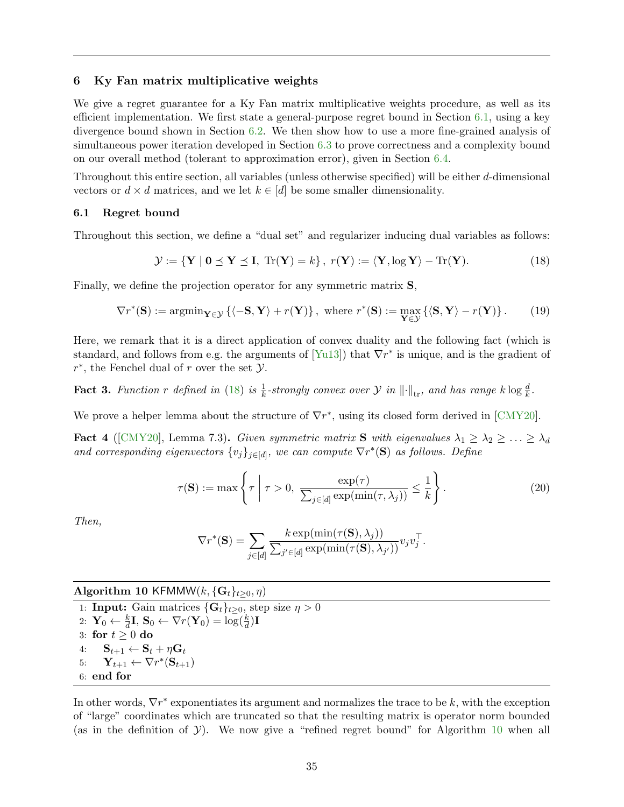### <span id="page-36-0"></span>6 Ky Fan matrix multiplicative weights

We give a regret guarantee for a Ky Fan matrix multiplicative weights procedure, as well as its efficient implementation. We first state a general-purpose regret bound in Section [6.1,](#page-36-1) using a key divergence bound shown in Section [6.2.](#page-37-0) We then show how to use a more fine-grained analysis of simultaneous power iteration developed in Section [6.3](#page-42-0) to prove correctness and a complexity bound on our overall method (tolerant to approximation error), given in Section [6.4.](#page-46-0)

Throughout this entire section, all variables (unless otherwise specified) will be either d-dimensional vectors or  $d \times d$  matrices, and we let  $k \in [d]$  be some smaller dimensionality.

#### <span id="page-36-1"></span>6.1 Regret bound

Throughout this section, we define a "dual set" and regularizer inducing dual variables as follows:

<span id="page-36-2"></span>
$$
\mathcal{Y} := \{ \mathbf{Y} \mid \mathbf{0} \preceq \mathbf{Y} \preceq \mathbf{I}, \text{ Tr}(\mathbf{Y}) = k \}, \ r(\mathbf{Y}) := \langle \mathbf{Y}, \log \mathbf{Y} \rangle - \text{Tr}(\mathbf{Y}). \tag{18}
$$

Finally, we define the projection operator for any symmetric matrix S,

<span id="page-36-6"></span>
$$
\nabla r^*(\mathbf{S}) := \operatorname{argmin}_{\mathbf{Y} \in \mathcal{Y}} \left\{ \langle -\mathbf{S}, \mathbf{Y} \rangle + r(\mathbf{Y}) \right\}, \text{ where } r^*(\mathbf{S}) := \max_{\mathbf{Y} \in \mathcal{Y}} \left\{ \langle \mathbf{S}, \mathbf{Y} \rangle - r(\mathbf{Y}) \right\}. \tag{19}
$$

Here, we remark that it is a direct application of convex duality and the following fact (which is standard, and follows from e.g. the arguments of  $[Yu13]$  that  $\nabla r^*$  is unique, and is the gradient of  $r^*$ , the Fenchel dual of r over the set  $\mathcal{Y}$ .

<span id="page-36-4"></span>**Fact 3.** Function r defined in [\(18\)](#page-36-2) is  $\frac{1}{k}$ -strongly convex over  $\mathcal{Y}$  in  $\lVert \cdot \rVert_{\text{tr}}$ , and has range  $k \log \frac{d}{k}$ .

We prove a helper lemma about the structure of  $\nabla r^*$ , using its closed form derived in [\[CMY20\]](#page-52-1).

<span id="page-36-5"></span>**Fact 4** ([\[CMY20\]](#page-52-1), Lemma 7.3). Given symmetric matrix **S** with eigenvalues  $\lambda_1 \geq \lambda_2 \geq \ldots \geq \lambda_d$ and corresponding eigenvectors  $\{v_j\}_{j\in[d]}$ , we can compute  $\nabla r^*(\mathbf{S})$  as follows. Define

<span id="page-36-7"></span>
$$
\tau(\mathbf{S}) := \max\left\{\tau \mid \tau > 0, \ \frac{\exp(\tau)}{\sum_{j \in [d]} \exp(\min(\tau, \lambda_j))} \le \frac{1}{k}\right\}.
$$
 (20)

Then,

$$
\nabla r^*(\mathbf{S}) = \sum_{j \in [d]} \frac{k \exp(\min(\tau(\mathbf{S}), \lambda_j))}{\sum_{j' \in [d]} \exp(\min(\tau(\mathbf{S}), \lambda_{j'}))} v_j v_j^{\top}.
$$

## Algorithm 10 KFMMW $(k, {\{G_t\}_{t \geq 0}}, \eta)$

<span id="page-36-3"></span>1: **Input:** Gain matrices  $\{\mathbf{G}_t\}_{t\geq0}$ , step size  $\eta > 0$ 2:  $\mathbf{Y}_0 \leftarrow \frac{k}{d}\mathbf{I}, \mathbf{S}_0 \leftarrow \nabla r(\mathbf{Y}_0) = \log(\frac{k}{d})\mathbf{I}$ 3: for  $t > 0$  do 4:  $\mathbf{S}_{t+1} \leftarrow \mathbf{S}_t + \eta \mathbf{G}_t$ 5:  $\mathbf{Y}_{t+1} \leftarrow \nabla r^*(\mathbf{S}_{t+1})$ 6: end for

<span id="page-36-8"></span>In other words,  $\nabla r^*$  exponentiates its argument and normalizes the trace to be k, with the exception of "large" coordinates which are truncated so that the resulting matrix is operator norm bounded (as in the definition of  $\mathcal{Y}$ ). We now give a "refined regret bound" for Algorithm [10](#page-36-3) when all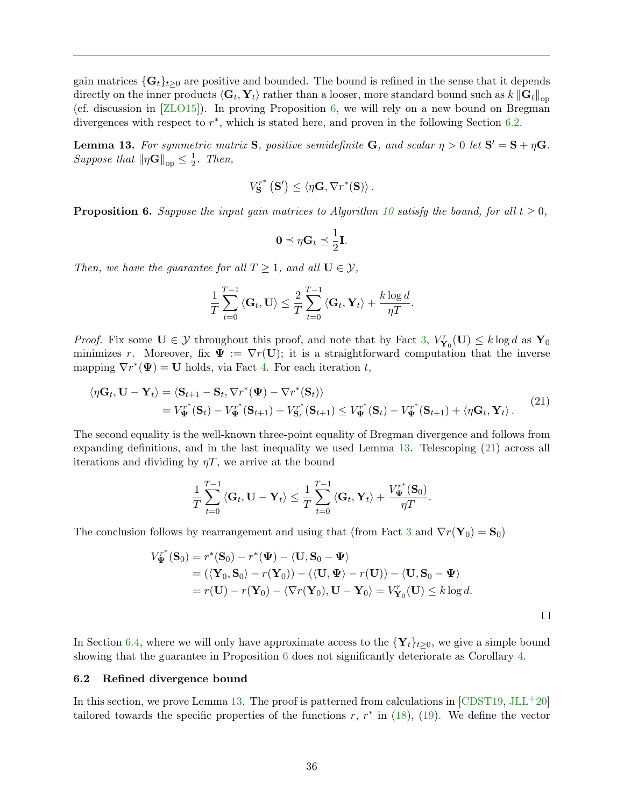gain matrices  $\{G_t\}_{t>0}$  are positive and bounded. The bound is refined in the sense that it depends directly on the inner products  $\langle G_t, Y_t \rangle$  rather than a looser, more standard bound such as  $k\left\|G_t\right\|_{\text{op}}$ (cf. discussion in [\[ZLO15\]](#page-55-6)). In proving Proposition [6,](#page-37-2) we will rely on a new bound on Bregman divergences with respect to  $r^*$ , which is stated here, and proven in the following Section [6.2.](#page-37-0)

<span id="page-37-1"></span>**Lemma 13.** For symmetric matrix **S**, positive semidefinite **G**, and scalar  $\eta > 0$  let  $S' = S + \eta G$ . Suppose that  $\|\eta\mathbf{G}\|_{\text{op}} \leq \frac{1}{2}$  $rac{1}{2}$ . Then,

$$
V_{\mathbf{S}}^{r^*}(\mathbf{S}') \leq \langle \eta \mathbf{G}, \nabla r^*(\mathbf{S}) \rangle.
$$

<span id="page-37-2"></span>**Proposition 6.** Suppose the input gain matrices to Algorithm [10](#page-36-3) satisfy the bound, for all  $t \geq 0$ ,

$$
\mathbf{0} \preceq \eta \mathbf{G}_t \preceq \frac{1}{2} \mathbf{I}.
$$

Then, we have the guarantee for all  $T \geq 1$ , and all  $U \in \mathcal{Y}$ ,

$$
\frac{1}{T} \sum_{t=0}^{T-1} \langle \mathbf{G}_t, \mathbf{U} \rangle \leq \frac{2}{T} \sum_{t=0}^{T-1} \langle \mathbf{G}_t, \mathbf{Y}_t \rangle + \frac{k \log d}{\eta T}.
$$

*Proof.* Fix some  $U \in \mathcal{Y}$  throughout this proof, and note that by Fact [3,](#page-36-4)  $V_{\mathbf{Y}_0}^r(U) \le k \log d$  as  $\mathbf{Y}_0$ minimizes r. Moreover, fix  $\Psi := \nabla r(\mathbf{U})$ ; it is a straightforward computation that the inverse mapping  $\nabla r^*(\Psi) = \mathbf{U}$  holds, via Fact [4.](#page-36-5) For each iteration t,

<span id="page-37-3"></span>
$$
\langle \eta \mathbf{G}_t, \mathbf{U} - \mathbf{Y}_t \rangle = \langle \mathbf{S}_{t+1} - \mathbf{S}_t, \nabla r^*(\boldsymbol{\Psi}) - \nabla r^*(\mathbf{S}_t) \rangle \n= V_{\boldsymbol{\Psi}}^{r^*}(\mathbf{S}_t) - V_{\boldsymbol{\Psi}}^{r^*}(\mathbf{S}_{t+1}) + V_{\mathbf{S}_t}^{r^*}(\mathbf{S}_{t+1}) \leq V_{\boldsymbol{\Psi}}^{r^*}(\mathbf{S}_t) - V_{\boldsymbol{\Psi}}^{r^*}(\mathbf{S}_{t+1}) + \langle \eta \mathbf{G}_t, \mathbf{Y}_t \rangle.
$$
\n(21)

The second equality is the well-known three-point equality of Bregman divergence and follows from expanding definitions, and in the last inequality we used Lemma [13.](#page-37-1) Telescoping [\(21\)](#page-37-3) across all iterations and dividing by  $\eta T$ , we arrive at the bound

$$
\frac{1}{T}\sum_{t=0}^{T-1} \left\langle \mathbf{G}_t, \mathbf{U} - \mathbf{Y}_t \right\rangle \leq \frac{1}{T}\sum_{t=0}^{T-1} \left\langle \mathbf{G}_t, \mathbf{Y}_t \right\rangle + \frac{V_{\Psi}^{r^*}(\mathbf{S}_0)}{\eta T}.
$$

The conclusion follows by rearrangement and using that (from Fact [3](#page-36-4) and  $\nabla r(\mathbf{Y}_0) = \mathbf{S}_0$ )

$$
V_{\Psi}^{r^*}(\mathbf{S}_0) = r^*(\mathbf{S}_0) - r^*(\Psi) - \langle \mathbf{U}, \mathbf{S}_0 - \Psi \rangle
$$
  
= (\langle \mathbf{Y}\_0, \mathbf{S}\_0 \rangle - r(\mathbf{Y}\_0)) - (\langle \mathbf{U}, \Psi \rangle - r(\mathbf{U})) - \langle \mathbf{U}, \mathbf{S}\_0 - \Psi \rangle  
= r(\mathbf{U}) - r(\mathbf{Y}\_0) - \langle \nabla r(\mathbf{Y}\_0), \mathbf{U} - \mathbf{Y}\_0 \rangle = V\_{\mathbf{Y}\_0}^r(\mathbf{U}) \le k \log d.

 $\Box$ 

In Section [6.4,](#page-46-0) where we will only have approximate access to the  $\{Y_t\}_{t\geq 0}$ , we give a simple bound showing that the guarantee in Proposition [6](#page-37-2) does not significantly deteriorate as Corollary [4.](#page-50-0)

#### <span id="page-37-0"></span>6.2 Refined divergence bound

In this section, we prove Lemma [13.](#page-37-1) The proof is patterned from calculations in  $[CDST19, JLL^+20]$  $[CDST19, JLL^+20]$  $[CDST19, JLL^+20]$  $[CDST19, JLL^+20]$ tailored towards the specific properties of the functions  $r, r^*$  in [\(18\)](#page-36-2), [\(19\)](#page-36-6). We define the vector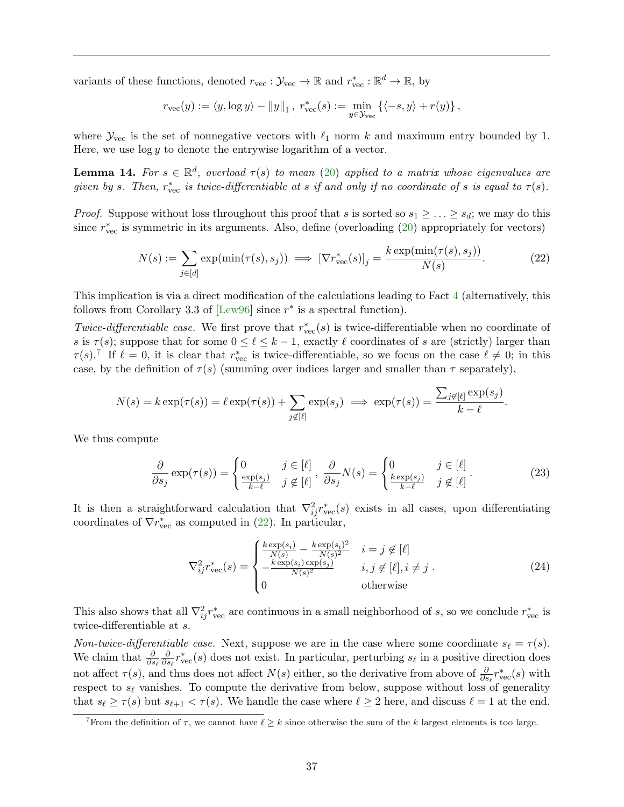variants of these functions, denoted  $r_{\text{vec}} : \mathcal{Y}_{\text{vec}} \to \mathbb{R}$  and  $r_{\text{vec}}^* : \mathbb{R}^d \to \mathbb{R}$ , by

$$
r_{\text{vec}}(y) := \langle y, \log y \rangle - ||y||_1, \ r_{\text{vec}}^*(s) := \min_{y \in \mathcal{Y}_{\text{vec}}} \left\{ \langle -s, y \rangle + r(y) \right\},\
$$

where  $\mathcal{Y}_{\text{vec}}$  is the set of nonnegative vectors with  $\ell_1$  norm k and maximum entry bounded by 1. Here, we use  $\log y$  to denote the entrywise logarithm of a vector.

<span id="page-38-2"></span>**Lemma 14.** For  $s \in \mathbb{R}^d$ , overload  $\tau(s)$  to mean [\(20\)](#page-36-7) applied to a matrix whose eigenvalues are given by s. Then,  $r_{\text{vec}}^*$  is twice-differentiable at s if and only if no coordinate of s is equal to  $\tau(s)$ .

*Proof.* Suppose without loss throughout this proof that s is sorted so  $s_1 \geq \ldots \geq s_d$ ; we may do this since  $r_{\text{vec}}^*$  is symmetric in its arguments. Also, define (overloading  $(20)$  appropriately for vectors)

<span id="page-38-1"></span>
$$
N(s) := \sum_{j \in [d]} \exp(\min(\tau(s), s_j)) \implies [\nabla r_{\text{vec}}^*(s)]_j = \frac{k \exp(\min(\tau(s), s_j))}{N(s)}.
$$
 (22)

This implication is via a direct modification of the calculations leading to Fact [4](#page-36-5) (alternatively, this follows from Corollary 3.3 of  $\text{[Lew96]}$  $\text{[Lew96]}$  $\text{[Lew96]}$  since  $r^*$  is a spectral function).

Twice-differentiable case. We first prove that  $r_{\text{vec}}^*(s)$  is twice-differentiable when no coordinate of s is  $\tau(s)$ ; suppose that for some  $0 \leq \ell \leq k-1$ , exactly  $\ell$  coordinates of s are (strictly) larger than  $\tau(s)$ .<sup>[7](#page-38-0)</sup> If  $\ell = 0$ , it is clear that  $r_{\text{vec}}^*$  is twice-differentiable, so we focus on the case  $\ell \neq 0$ ; in this case, by the definition of  $\tau(s)$  (summing over indices larger and smaller than  $\tau$  separately),

$$
N(s) = k \exp(\tau(s)) = \ell \exp(\tau(s)) + \sum_{j \notin [\ell]} \exp(s_j) \implies \exp(\tau(s)) = \frac{\sum_{j \notin [\ell]} \exp(s_j)}{k - \ell}.
$$

We thus compute

$$
\frac{\partial}{\partial s_j} \exp(\tau(s)) = \begin{cases} 0 & j \in [\ell] \\ \frac{\exp(s_j)}{k - \ell} & j \notin [\ell] \end{cases}, \frac{\partial}{\partial s_j} N(s) = \begin{cases} 0 & j \in [\ell] \\ \frac{k \exp(s_j)}{k - \ell} & j \notin [\ell] \end{cases}.
$$
 (23)

It is then a straightforward calculation that  $\nabla^2_{ij} r^*_{\text{vec}}(s)$  exists in all cases, upon differentiating coordinates of  $\nabla r^*_{\text{vec}}$  as computed in [\(22\)](#page-38-1). In particular,

<span id="page-38-3"></span>
$$
\nabla_{ij}^2 r_{\text{vec}}^*(s) = \begin{cases} \frac{k \exp(s_i)}{N(s)} - \frac{k \exp(s_i)^2}{N(s)^2} & i = j \notin [\ell] \\ -\frac{k \exp(s_i) \exp(s_j)}{N(s)^2} & i, j \notin [\ell], i \neq j \\ 0 & \text{otherwise} \end{cases} \tag{24}
$$

This also shows that all  $\nabla^2_{ij} r^*_{\text{vec}}$  are continuous in a small neighborhood of s, so we conclude  $r^*_{\text{vec}}$  is twice-differentiable at s.

Non-twice-differentiable case. Next, suppose we are in the case where some coordinate  $s_\ell = \tau(s)$ . We claim that  $\frac{\partial}{\partial s_{\ell}}$ **∂**  $\frac{\partial}{\partial s_{\ell}} r_{\text{vec}}^{*}(s)$  does not exist. In particular, perturbing  $s_{\ell}$  in a positive direction does not affect  $\tau(s)$ , and thus does not affect  $N(s)$  either, so the derivative from above of  $\frac{\partial}{\partial s_\ell} r^*_{\text{vec}}(s)$  with respect to  $s_{\ell}$  vanishes. To compute the derivative from below, suppose without loss of generality that  $s_\ell \geq \tau(s)$  but  $s_{\ell+1} < \tau(s)$ . We handle the case where  $\ell \geq 2$  here, and discuss  $\ell = 1$  at the end.

<span id="page-38-0"></span><sup>&</sup>lt;sup>7</sup>From the definition of  $\tau$ , we cannot have  $\ell \geq k$  since otherwise the sum of the k largest elements is too large.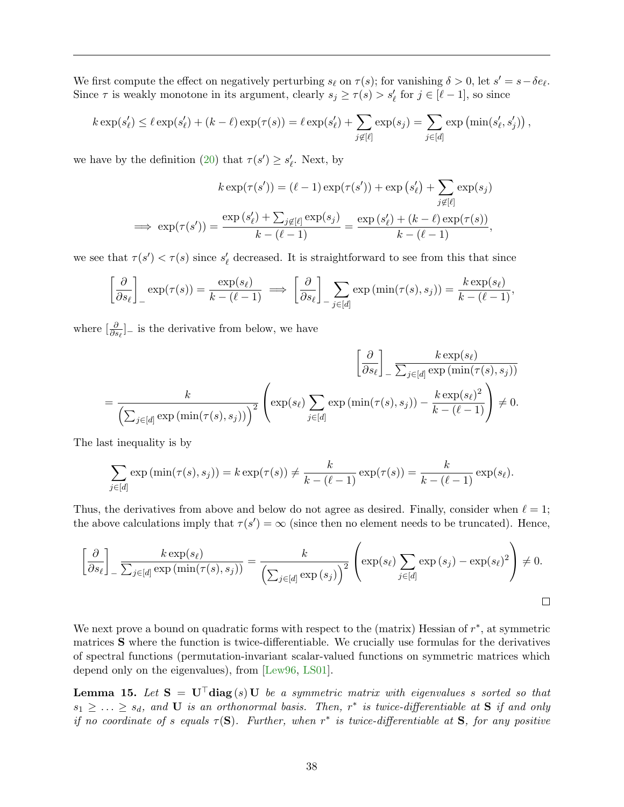We first compute the effect on negatively perturbing  $s_\ell$  on  $\tau(s)$ ; for vanishing  $\delta > 0$ , let  $s' = s - \delta e_\ell$ . Since  $\tau$  is weakly monotone in its argument, clearly  $s_j \geq \tau(s) > s'_\ell$  for  $j \in [\ell - 1]$ , so since

$$
k \exp(s'_{\ell}) \leq \ell \exp(s'_{\ell}) + (k - \ell) \exp(\tau(s)) = \ell \exp(s'_{\ell}) + \sum_{j \notin [\ell]} \exp(s_j) = \sum_{j \in [d]} \exp\left(\min(s'_{\ell}, s'_{j})\right),
$$

we have by the definition [\(20\)](#page-36-7) that  $\tau(s') \geq s'_\ell$ . Next, by

$$
k \exp(\tau(s')) = (\ell - 1) \exp(\tau(s')) + \exp(s'_{\ell}) + \sum_{j \notin [\ell]} \exp(s_j)
$$

$$
\implies \exp(\tau(s')) = \frac{\exp(s'_{\ell}) + \sum_{j \notin [\ell]} \exp(s_j)}{k - (\ell - 1)} = \frac{\exp(s'_{\ell}) + (k - \ell) \exp(\tau(s))}{k - (\ell - 1)},
$$

we see that  $\tau(s') < \tau(s)$  since  $s'_\ell$  decreased. It is straightforward to see from this that since

$$
\left[\frac{\partial}{\partial s_{\ell}}\right]_{-} \exp(\tau(s)) = \frac{\exp(s_{\ell})}{k - (\ell - 1)} \implies \left[\frac{\partial}{\partial s_{\ell}}\right]_{-} \sum_{j \in [d]} \exp(\min(\tau(s), s_j)) = \frac{k \exp(s_{\ell})}{k - (\ell - 1)},
$$

where  $\left[\frac{\partial}{\partial s_{\ell}}\right]$  is the derivative from below, we have

$$
\left[\frac{\partial}{\partial s_{\ell}}\right]_{-} \frac{k \exp(s_{\ell})}{\sum_{j\in[d]} \exp(\min(\tau(s), s_j))}
$$
\n
$$
= \frac{k}{\left(\sum_{j\in[d]} \exp(\min(\tau(s), s_j))\right)^2} \left(\exp(s_{\ell}) \sum_{j\in[d]} \exp(\min(\tau(s), s_j)) - \frac{k \exp(s_{\ell})^2}{k - (\ell - 1)}\right) \neq 0.
$$

The last inequality is by

$$
\sum_{j \in [d]} \exp(\min(\tau(s), s_j)) = k \exp(\tau(s)) \neq \frac{k}{k - (\ell - 1)} \exp(\tau(s)) = \frac{k}{k - (\ell - 1)} \exp(s_{\ell}).
$$

Thus, the derivatives from above and below do not agree as desired. Finally, consider when  $\ell = 1$ ; the above calculations imply that  $\tau(s') = \infty$  (since then no element needs to be truncated). Hence,

$$
\left[\frac{\partial}{\partial s_{\ell}}\right]_{-} \frac{k \exp(s_{\ell})}{\sum_{j \in [d]} \exp(\min(\tau(s), s_j))} = \frac{k}{\left(\sum_{j \in [d]} \exp(s_j)\right)^2} \left(\exp(s_{\ell}) \sum_{j \in [d]} \exp(s_j) - \exp(s_{\ell})^2\right) \neq 0.
$$

We next prove a bound on quadratic forms with respect to the (matrix) Hessian of  $r^*$ , at symmetric matrices S where the function is twice-differentiable. We crucially use formulas for the derivatives of spectral functions (permutation-invariant scalar-valued functions on symmetric matrices which depend only on the eigenvalues), from [\[Lew96,](#page-54-13) [LS01\]](#page-54-14).

<span id="page-39-0"></span>**Lemma 15.** Let  $S = U^{\top}$ diag(s) U be a symmetric matrix with eigenvalues s sorted so that  $s_1 \geq \ldots \geq s_d$ , and **U** is an orthonormal basis. Then,  $r^*$  is twice-differentiable at **S** if and only if no coordinate of s equals  $\tau(S)$ . Further, when  $r^*$  is twice-differentiable at S, for any positive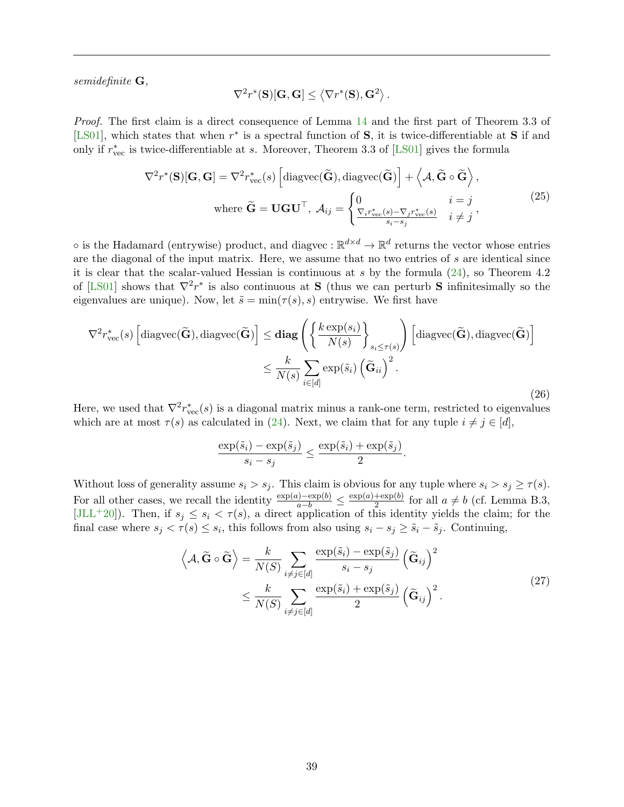semidefinite G,

$$
\nabla^2 r^*(\mathbf{S})[\mathbf{G},\mathbf{G}] \le \left\langle \nabla r^*(\mathbf{S}),\mathbf{G}^2 \right\rangle.
$$

Proof. The first claim is a direct consequence of Lemma [14](#page-38-2) and the first part of Theorem 3.3 of [\[LS01\]](#page-54-14), which states that when  $r^*$  is a spectral function of S, it is twice-differentiable at S if and only if  $r_{\text{vec}}^*$  is twice-differentiable at s. Moreover, Theorem 3.3 of [\[LS01\]](#page-54-14) gives the formula

<span id="page-40-2"></span>
$$
\nabla^2 r^*(\mathbf{S})[\mathbf{G}, \mathbf{G}] = \nabla^2 r_{\text{vec}}^*(s) \left[ \text{diagvec}(\widetilde{\mathbf{G}}), \text{diagvec}(\widetilde{\mathbf{G}}) \right] + \left\langle \mathcal{A}, \widetilde{\mathbf{G}} \circ \widetilde{\mathbf{G}} \right\rangle,
$$
\n
$$
\text{where } \widetilde{\mathbf{G}} = \mathbf{U}\mathbf{G}\mathbf{U}^\top, \ \mathcal{A}_{ij} = \begin{cases} 0 & i = j \\ \frac{\nabla_i r_{\text{vec}}^*(s) - \nabla_j r_{\text{vec}}^*(s)}{s_i - s_j} & i \neq j \end{cases},\tag{25}
$$

 $\circ$  is the Hadamard (entrywise) product, and diagvec :  $\mathbb{R}^{d \times d} \to \mathbb{R}^d$  returns the vector whose entries are the diagonal of the input matrix. Here, we assume that no two entries of  $s$  are identical since it is clear that the scalar-valued Hessian is continuous at  $s$  by the formula [\(24\)](#page-38-3), so Theorem 4.2 of [\[LS01\]](#page-54-14) shows that  $\nabla^2 r^*$  is also continuous at **S** (thus we can perturb **S** infinitesimally so the eigenvalues are unique). Now, let  $\tilde{s} = \min(\tau(s), s)$  entrywise. We first have

<span id="page-40-0"></span>
$$
\nabla^2 r_{\text{vec}}^*(s) \left[ \text{diagvec}(\widetilde{\mathbf{G}}), \text{diagvec}(\widetilde{\mathbf{G}}) \right] \le \mathbf{diag}\left( \left\{ \frac{k \exp(s_i)}{N(s)} \right\}_{s_i \le \tau(s)} \right) \left[ \text{diagvec}(\widetilde{\mathbf{G}}), \text{diagvec}(\widetilde{\mathbf{G}}) \right]
$$

$$
\le \frac{k}{N(s)} \sum_{i \in [d]} \exp(\widetilde{s}_i) \left( \widetilde{\mathbf{G}}_{ii} \right)^2. \tag{26}
$$

Here, we used that  $\nabla^2 r_{\text{vec}}^*(s)$  is a diagonal matrix minus a rank-one term, restricted to eigenvalues which are at most  $\tau(s)$  as calculated in [\(24\)](#page-38-3). Next, we claim that for any tuple  $i \neq j \in [d]$ ,

$$
\frac{\exp(\tilde{s}_i) - \exp(\tilde{s}_j)}{s_i - s_j} \le \frac{\exp(\tilde{s}_i) + \exp(\tilde{s}_j)}{2}.
$$

Without loss of generality assume  $s_i > s_j$ . This claim is obvious for any tuple where  $s_i > s_j \geq \tau(s)$ . For all other cases, we recall the identity  $\frac{\exp(a) - \exp(b)}{a - b} \leq \frac{\exp(a) + \exp(b)}{2}$  $\frac{1}{2}$  for all  $a \neq b$  (cf. Lemma B.3, [\[JLL](#page-54-12)<sup>+</sup>20]). Then, if  $s_j \leq s_i < \tau(s)$ , a direct application of this identity yields the claim; for the final case where  $s_j < \tau(s) \leq s_i$ , this follows from also using  $s_i - s_j \geq \tilde{s}_i - \tilde{s}_j$ . Continuing,

<span id="page-40-1"></span>
$$
\left\langle A, \widetilde{\mathbf{G}} \circ \widetilde{\mathbf{G}} \right\rangle = \frac{k}{N(S)} \sum_{i \neq j \in [d]} \frac{\exp(\widetilde{s}_i) - \exp(\widetilde{s}_j)}{s_i - s_j} \left( \widetilde{\mathbf{G}}_{ij} \right)^2
$$
\n
$$
\leq \frac{k}{N(S)} \sum_{i \neq j \in [d]} \frac{\exp(\widetilde{s}_i) + \exp(\widetilde{s}_j)}{2} \left( \widetilde{\mathbf{G}}_{ij} \right)^2.
$$
\n(27)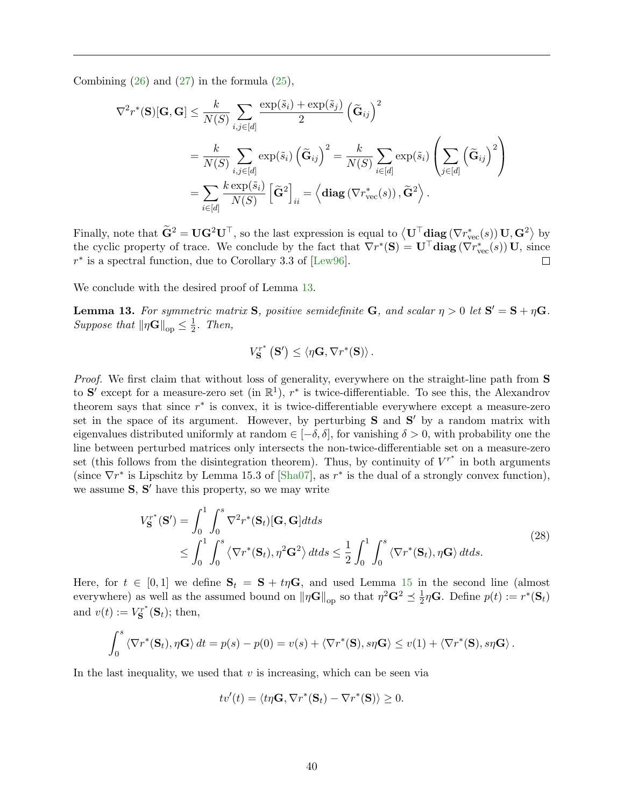Combining  $(26)$  and  $(27)$  in the formula  $(25)$ ,

$$
\nabla^{2} r^{*}(\mathbf{S})[\mathbf{G},\mathbf{G}] \leq \frac{k}{N(S)} \sum_{i,j \in [d]} \frac{\exp(\tilde{s}_{i}) + \exp(\tilde{s}_{j})}{2} \left(\tilde{\mathbf{G}}_{ij}\right)^{2}
$$
  

$$
= \frac{k}{N(S)} \sum_{i,j \in [d]} \exp(\tilde{s}_{i}) \left(\tilde{\mathbf{G}}_{ij}\right)^{2} = \frac{k}{N(S)} \sum_{i \in [d]} \exp(\tilde{s}_{i}) \left(\sum_{j \in [d]} \left(\tilde{\mathbf{G}}_{ij}\right)^{2}\right)
$$
  

$$
= \sum_{i \in [d]} \frac{k \exp(\tilde{s}_{i})}{N(S)} \left[\tilde{\mathbf{G}}^{2}\right]_{ii} = \left\langle \textbf{diag}\left(\nabla r_{\text{vec}}^{*}(s)\right), \tilde{\mathbf{G}}^{2} \right\rangle.
$$

Finally, note that  $\tilde{\mathbf{G}}^2 = \mathbf{U}\mathbf{G}^2\mathbf{U}^{\top}$ , so the last expression is equal to  $\langle \mathbf{U}^{\top} \mathbf{diag} (\nabla r_{\text{vec}}^*(s)) \mathbf{U}, \mathbf{G}^2 \rangle$  by the cyclic property of trace. We conclude by the fact that  $\nabla r^*(\mathbf{S}) = \mathbf{U}^\top \mathbf{diag}(\nabla r^*_{\text{vec}}(s)) \mathbf{U}$ , since  $r^*$  is a spectral function, due to Corollary 3.3 of [\[Lew96\]](#page-54-13).

We conclude with the desired proof of Lemma [13.](#page-37-1)

<span id="page-41-1"></span>**Lemma 13.** For symmetric matrix **S**, positive semidefinite **G**, and scalar  $\eta > 0$  let  $S' = S + \eta G$ . Suppose that  $\|\eta \mathbf{G}\|_{\text{op}} \leq \frac{1}{2}$  $rac{1}{2}$ . Then,

$$
V_{\mathbf{S}}^{r^*}(\mathbf{S}') \leq \langle \eta \mathbf{G}, \nabla r^*(\mathbf{S}) \rangle.
$$

Proof. We first claim that without loss of generality, everywhere on the straight-line path from **S** to S' except for a measure-zero set (in  $\mathbb{R}^1$ ),  $r^*$  is twice-differentiable. To see this, the Alexandrov theorem says that since  $r^*$  is convex, it is twice-differentiable everywhere except a measure-zero set in the space of its argument. However, by perturbing  $S$  and  $S'$  by a random matrix with eigenvalues distributed uniformly at random  $\in [-\delta, \delta]$ , for vanishing  $\delta > 0$ , with probability one the line between perturbed matrices only intersects the non-twice-differentiable set on a measure-zero set (this follows from the disintegration theorem). Thus, by continuity of  $V^{r^*}$  in both arguments (since  $\nabla r^*$  is Lipschitz by Lemma 15.3 of [\[Sha07\]](#page-55-10), as  $r^*$  is the dual of a strongly convex function), we assume  $S, S'$  have this property, so we may write

<span id="page-41-0"></span>
$$
V_{\mathbf{S}}^{r^*}(\mathbf{S}') = \int_0^1 \int_0^s \nabla^2 r^*(\mathbf{S}_t) [\mathbf{G}, \mathbf{G}] dt ds
$$
  
\n
$$
\leq \int_0^1 \int_0^s \left\langle \nabla r^*(\mathbf{S}_t), \eta^2 \mathbf{G}^2 \right\rangle dt ds \leq \frac{1}{2} \int_0^1 \int_0^s \left\langle \nabla r^*(\mathbf{S}_t), \eta \mathbf{G} \right\rangle dt ds.
$$
\n(28)

Here, for  $t \in [0,1]$  we define  $S_t = S + t\eta G$ , and used Lemma [15](#page-39-0) in the second line (almost everywhere) as well as the assumed bound on  $\|\eta\mathbf{G}\|_{\text{op}}$  so that  $\eta^2\mathbf{G}^2 \preceq \frac{1}{2}$  $\frac{1}{2}\eta\mathbf{G}$ . Define  $p(t) := r^*(\mathbf{S}_t)$ and  $v(t) := V_{\mathbf{S}}^{r^*}$  $\mathbf{S}^{r^*}(\mathbf{S}_t)$ ; then,

$$
\int_0^s \langle \nabla r^*(\mathbf{S}_t), \eta \mathbf{G} \rangle dt = p(s) - p(0) = v(s) + \langle \nabla r^*(\mathbf{S}), s\eta \mathbf{G} \rangle \le v(1) + \langle \nabla r^*(\mathbf{S}), s\eta \mathbf{G} \rangle.
$$

In the last inequality, we used that  $v$  is increasing, which can be seen via

$$
tv'(t) = \langle t\eta \mathbf{G}, \nabla r^*(\mathbf{S}_t) - \nabla r^*(\mathbf{S}) \rangle \ge 0.
$$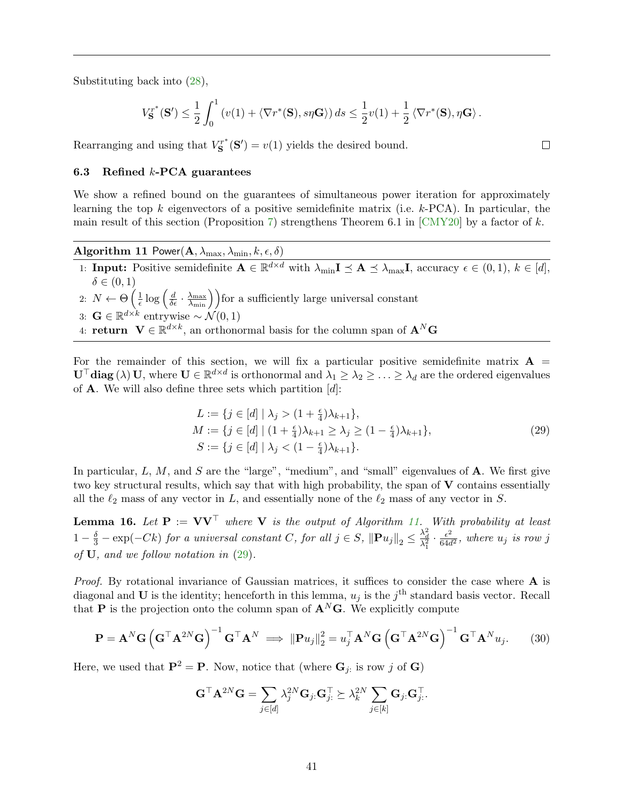Substituting back into [\(28\)](#page-41-0),

$$
V_{\mathbf{S}}^{r^*}(\mathbf{S}') \leq \frac{1}{2} \int_0^1 \left( v(1) + \langle \nabla r^*(\mathbf{S}), s\eta \mathbf{G} \rangle \right) ds \leq \frac{1}{2} v(1) + \frac{1}{2} \langle \nabla r^*(\mathbf{S}), \eta \mathbf{G} \rangle.
$$

Rearranging and using that  $V_{\mathbf{S}}^{r^*}$  $S^{rr^*}(\mathbf{S}') = v(1)$  yields the desired bound.

#### <span id="page-42-0"></span>6.3 Refined  $k$ -PCA guarantees

We show a refined bound on the guarantees of simultaneous power iteration for approximately learning the top k eigenvectors of a positive semidefinite matrix (i.e.  $k$ -PCA). In particular, the main result of this section (Proposition [7\)](#page-44-0) strengthens Theorem 6.1 in  $\lfloor \text{CMY20} \rfloor$  by a factor of k.

Algorithm 11  $\mathsf{Power}(\mathbf{A}, \lambda_{\max}, \lambda_{\min}, k, \epsilon, \delta)$ 

- <span id="page-42-1"></span>1: **Input:** Positive semidefinite  $A \in \mathbb{R}^{d \times d}$  with  $\lambda_{\min} I \preceq A \preceq \lambda_{\max} I$ , accuracy  $\epsilon \in (0,1)$ ,  $k \in [d]$ ,  $\delta \in (0,1)$
- 2:  $N \leftarrow \Theta\left(\frac{1}{\epsilon}\right)$  $\frac{1}{\epsilon} \log \left( \frac{d}{\delta \epsilon} \cdot \frac{\lambda_{\max}}{\lambda_{\min}} \right)$  for a sufficiently large universal constant

3: 
$$
\mathbf{G} \in \mathbb{R}^{d \times k}
$$
 entrywise  $\sim \mathcal{N}(0, 1)$ 

4: return  $\mathbf{V} \in \mathbb{R}^{d \times k}$ , an orthonormal basis for the column span of  $\mathbf{A}^N \mathbf{G}$ 

For the remainder of this section, we will fix a particular positive semidefinite matrix  $\mathbf{A} =$  $\mathbf{U}^\top \mathbf{diag}(\lambda) \mathbf{U}$ , where  $\mathbf{U} \in \mathbb{R}^{d \times d}$  is orthonormal and  $\lambda_1 \geq \lambda_2 \geq \ldots \geq \lambda_d$  are the ordered eigenvalues of **A**. We will also define three sets which partition  $[d]$ :

<span id="page-42-2"></span>
$$
L := \{ j \in [d] \mid \lambda_j > (1 + \frac{\epsilon}{4})\lambda_{k+1} \},
$$
  
\n
$$
M := \{ j \in [d] \mid (1 + \frac{\epsilon}{4})\lambda_{k+1} \ge \lambda_j \ge (1 - \frac{\epsilon}{4})\lambda_{k+1} \},
$$
  
\n
$$
S := \{ j \in [d] \mid \lambda_j < (1 - \frac{\epsilon}{4})\lambda_{k+1} \}.
$$
\n(29)

In particular,  $L, M$ , and  $S$  are the "large", "medium", and "small" eigenvalues of  $A$ . We first give two key structural results, which say that with high probability, the span of  $V$  contains essentially all the  $\ell_2$  mass of any vector in L, and essentially none of the  $\ell_2$  mass of any vector in S.

<span id="page-42-4"></span>**Lemma 16.** Let  $P := VV^{\top}$  where V is the output of Algorithm [11.](#page-42-1) With probability at least 1 -  $\frac{\delta}{3}$  - exp(-Ck) for a universal constant C, for all  $j \in S$ ,  $\|\mathbf{P} u_j\|_2 \leq \frac{\lambda_d^2}{\lambda_1^2} \cdot \frac{\epsilon^2}{64a}$  $\frac{\epsilon^2}{64d^2}$ , where  $u_j$  is row j of U, and we follow notation in [\(29\)](#page-42-2).

*Proof.* By rotational invariance of Gaussian matrices, it suffices to consider the case where  $\bf{A}$  is diagonal and U is the identity; henceforth in this lemma,  $u_j$  is the  $j<sup>th</sup>$  standard basis vector. Recall that **P** is the projection onto the column span of  $\mathbf{A}^N\mathbf{G}$ . We explicitly compute

<span id="page-42-3"></span>
$$
\mathbf{P} = \mathbf{A}^N \mathbf{G} \left( \mathbf{G}^{\top} \mathbf{A}^{2N} \mathbf{G} \right)^{-1} \mathbf{G}^{\top} \mathbf{A}^N \implies \|\mathbf{P} u_j\|_2^2 = u_j^{\top} \mathbf{A}^N \mathbf{G} \left( \mathbf{G}^{\top} \mathbf{A}^{2N} \mathbf{G} \right)^{-1} \mathbf{G}^{\top} \mathbf{A}^N u_j. \tag{30}
$$

Here, we used that  $\mathbf{P}^2 = \mathbf{P}$ . Now, notice that (where  $\mathbf{G}_j$ : is row j of  $\mathbf{G}$ )

$$
\mathbf{G}^{\top}\mathbf{A}^{2N}\mathbf{G} = \sum_{j \in [d]} \lambda_j^{2N} \mathbf{G}_j \cdot \mathbf{G}_{j\cdot}^{\top} \succeq \lambda_k^{2N} \sum_{j \in [k]} \mathbf{G}_j \cdot \mathbf{G}_{j\cdot}^{\top}.
$$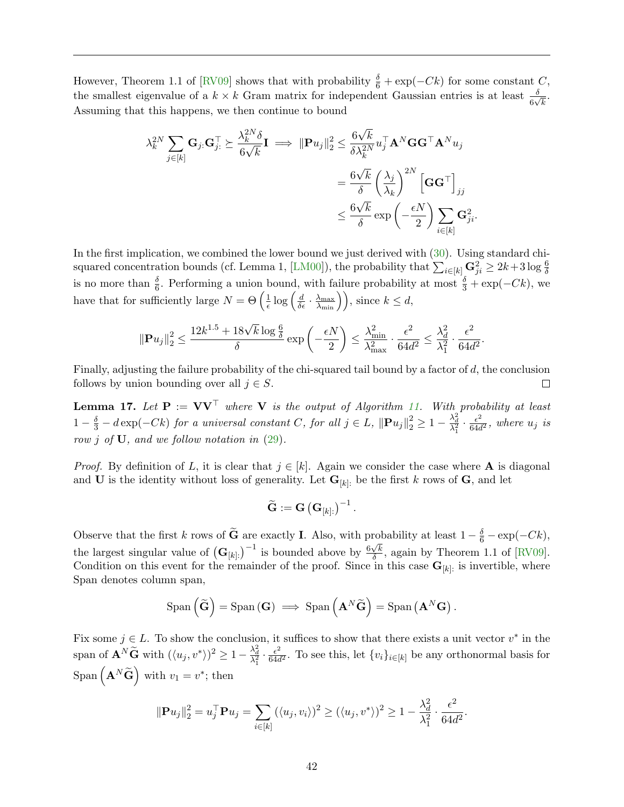However, Theorem 1.1 of [\[RV09\]](#page-55-11) shows that with probability  $\frac{\delta}{6} + \exp(-Ck)$  for some constant C, the smallest eigenvalue of a  $k \times k$  Gram matrix for independent Gaussian entries is at least  $\frac{\delta}{6\sqrt{k}}$ . Assuming that this happens, we then continue to bound

$$
\lambda_k^{2N} \sum_{j \in [k]} \mathbf{G}_{j:} \mathbf{G}_{j:}^{\top} \succeq \frac{\lambda_k^{2N} \delta}{6\sqrt{k}} \mathbf{I} \implies \|\mathbf{P} u_j\|_2^2 \le \frac{6\sqrt{k}}{\delta \lambda_k^{2N}} u_j^{\top} \mathbf{A}^N \mathbf{G} \mathbf{G}^{\top} \mathbf{A}^N u_j
$$

$$
= \frac{6\sqrt{k}}{\delta} \left(\frac{\lambda_j}{\lambda_k}\right)^{2N} \left[\mathbf{G} \mathbf{G}^{\top}\right]_{jj}
$$

$$
\le \frac{6\sqrt{k}}{\delta} \exp\left(-\frac{\epsilon N}{2}\right) \sum_{i \in [k]} \mathbf{G}_{ji}^2.
$$

In the first implication, we combined the lower bound we just derived with [\(30\)](#page-42-3). Using standard chi-squared concentration bounds (cf. Lemma 1, [\[LM00\]](#page-54-15)), the probability that  $\sum_{i\in[k]} \mathbf{G}_{ji}^2 \geq 2k+3\log\frac{6}{\delta}$ is no more than  $\frac{\delta}{6}$ . Performing a union bound, with failure probability at most  $\frac{\delta}{3} + \exp(-Ck)$ , we have that for sufficiently large  $N = \Theta\left(\frac{1}{\epsilon}\right)$  $\frac{1}{\epsilon} \log \left( \frac{d}{\delta \epsilon} \cdot \frac{\lambda_{\max}}{\lambda_{\min}} \right) \right), \text{ since } k \leq d,$ 

$$
\|\mathbf{P} u_j\|_2^2 \leq \frac{12k^{1.5} + 18\sqrt{k}\log \frac{6}{\delta}}{\delta} \exp\left(-\frac{\epsilon N}{2}\right) \leq \frac{\lambda_{\min}^2}{\lambda_{\max}^2} \cdot \frac{\epsilon^2}{64d^2} \leq \frac{\lambda_d^2}{\lambda_1^2} \cdot \frac{\epsilon^2}{64d^2}.
$$

Finally, adjusting the failure probability of the chi-squared tail bound by a factor of d, the conclusion follows by union bounding over all  $j \in S$ .  $\Box$ 

<span id="page-43-0"></span>**Lemma 17.** Let  $P := VV^{\top}$  where V is the output of Algorithm [11.](#page-42-1) With probability at least 1 −  $\frac{\delta}{3}$  − dexp(−Ck) for a universal constant C, for all  $j \in L$ ,  $||\mathbf{P}u_j||_2^2 \ge 1 - \frac{\lambda_d^2}{\lambda_1^2} \cdot \frac{\epsilon^2}{64a}$  $rac{\epsilon^2}{64d^2}$ , where  $u_j$  is row *i* of **U**, and we follow notation in  $(29)$ .

*Proof.* By definition of L, it is clear that  $j \in [k]$ . Again we consider the case where A is diagonal and **U** is the identity without loss of generality. Let  $\mathbf{G}_{[k]}$ : be the first k rows of **G**, and let

$$
\widetilde{\mathbf{G}}:=\mathbf{G}\left(\mathbf{G}_{[k] :}\right)^{-1}.
$$

Observe that the first k rows of  $\tilde{G}$  are exactly I. Also, with probability at least  $1 - \frac{\delta}{6} - \exp(-Ck)$ , the largest singular value of  $(\mathbf{G}_{[k]})^{-1}$  is bounded above by  $\frac{6\sqrt{k}}{\delta}$  $\frac{\sqrt{k}}{\delta}$ , again by Theorem 1.1 of [\[RV09\]](#page-55-11). Condition on this event for the remainder of the proof. Since in this case  $\mathbf{G}_{[k]}$ : is invertible, where Span denotes column span,

$$
\text{Span}\left(\widetilde{\mathbf{G}}\right) = \text{Span}\left(\mathbf{G}\right) \implies \text{Span}\left(\mathbf{A}^N \widetilde{\mathbf{G}}\right) = \text{Span}\left(\mathbf{A}^N \mathbf{G}\right).
$$

Fix some  $j \in L$ . To show the conclusion, it suffices to show that there exists a unit vector  $v^*$  in the span of  $\mathbf{A}^N \widetilde{\mathbf{G}}$  with  $(\langle u_j, v^* \rangle)^2 \geq 1 - \frac{\lambda_d^2}{\lambda_1^2} \cdot \frac{\epsilon^2}{64a}$  $\frac{\epsilon^2}{64d^2}$ . To see this, let  $\{v_i\}_{i\in[k]}$  be any orthonormal basis for Span  $(A^N \widetilde{G})$  with  $v_1 = v^*$ ; then

$$
\|\mathbf{P}u_j\|_2^2 = u_j^{\top} \mathbf{P}u_j = \sum_{i \in [k]} (\langle u_j, v_i \rangle)^2 \ge (\langle u_j, v^* \rangle)^2 \ge 1 - \frac{\lambda_d^2}{\lambda_1^2} \cdot \frac{\epsilon^2}{64d^2}
$$

.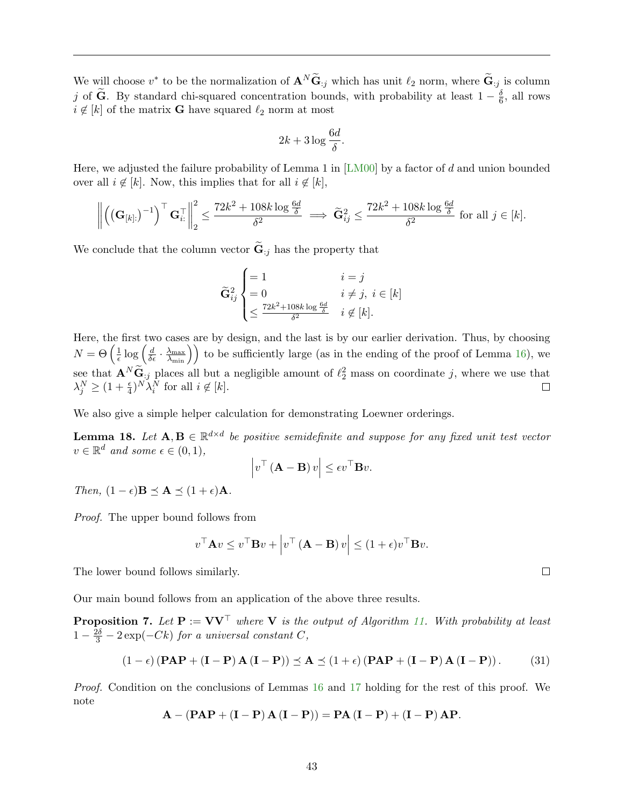We will choose  $v^*$  to be the normalization of  $\mathbf{A}^N \widetilde{\mathbf{G}}_{:j}$  which has unit  $\ell_2$  norm, where  $\widetilde{\mathbf{G}}_{:j}$  is column j of  $\widetilde{G}$ . By standard chi-squared concentration bounds, with probability at least  $1 - \frac{\delta}{6}$  $\frac{6}{6}$ , all rows  $i \notin [k]$  of the matrix **G** have squared  $\ell_2$  norm at most

$$
2k + 3\log\frac{6d}{\delta}.
$$

Here, we adjusted the failure probability of Lemma 1 in [\[LM00\]](#page-54-15) by a factor of d and union bounded over all  $i \notin [k]$ . Now, this implies that for all  $i \notin [k]$ ,

$$
\left\| \left( \left( \mathbf{G}_{[k]}. \right)^{-1} \right)^\top \mathbf{G}_{i:}^\top \right\|_2^2 \le \frac{72k^2 + 108k \log \frac{6d}{\delta}}{\delta^2} \implies \widetilde{\mathbf{G}}_{ij}^2 \le \frac{72k^2 + 108k \log \frac{6d}{\delta}}{\delta^2} \text{ for all } j \in [k].
$$

We conclude that the column vector  $\widetilde{\mathbf{G}}_{:j}$  has the property that

$$
\widetilde{\mathbf{G}}_{ij}^2 \begin{cases}\n= 1 & i = j \\
= 0 & i \neq j, i \in [k] \\
\leq \frac{72k^2 + 108k \log \frac{6d}{\delta}}{\delta^2} & i \notin [k].\n\end{cases}
$$

Here, the first two cases are by design, and the last is by our earlier derivation. Thus, by choosing  $N = \Theta\left(\frac{1}{\epsilon}\right)$  $\frac{1}{\epsilon} \log \left( \frac{d}{\delta \epsilon} \cdot \frac{\lambda_{\max}}{\lambda_{\min}} \right)$  to be sufficiently large (as in the ending of the proof of Lemma [16\)](#page-42-4), we see that  $\mathbf{A}^N \widetilde{\mathbf{G}}_{:j}$  places all but a negligible amount of  $\ell_2^2$  mass on coordinate j, where we use that  $\lambda_j^N \geq (1+\frac{\epsilon}{4})^N \lambda_i^N$  for all  $i \notin [k]$ .  $\Box$ 

We also give a simple helper calculation for demonstrating Loewner orderings.

<span id="page-44-1"></span>**Lemma 18.** Let  $A, B \in \mathbb{R}^{d \times d}$  be positive semidefinite and suppose for any fixed unit test vector  $v \in \mathbb{R}^d$  and some  $\epsilon \in (0,1)$ ,

$$
\left| v^{\top} \left( \mathbf{A} - \mathbf{B} \right) v \right| \leq \epsilon v^{\top} \mathbf{B} v.
$$

Then,  $(1 - \epsilon)$ **B**  $\prec$  **A**  $\prec$   $(1 + \epsilon)$ **A**.

Proof. The upper bound follows from

$$
v^{\top} \mathbf{A} v \le v^{\top} \mathbf{B} v + \left| v^{\top} \left( \mathbf{A} - \mathbf{B} \right) v \right| \le (1 + \epsilon) v^{\top} \mathbf{B} v.
$$

The lower bound follows similarly.

Our main bound follows from an application of the above three results.

<span id="page-44-0"></span>**Proposition 7.** Let  $P := VV^{\top}$  where V is the output of Algorithm [11.](#page-42-1) With probability at least  $1-\frac{2\delta}{3}-2\exp(-Ck)$  for a universal constant C,

<span id="page-44-2"></span>
$$
(1 - \epsilon) (\mathbf{PAP} + (\mathbf{I} - \mathbf{P}) \mathbf{A} (\mathbf{I} - \mathbf{P})) \preceq \mathbf{A} \preceq (1 + \epsilon) (\mathbf{PAP} + (\mathbf{I} - \mathbf{P}) \mathbf{A} (\mathbf{I} - \mathbf{P})).
$$
 (31)

Proof. Condition on the conclusions of Lemmas [16](#page-42-4) and [17](#page-43-0) holding for the rest of this proof. We note

$$
\mathbf{A} - (\mathbf{PAP} + (\mathbf{I} - \mathbf{P}) \mathbf{A} (\mathbf{I} - \mathbf{P})) = \mathbf{P}\mathbf{A} (\mathbf{I} - \mathbf{P}) + (\mathbf{I} - \mathbf{P}) \mathbf{A}\mathbf{P}.
$$

 $\Box$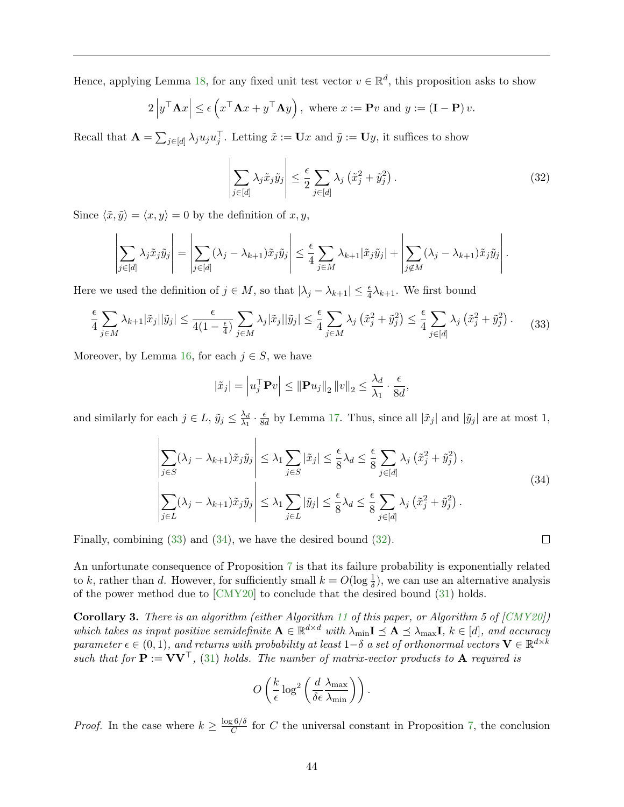Hence, applying Lemma [18,](#page-44-1) for any fixed unit test vector  $v \in \mathbb{R}^d$ , this proposition asks to show

$$
2\left|y^{\top} \mathbf{A} x\right| \leq \epsilon \left(x^{\top} \mathbf{A} x + y^{\top} \mathbf{A} y\right), \text{ where } x := \mathbf{P} v \text{ and } y := (\mathbf{I} - \mathbf{P}) v.
$$

Recall that  $\mathbf{A} = \sum_{j \in [d]} \lambda_j u_j u_j^{\top}$ . Letting  $\tilde{x} := \mathbf{U}x$  and  $\tilde{y} := \mathbf{U}y$ , it suffices to show

<span id="page-45-2"></span>
$$
\left| \sum_{j \in [d]} \lambda_j \tilde{x}_j \tilde{y}_j \right| \le \frac{\epsilon}{2} \sum_{j \in [d]} \lambda_j \left( \tilde{x}_j^2 + \tilde{y}_j^2 \right).
$$
 (32)

Since  $\langle \tilde{x}, \tilde{y} \rangle = \langle x, y \rangle = 0$  by the definition of  $x, y$ ,

$$
\left|\sum_{j\in[d]}\lambda_j\tilde{x}_j\tilde{y}_j\right|=\left|\sum_{j\in[d]}(\lambda_j-\lambda_{k+1})\tilde{x}_j\tilde{y}_j\right|\leq \frac{\epsilon}{4}\sum_{j\in M}\lambda_{k+1}|\tilde{x}_j\tilde{y}_j|+\left|\sum_{j\not\in M}(\lambda_j-\lambda_{k+1})\tilde{x}_j\tilde{y}_j\right|.
$$

Here we used the definition of  $j \in M$ , so that  $|\lambda_j - \lambda_{k+1}| \leq \frac{\epsilon}{4} \lambda_{k+1}$ . We first bound

<span id="page-45-0"></span>
$$
\frac{\epsilon}{4} \sum_{j \in M} \lambda_{k+1} |\tilde{x}_j| |\tilde{y}_j| \le \frac{\epsilon}{4(1 - \frac{\epsilon}{4})} \sum_{j \in M} \lambda_j |\tilde{x}_j| |\tilde{y}_j| \le \frac{\epsilon}{4} \sum_{j \in M} \lambda_j (\tilde{x}_j^2 + \tilde{y}_j^2) \le \frac{\epsilon}{4} \sum_{j \in [d]} \lambda_j (\tilde{x}_j^2 + \tilde{y}_j^2).
$$
 (33)

Moreover, by Lemma [16,](#page-42-4) for each  $j \in S$ , we have

$$
|\tilde{x}_j| = \left| u_j^\top \mathbf{P} v \right| \leq \left\| \mathbf{P} u_j \right\|_2 \left\| v \right\|_2 \leq \frac{\lambda_d}{\lambda_1} \cdot \frac{\epsilon}{8d},
$$

and similarly for each  $j \in L$ ,  $\tilde{y}_j \leq \frac{\lambda_d}{\lambda_1}$  $\frac{\lambda_d}{\lambda_1} \cdot \frac{\epsilon}{8a}$  $\frac{\epsilon}{8d}$  by Lemma [17.](#page-43-0) Thus, since all  $|\tilde{x}_j|$  and  $|\tilde{y}_j|$  are at most 1,

<span id="page-45-1"></span>
$$
\left| \sum_{j \in S} (\lambda_j - \lambda_{k+1}) \tilde{x}_j \tilde{y}_j \right| \leq \lambda_1 \sum_{j \in S} |\tilde{x}_j| \leq \frac{\epsilon}{8} \lambda_d \leq \frac{\epsilon}{8} \sum_{j \in [d]} \lambda_j \left( \tilde{x}_j^2 + \tilde{y}_j^2 \right),
$$
\n
$$
\left| \sum_{j \in L} (\lambda_j - \lambda_{k+1}) \tilde{x}_j \tilde{y}_j \right| \leq \lambda_1 \sum_{j \in L} |\tilde{y}_j| \leq \frac{\epsilon}{8} \lambda_d \leq \frac{\epsilon}{8} \sum_{j \in [d]} \lambda_j \left( \tilde{x}_j^2 + \tilde{y}_j^2 \right).
$$
\n(34)

Finally, combining [\(33\)](#page-45-0) and [\(34\)](#page-45-1), we have the desired bound [\(32\)](#page-45-2).

An unfortunate consequence of Proposition [7](#page-44-0) is that its failure probability is exponentially related to k, rather than d. However, for sufficiently small  $k = O(\log \frac{1}{\delta})$ , we can use an alternative analysis of the power method due to [\[CMY20\]](#page-52-1) to conclude that the desired bound [\(31\)](#page-44-2) holds.

<span id="page-45-3"></span>Corollary 3. There is an algorithm (either Algorithm [11](#page-42-1) of this paper, or Algorithm 5 of [\[CMY20\]](#page-52-1)) which takes as input positive semidefinite  $A \in \mathbb{R}^{d \times d}$  with  $\lambda_{\min} I \preceq A \preceq \lambda_{\max} I$ ,  $k \in [d]$ , and accuracy parameter  $\epsilon \in (0,1)$ , and returns with probability at least  $1-\delta$  a set of orthonormal vectors  $\mathbf{V} \in \mathbb{R}^{d \times k}$ such that for  $\mathbf{P} := \mathbf{V}\mathbf{V}^{\top}$ , [\(31\)](#page-44-2) holds. The number of matrix-vector products to **A** required is

$$
O\left(\frac{k}{\epsilon}\log^2\left(\frac{d}{\delta\epsilon}\frac{\lambda_{\max}}{\lambda_{\min}}\right)\right).
$$

*Proof.* In the case where  $k \geq \frac{\log 6/\delta}{C}$  $\frac{\partial^5 O}{\partial C}$  for C the universal constant in Proposition [7,](#page-44-0) the conclusion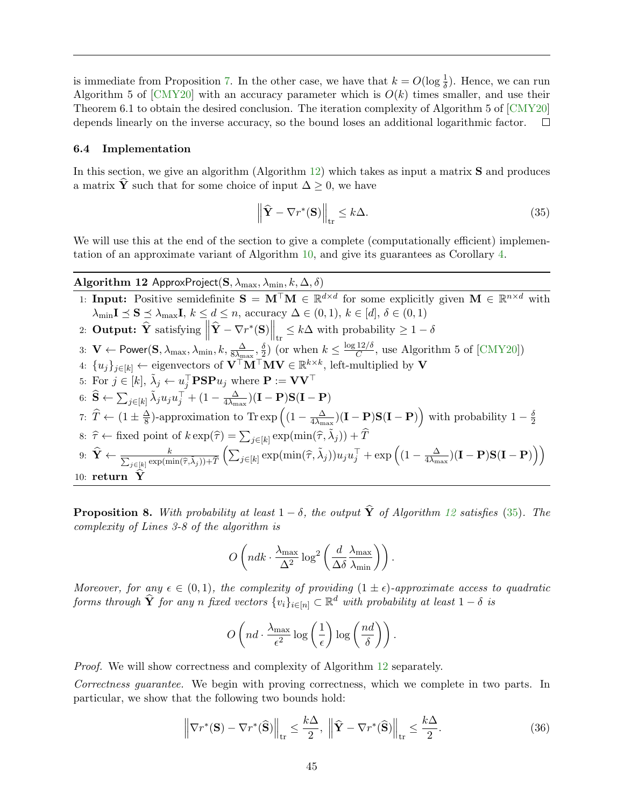is immediate from Proposition [7.](#page-44-0) In the other case, we have that  $k = O(\log \frac{1}{\delta})$ . Hence, we can run Algorithm 5 of  $\text{[CMY20]}$  $\text{[CMY20]}$  $\text{[CMY20]}$  with an accuracy parameter which is  $O(k)$  times smaller, and use their Theorem 6.1 to obtain the desired conclusion. The iteration complexity of Algorithm 5 of [\[CMY20\]](#page-52-1) depends linearly on the inverse accuracy, so the bound loses an additional logarithmic factor.  $\Box$ 

#### <span id="page-46-0"></span>6.4 Implementation

In this section, we give an algorithm (Algorithm [12\)](#page-46-2) which takes as input a matrix **S** and produces a matrix  $\hat{\mathbf{Y}}$  such that for some choice of input  $\Delta \geq 0$ , we have

<span id="page-46-5"></span><span id="page-46-3"></span>
$$
\left\| \widehat{\mathbf{Y}} - \nabla r^*(\mathbf{S}) \right\|_{\text{tr}} \le k\Delta. \tag{35}
$$

We will use this at the end of the section to give a complete (computationally efficient) implementation of an approximate variant of Algorithm [10,](#page-36-3) and give its guarantees as Corollary [4.](#page-50-0)

<span id="page-46-2"></span>Algorithm 12 ApproxProject(S,  $\lambda_{\max}$ ,  $\lambda_{\min}$ ,  $k$ ,  $\Delta$ ,  $\delta$ ) 1: Input: Positive semidefinite  $S = M^{\top}M \in \mathbb{R}^{d \times d}$  for some explicitly given  $M \in \mathbb{R}^{n \times d}$  with  $\lambda_{\min}$ **I**  $\leq$  **S**  $\leq$   $\lambda_{\max}$ **I**,  $k \leq d \leq n$ , accuracy  $\Delta \in (0, 1)$ ,  $k \in [d]$ ,  $\delta \in (0, 1)$ 2: Output:  $\widehat{\mathbf{Y}}$  satisfying  $\left\| \widehat{\mathbf{Y}} - \nabla r^*(\mathbf{S}) \right\|_{\text{tr}} \leq k\Delta$  with probability  $\geq 1 - \delta$  tr 3:  $\mathbf{V} \leftarrow \mathsf{Power}(\mathbf{S}, \lambda_{\max}, \lambda_{\min}, k, \frac{\Delta}{8\lambda_{\max}}, \frac{\delta}{2})$  $\frac{\delta}{2}$ ) (or when  $k \leq \frac{\log 12/\delta}{C}$  $\frac{12}{C}$ , use Algorithm 5 of [\[CMY20\]](#page-52-1)) 4:  $\{u_j\}_{j\in[k]} \leftarrow$  eigenvectors of  $V^{\top}M^{\top}MV \in \mathbb{R}^{k\times k}$ , left-multiplied by V 5: For  $j \in [k], \tilde{\lambda}_j \leftarrow u_j^{\top} \mathbf{P} \mathbf{S} \mathbf{P} u_j$  where  $\mathbf{P} := \mathbf{V} \mathbf{V}^{\top}$ 6:  $\widehat{\mathbf{S}} \leftarrow \sum_{j \in [k]} \tilde{\lambda}_j u_j u_j^{\top} + (1 - \frac{\Delta}{4\lambda_{\mathrm{m}}}$  $\frac{\Delta}{4 \lambda_{\max}}) (\mathbf{I} - \mathbf{P}) \mathbf{S} (\mathbf{I} - \mathbf{P})$ 7:  $\widehat{T} \leftarrow (1 \pm \frac{\Delta}{8})$  $\frac{\Delta}{8}$ )-approximation to Tr exp  $\left((1 - \frac{\Delta}{4\lambda_m})\right)$  $\frac{\Delta}{4\lambda_{\text{max}}})(\mathbf{I}-\mathbf{P})\mathbf{S}(\mathbf{I}-\mathbf{P})\Big)$  with probability  $1-\frac{\delta}{2}$ 2 8:  $\hat{\tau} \leftarrow$  fixed point of  $k \exp(\hat{\tau}) = \sum_{j \in [k]} \exp(\min(\hat{\tau}, \tilde{\lambda}_j)) + \hat{T}$ 9:  $\widehat{\mathbf{Y}} \leftarrow \frac{k}{\sum_{i \in [k]} \exp(\mathbf{m})}$  $_{j\in\left[ k\right] }\exp(\min(\widehat{\tau},\tilde{\lambda}_{j}))+\widehat{T}% _{j\in\left[ k\right] }\exp(\min(\widehat{\tau},\tilde{\lambda}_{j})).$  $\left( \sum_{j \in [k]} \exp(\min(\widehat{\tau}, \widetilde{\lambda}_j)) u_j u_j^{\top} + \exp\left( (1 - \frac{\Delta}{4\lambda_m})\right) \right)$  $\frac{\Delta}{4 \lambda_{\max}}) (\mathbf{I}-\mathbf{P}) \mathbf{S}(\mathbf{I}-\mathbf{P})\Big)\Big)$ 10: return  $\hat{\mathbf{Y}}$ 

<span id="page-46-1"></span>**Proposition 8.** With probability at least  $1 - \delta$ , the output  $\hat{\mathbf{Y}}$  of Algorithm [12](#page-46-2) satisfies [\(35\)](#page-46-3). The complexity of Lines 3-8 of the algorithm is

$$
O\left(ndk \cdot \frac{\lambda_{\max}}{\Delta^2} \log^2\left(\frac{d}{\Delta\delta} \frac{\lambda_{\max}}{\lambda_{\min}}\right)\right).
$$

Moreover, for any  $\epsilon \in (0,1)$ , the complexity of providing  $(1 \pm \epsilon)$ -approximate access to quadratic forms through  $\widehat{\mathbf{Y}}$  for any n fixed vectors  $\{v_i\}_{i\in[n]}\subset\mathbb{R}^d$  with probability at least  $1-\delta$  is

$$
O\left(nd \cdot \frac{\lambda_{\max}}{\epsilon^2} \log\left(\frac{1}{\epsilon}\right) \log\left(\frac{nd}{\delta}\right)\right).
$$

Proof. We will show correctness and complexity of Algorithm [12](#page-46-2) separately.

Correctness guarantee. We begin with proving correctness, which we complete in two parts. In particular, we show that the following two bounds hold:

<span id="page-46-4"></span>
$$
\left\|\nabla r^*(\mathbf{S}) - \nabla r^*(\widehat{\mathbf{S}})\right\|_{\text{tr}} \le \frac{k\Delta}{2}, \left\|\widehat{\mathbf{Y}} - \nabla r^*(\widehat{\mathbf{S}})\right\|_{\text{tr}} \le \frac{k\Delta}{2}.
$$
 (36)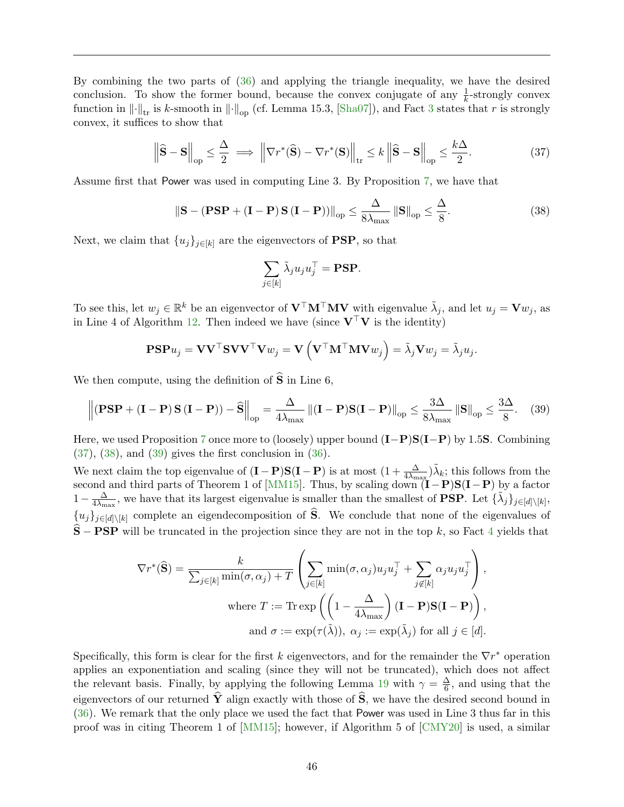By combining the two parts of [\(36\)](#page-46-4) and applying the triangle inequality, we have the desired conclusion. To show the former bound, because the convex conjugate of any  $\frac{1}{k}$ -strongly convex function in  $\left\|\cdot\right\|_{\text{tr}}$  is k-smooth in  $\left\|\cdot\right\|_{\text{op}}$  (cf. Lemma 15.3, [\[Sha07\]](#page-55-10)), and Fact [3](#page-36-4) states that r is strongly convex, it suffices to show that

<span id="page-47-0"></span>
$$
\left\|\widehat{\mathbf{S}} - \mathbf{S}\right\|_{\text{op}} \le \frac{\Delta}{2} \implies \left\|\nabla r^*(\widehat{\mathbf{S}}) - \nabla r^*(\mathbf{S})\right\|_{\text{tr}} \le k \left\|\widehat{\mathbf{S}} - \mathbf{S}\right\|_{\text{op}} \le \frac{k\Delta}{2}.\tag{37}
$$

Assume first that Power was used in computing Line 3. By Proposition [7,](#page-44-0) we have that

<span id="page-47-1"></span>
$$
\|\mathbf{S} - (\mathbf{PSP} + (\mathbf{I} - \mathbf{P})\mathbf{S}(\mathbf{I} - \mathbf{P}))\|_{\text{op}} \le \frac{\Delta}{8\lambda_{\text{max}}} \|\mathbf{S}\|_{\text{op}} \le \frac{\Delta}{8}.
$$
 (38)

Next, we claim that  $\{u_j\}_{j\in[k]}$  are the eigenvectors of **PSP**, so that

$$
\sum_{j\in[k]}\tilde{\lambda}_ju_ju_j^\top=\textbf{PSP}.
$$

To see this, let  $w_j \in \mathbb{R}^k$  be an eigenvector of  $V^\top \mathbf{M}^\top \mathbf{M} \mathbf{V}$  with eigenvalue  $\tilde{\lambda}_j$ , and let  $u_j = \mathbf{V} w_j$ , as in Line 4 of Algorithm [12.](#page-46-2) Then indeed we have (since  $V^{\top}V$  is the identity)

$$
\mathbf{PSP}u_j = \mathbf{V}\mathbf{V}^\top \mathbf{S}\mathbf{V}\mathbf{V}^\top \mathbf{V} w_j = \mathbf{V}\left(\mathbf{V}^\top \mathbf{M}^\top \mathbf{M} \mathbf{V} w_j\right) = \tilde{\lambda}_j \mathbf{V} w_j = \tilde{\lambda}_j u_j.
$$

We then compute, using the definition of  $\hat{S}$  in Line 6,

<span id="page-47-2"></span>
$$
\left\| \left( \mathbf{PSP} + (\mathbf{I} - \mathbf{P}) \mathbf{S} (\mathbf{I} - \mathbf{P}) \right) - \widehat{\mathbf{S}} \right\|_{op} = \frac{\Delta}{4\lambda_{max}} \left\| (\mathbf{I} - \mathbf{P}) \mathbf{S} (\mathbf{I} - \mathbf{P}) \right\|_{op} \le \frac{3\Delta}{8\lambda_{max}} \left\| \mathbf{S} \right\|_{op} \le \frac{3\Delta}{8}.
$$
 (39)

Here, we used Proposition [7](#page-44-0) once more to (loosely) upper bound  $(I-P)S(I-P)$  by 1.5S. Combining [\(37\)](#page-47-0), [\(38\)](#page-47-1), and [\(39\)](#page-47-2) gives the first conclusion in [\(36\)](#page-46-4).

We next claim the top eigenvalue of  $(I - P)S(I - P)$  is at most  $(1 + \frac{\Delta}{4\lambda_{\text{max}}})\tilde{\lambda}_k$ ; this follows from the second and third parts of Theorem 1 of [\[MM15\]](#page-54-11). Thus, by scaling down  $(I-P)S(I-P)$  by a factor  $1-\frac{\Delta}{4\lambda}$  $\frac{\Delta}{4\lambda_{\max}}$ , we have that its largest eigenvalue is smaller than the smallest of **PSP**. Let  $\{\tilde{\lambda}_j\}_{j\in[d]\setminus[k]},$  ${u_j}_{j\in[d]\setminus[k]}$  complete an eigendecomposition of  $\widehat{S}$ . We conclude that none of the eigenvalues of  $\hat{\mathbf{S}}$  − **PSP** will be truncated in the projection since they are not in the top k, so Fact [4](#page-36-5) yields that

$$
\nabla r^*(\widehat{\mathbf{S}}) = \frac{k}{\sum_{j \in [k]} \min(\sigma, \alpha_j) + T} \left( \sum_{j \in [k]} \min(\sigma, \alpha_j) u_j u_j^{\top} + \sum_{j \notin [k]} \alpha_j u_j u_j^{\top} \right),
$$
  
where  $T := \text{Tr} \exp \left( \left( 1 - \frac{\Delta}{4\lambda_{\max}} \right) (\mathbf{I} - \mathbf{P}) \mathbf{S} (\mathbf{I} - \mathbf{P}) \right),$   
and  $\sigma := \exp(\tau(\widetilde{\lambda})), \ \alpha_j := \exp(\widetilde{\lambda}_j)$  for all  $j \in [d].$ 

Specifically, this form is clear for the first k eigenvectors, and for the remainder the  $\nabla r^*$  operation applies an exponentiation and scaling (since they will not be truncated), which does not affect the relevant basis. Finally, by applying the following Lemma [19](#page-49-0) with  $\gamma = \frac{\Delta}{6}$  $\frac{\Delta}{6}$ , and using that the eigenvectors of our returned  $\hat{Y}$  align exactly with those of  $\hat{S}$ , we have the desired second bound in [\(36\)](#page-46-4). We remark that the only place we used the fact that Power was used in Line 3 thus far in this proof was in citing Theorem 1 of [\[MM15\]](#page-54-11); however, if Algorithm 5 of [\[CMY20\]](#page-52-1) is used, a similar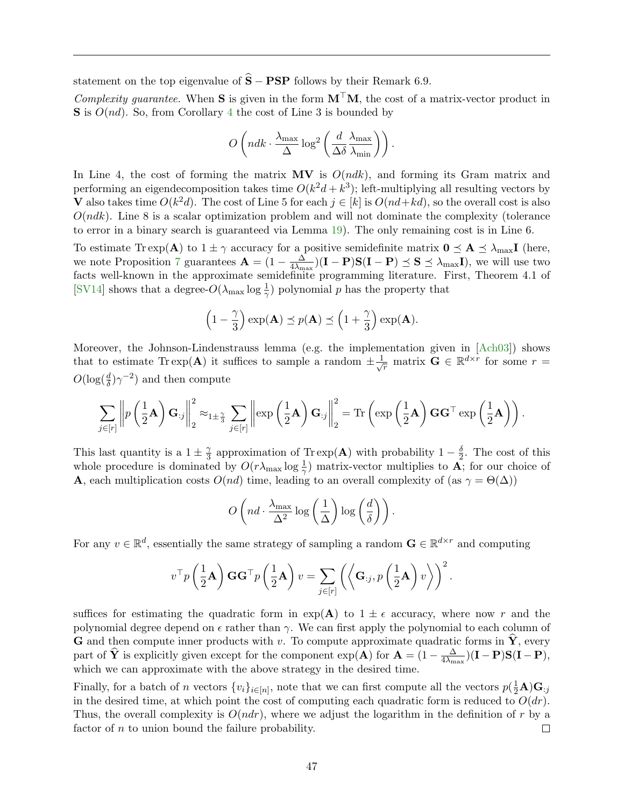statement on the top eigenvalue of  $\hat{S} - PSP$  follows by their Remark 6.9.

Complexity quarantee. When **S** is given in the form  $M^{\top}M$ , the cost of a matrix-vector product in  $S$  is  $O(nd)$ . So, from Corollary [4](#page-50-0) the cost of Line 3 is bounded by

$$
O\left(ndk \cdot \frac{\lambda_{\max}}{\Delta} \log^2\left(\frac{d}{\Delta\delta} \frac{\lambda_{\max}}{\lambda_{\min}}\right)\right).
$$

In Line 4, the cost of forming the matrix  $MV$  is  $O(ndk)$ , and forming its Gram matrix and performing an eigendecomposition takes time  $O(k^2d + k^3)$ ; left-multiplying all resulting vectors by V also takes time  $O(k^2d)$ . The cost of Line 5 for each  $j \in [k]$  is  $O(nd+kd)$ , so the overall cost is also  $O(ndk)$ . Line 8 is a scalar optimization problem and will not dominate the complexity (tolerance to error in a binary search is guaranteed via Lemma [19\)](#page-49-0). The only remaining cost is in Line 6.

To estimate Tr exp(A) to  $1 \pm \gamma$  accuracy for a positive semidefinite matrix  $0 \leq A \leq \lambda_{\text{max}} I$  (here, we note Proposition [7](#page-44-0) guarantees  $\mathbf{A} = (1 - \frac{\Delta}{4\lambda})$  $\frac{\Delta}{4\lambda_{\text{max}}}(I-P)S(I-P) \leq S \leq \lambda_{\text{max}}I$ , we will use two facts well-known in the approximate semidefinite programming literature. First, Theorem 4.1 of [\[SV14\]](#page-55-12) shows that a degree- $O(\lambda_{\max} \log \frac{1}{\gamma})$  polynomial p has the property that

$$
\left(1-\frac{\gamma}{3}\right)\exp(\mathbf{A}) \preceq p(\mathbf{A}) \preceq \left(1+\frac{\gamma}{3}\right)\exp(\mathbf{A}).
$$

Moreover, the Johnson-Lindenstrauss lemma (e.g. the implementation given in [\[Ach03\]](#page-52-14)) shows that to estimate Tr exp(A) it suffices to sample a random  $\pm \frac{1}{\sqrt{r}}$  matrix  $\mathbf{G} \in \mathbb{R}^{d \times r}$  for some  $r =$  $O(\log(\frac{d}{\delta})\gamma^{-2})$  and then compute

$$
\sum_{j\in[r]}\left\|p\left(\frac{1}{2}\mathbf{A}\right)\mathbf{G}_{:j}\right\|_{2}^{2}\approx_{1\pm\frac{\gamma}{3}}\sum_{j\in[r]}\left\|\exp\left(\frac{1}{2}\mathbf{A}\right)\mathbf{G}_{:j}\right\|_{2}^{2}=\mathrm{Tr}\left(\exp\left(\frac{1}{2}\mathbf{A}\right)\mathbf{G}\mathbf{G}^{\top}\exp\left(\frac{1}{2}\mathbf{A}\right)\right).
$$

This last quantity is a  $1 \pm \frac{\gamma}{3}$  $\frac{\gamma}{3}$  approximation of Tr exp(A) with probability  $1-\frac{\delta}{2}$  $\frac{0}{2}$ . The cost of this whole procedure is dominated by  $O(r\lambda_{\text{max}}\log\frac{1}{\gamma})$  matrix-vector multiplies to  $\mathbf{A}$ ; for our choice of **A**, each multiplication costs  $O(nd)$  time, leading to an overall complexity of (as  $\gamma = \Theta(\Delta)$ )

$$
O\left(nd \cdot \frac{\lambda_{\max}}{\Delta^2} \log\left(\frac{1}{\Delta}\right) \log\left(\frac{d}{\delta}\right)\right).
$$

For any  $v \in \mathbb{R}^d$ , essentially the same strategy of sampling a random  $\mathbf{G} \in \mathbb{R}^{d \times r}$  and computing

$$
v^{\top}p\left(\frac{1}{2}\mathbf{A}\right)\mathbf{G}\mathbf{G}^{\top}p\left(\frac{1}{2}\mathbf{A}\right)v = \sum_{j\in[r]}\left(\left\langle \mathbf{G}_{:j},p\left(\frac{1}{2}\mathbf{A}\right)v\right\rangle\right)^{2}.
$$

suffices for estimating the quadratic form in  $\exp(A)$  to  $1 \pm \epsilon$  accuracy, where now r and the polynomial degree depend on  $\epsilon$  rather than  $\gamma$ . We can first apply the polynomial to each column of **G** and then compute inner products with v. To compute approximate quadratic forms in  $\hat{\mathbf{Y}}$ , every part of  $\hat{\mathbf{Y}}$  is explicitly given except for the component  $\exp(\mathbf{A})$  for  $\mathbf{A} = (1 - \frac{\Delta}{4\lambda_m})$  $\frac{\Delta}{4 \lambda_{\max}}) (\mathbf{I} - \mathbf{P}) \mathbf{S} (\mathbf{I} - \mathbf{P}),$ which we can approximate with the above strategy in the desired time.

Finally, for a batch of n vectors  $\{v_i\}_{i\in[n]}$ , note that we can first compute all the vectors  $p(\frac{1}{2}A)G_{:j}$ in the desired time, at which point the cost of computing each quadratic form is reduced to  $O(dr)$ . Thus, the overall complexity is  $O(ndr)$ , where we adjust the logarithm in the definition of r by a factor of  $n$  to union bound the failure probability.  $\Box$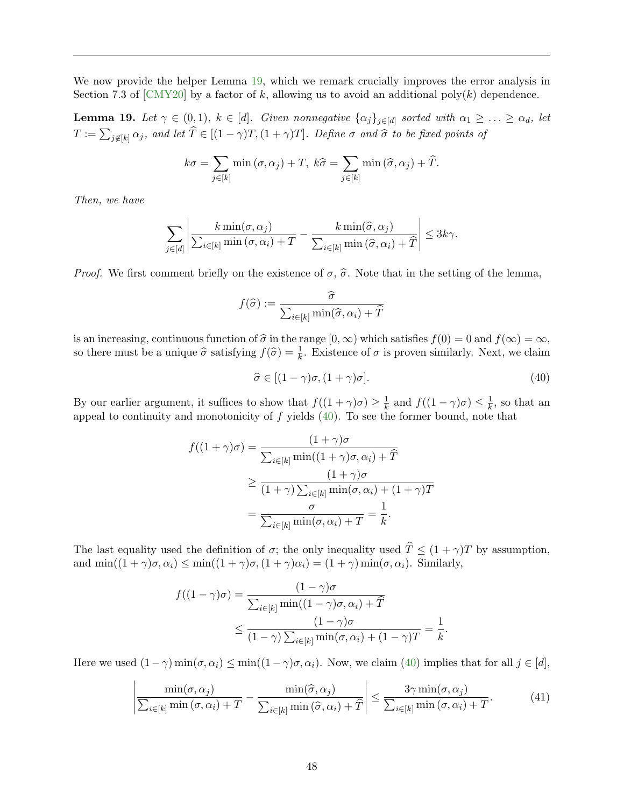We now provide the helper Lemma [19,](#page-49-0) which we remark crucially improves the error analysis in Section 7.3 of [\[CMY20\]](#page-52-1) by a factor of k, allowing us to avoid an additional poly $(k)$  dependence.

<span id="page-49-0"></span>**Lemma 19.** Let  $\gamma \in (0,1)$ ,  $k \in [d]$ . Given nonnegative  $\{\alpha_j\}_{j \in [d]}$  sorted with  $\alpha_1 \geq \ldots \geq \alpha_d$ , let  $T := \sum_{j \notin [k]} \alpha_j$ , and let  $T \in [(1 - \gamma)T, (1 + \gamma)T]$ . Define  $\sigma$  and  $\widehat{\sigma}$  to be fixed points of

$$
k\sigma = \sum_{j \in [k]} \min(\sigma, \alpha_j) + T, k\hat{\sigma} = \sum_{j \in [k]} \min(\hat{\sigma}, \alpha_j) + \hat{T}.
$$

Then, we have

$$
\sum_{j\in[d]}\left|\frac{k\min(\sigma,\alpha_j)}{\sum_{i\in[k]}\min(\sigma,\alpha_i)+T}-\frac{k\min(\widehat{\sigma},\alpha_j)}{\sum_{i\in[k]}\min(\widehat{\sigma},\alpha_i)+\widehat{T}}\right|\leq 3k\gamma.
$$

*Proof.* We first comment briefly on the existence of  $\sigma$ ,  $\hat{\sigma}$ . Note that in the setting of the lemma,

$$
f(\widehat{\sigma}) := \frac{\widehat{\sigma}}{\sum_{i \in [k]} \min(\widehat{\sigma}, \alpha_i) + \widehat{T}}
$$

is an increasing, continuous function of  $\hat{\sigma}$  in the range  $[0, \infty)$  which satisfies  $f(0) = 0$  and  $f(\infty) = \infty$ , so there must be a unique  $\hat{\sigma}$  satisfying  $f(\hat{\sigma}) = \frac{1}{k}$ . Existence of  $\sigma$  is proven similarly. Next, we claim

<span id="page-49-1"></span> $\hat{\sigma} \in [(1 - \gamma)\sigma, (1 + \gamma)\sigma].$  (40)

.

By our earlier argument, it suffices to show that  $f((1 + \gamma)\sigma) \geq \frac{1}{k}$  $\frac{1}{k}$  and  $f((1 - \gamma)\sigma) \leq \frac{1}{k}$  $\frac{1}{k}$ , so that an appeal to continuity and monotonicity of  $f$  yields  $(40)$ . To see the former bound, note that

$$
f((1+\gamma)\sigma) = \frac{(1+\gamma)\sigma}{\sum_{i\in[k]} \min((1+\gamma)\sigma, \alpha_i) + \widehat{T}}
$$
  
\n
$$
\geq \frac{(1+\gamma)\sigma}{(1+\gamma)\sum_{i\in[k]} \min(\sigma, \alpha_i) + (1+\gamma)T}
$$
  
\n
$$
= \frac{\sigma}{\sum_{i\in[k]} \min(\sigma, \alpha_i) + T} = \frac{1}{k}.
$$

The last equality used the definition of  $\sigma$ ; the only inequality used  $\hat{T} \leq (1 + \gamma)T$  by assumption, and  $\min((1+\gamma)\sigma, \alpha_i) \leq \min((1+\gamma)\sigma, (1+\gamma)\alpha_i) = (1+\gamma)\min(\sigma, \alpha_i)$ . Similarly,

$$
f((1 - \gamma)\sigma) = \frac{(1 - \gamma)\sigma}{\sum_{i \in [k]} \min((1 - \gamma)\sigma, \alpha_i) + \widehat{T}}
$$
  

$$
\leq \frac{(1 - \gamma)\sigma}{(1 - \gamma)\sum_{i \in [k]} \min(\sigma, \alpha_i) + (1 - \gamma)T} = \frac{1}{k}
$$

Here we used  $(1-\gamma)\min(\sigma,\alpha_i) \leq \min((1-\gamma)\sigma,\alpha_i)$ . Now, we claim  $(40)$  implies that for all  $j \in [d]$ ,

<span id="page-49-2"></span>
$$
\left| \frac{\min(\sigma, \alpha_j)}{\sum_{i \in [k]} \min(\sigma, \alpha_i) + T} - \frac{\min(\widehat{\sigma}, \alpha_j)}{\sum_{i \in [k]} \min(\widehat{\sigma}, \alpha_i) + \widehat{T}} \right| \le \frac{3\gamma \min(\sigma, \alpha_j)}{\sum_{i \in [k]} \min(\sigma, \alpha_i) + T}.
$$
(41)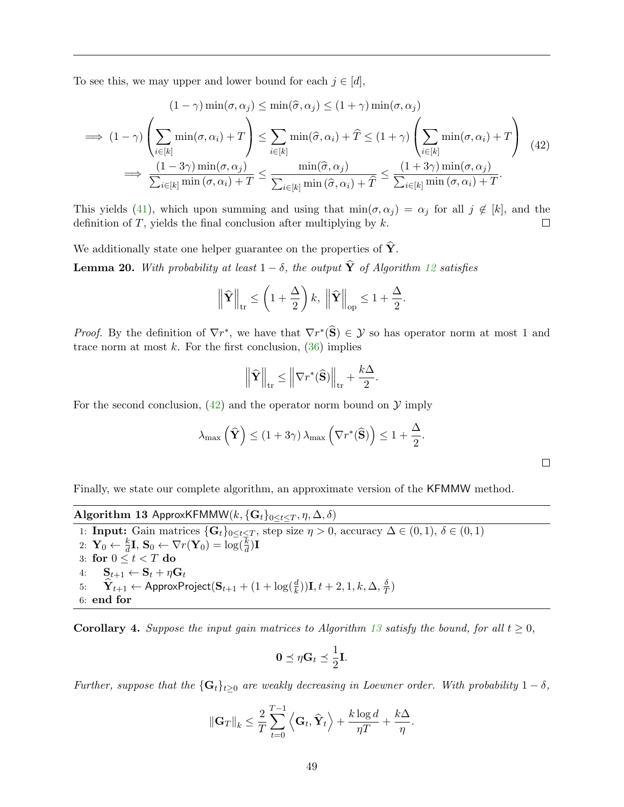To see this, we may upper and lower bound for each  $j \in [d]$ ,

<span id="page-50-3"></span>
$$
(1 - \gamma) \min(\sigma, \alpha_j) \le \min(\hat{\sigma}, \alpha_j) \le (1 + \gamma) \min(\sigma, \alpha_j)
$$
  
\n
$$
\implies (1 - \gamma) \left( \sum_{i \in [k]} \min(\sigma, \alpha_i) + T \right) \le \sum_{i \in [k]} \min(\hat{\sigma}, \alpha_i) + \hat{T} \le (1 + \gamma) \left( \sum_{i \in [k]} \min(\sigma, \alpha_i) + T \right) (42)
$$
  
\n
$$
\implies \frac{(1 - 3\gamma) \min(\sigma, \alpha_j)}{\sum_{i \in [k]} \min(\sigma, \alpha_i) + T} \le \frac{\min(\hat{\sigma}, \alpha_j)}{\sum_{i \in [k]} \min(\hat{\sigma}, \alpha_i) + T} \le \frac{(1 + 3\gamma) \min(\sigma, \alpha_j)}{\sum_{i \in [k]} \min(\sigma, \alpha_i) + T}.
$$

This yields [\(41\)](#page-49-2), which upon summing and using that  $min(\sigma, \alpha_j) = \alpha_j$  for all  $j \notin [k]$ , and the definition of  $T$ , yields the final conclusion after multiplying by  $k$ .  $\Box$ 

We additionally state one helper guarantee on the properties of  $\hat{Y}$ .

<span id="page-50-1"></span>**Lemma 20.** With probability at least  $1 - \delta$ , the output  $\hat{\mathbf{Y}}$  of Algorithm [12](#page-46-2) satisfies

$$
\left\|\widehat{\mathbf{Y}}\right\|_{\text{tr}} \leq \left(1 + \frac{\Delta}{2}\right)k, \left\|\widehat{\mathbf{Y}}\right\|_{\text{op}} \leq 1 + \frac{\Delta}{2}
$$

*Proof.* By the definition of  $\nabla r^*$ , we have that  $\nabla r^*(\hat{\mathbf{S}}) \in \mathcal{Y}$  so has operator norm at most 1 and trace norm at most  $k$ . For the first conclusion,  $(36)$  implies

$$
\left\| \widehat{\mathbf{Y}} \right\|_{\text{tr}} \leq \left\| \nabla r^*(\widehat{\mathbf{S}}) \right\|_{\text{tr}} + \frac{k\Delta}{2}.
$$

For the second conclusion,  $(42)$  and the operator norm bound on  $\mathcal Y$  imply

$$
\lambda_{\max}\left(\widehat{\mathbf{Y}}\right) \leq \left(1+3\gamma\right)\lambda_{\max}\left(\nabla r^*(\widehat{\mathbf{S}})\right) \leq 1+\frac{\Delta}{2}.
$$

.

 $\Box$ 

Finally, we state our complete algorithm, an approximate version of the KFMMW method.

Algorithm 13 ApproxKFMMW $(k, {\{G_t\}_{0 \leq t \leq T}}, \eta, \Delta, \delta)$ 

<span id="page-50-2"></span>1: **Input:** Gain matrices  $\{G_t\}_{0\leq t\leq T}$ , step size  $\eta > 0$ , accuracy  $\Delta \in (0,1)$ ,  $\delta \in (0,1)$ 2:  $\mathbf{Y}_0 \leftarrow \frac{k}{d}\mathbf{I}, \, \mathbf{S}_0 \leftarrow \nabla r(\mathbf{Y}_0) = \log(\frac{k}{d})\mathbf{I}$ 3: for  $0 \leq t < T$  do 4:  $\mathbf{S}_{t+1} \leftarrow \mathbf{S}_t + \eta \mathbf{G}_t$ 5:  $\widehat{\mathbf{Y}}_{t+1} \leftarrow \mathsf{ApproxProject}(\mathbf{S}_{t+1} + (1 + \log(\frac{d}{k}))\mathbf{I}, t+2, 1, k, \Delta, \frac{\delta}{T})$  $\frac{\delta}{T})$ 6: end for

<span id="page-50-0"></span>**Corollary 4.** Suppose the input gain matrices to Algorithm [13](#page-50-2) satisfy the bound, for all  $t \geq 0$ ,

$$
0 \preceq \eta \mathbf{G}_t \preceq \frac{1}{2} \mathbf{I}.
$$

Further, suppose that the  $\{G_t\}_{t\geq 0}$  are weakly decreasing in Loewner order. With probability  $1-\delta$ ,

$$
\|\mathbf{G}_T\|_k \leq \frac{2}{T} \sum_{t=0}^{T-1} \left\langle \mathbf{G}_t, \widehat{\mathbf{Y}}_t \right\rangle + \frac{k \log d}{\eta T} + \frac{k\Delta}{\eta}.
$$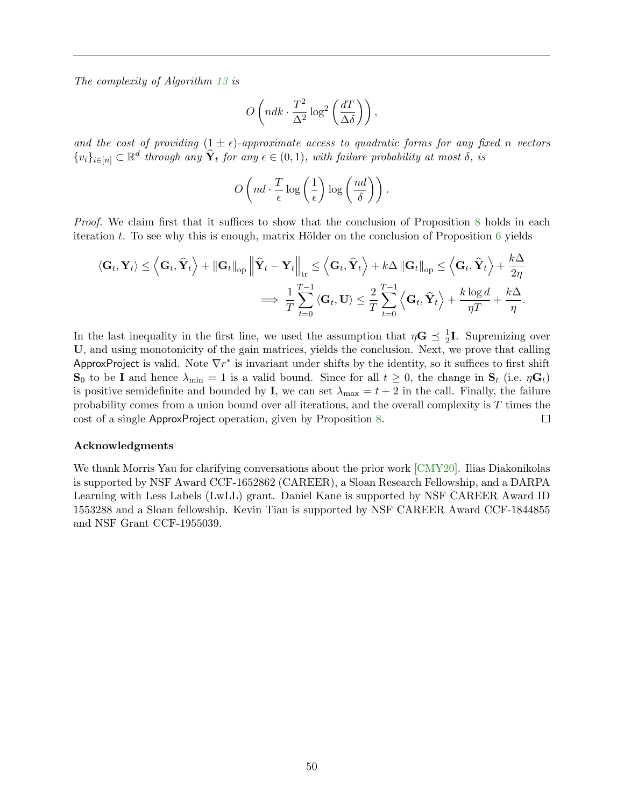The complexity of Algorithm [13](#page-50-2) is

$$
O\left(ndk\cdot \frac{T^2}{\Delta^2}\log^2\left(\frac{dT}{\Delta\delta}\right)\right),\,
$$

and the cost of providing  $(1 \pm \epsilon)$ -approximate access to quadratic forms for any fixed n vectors  $\{v_i\}_{i\in[n]}\subset\mathbb{R}^d$  through any  $\hat{\mathbf{Y}}_t$  for any  $\epsilon\in(0,1)$ , with failure probability at most  $\delta$ , is

$$
O\left(nd \cdot \frac{T}{\epsilon} \log\left(\frac{1}{\epsilon}\right) \log\left(\frac{nd}{\delta}\right)\right).
$$

Proof. We claim first that it suffices to show that the conclusion of Proposition [8](#page-46-1) holds in each iteration t. To see why this is enough, matrix Hölder on the conclusion of Proposition  $6$  yields

$$
\langle \mathbf{G}_{t}, \mathbf{Y}_{t} \rangle \leq \left\langle \mathbf{G}_{t}, \hat{\mathbf{Y}}_{t} \right\rangle + \|\mathbf{G}_{t}\|_{op} \left\| \hat{\mathbf{Y}}_{t} - \mathbf{Y}_{t} \right\|_{tr} \leq \left\langle \mathbf{G}_{t}, \hat{\mathbf{Y}}_{t} \right\rangle + k\Delta \|\mathbf{G}_{t}\|_{op} \leq \left\langle \mathbf{G}_{t}, \hat{\mathbf{Y}}_{t} \right\rangle + \frac{k\Delta}{2\eta}
$$

$$
\implies \frac{1}{T} \sum_{t=0}^{T-1} \left\langle \mathbf{G}_{t}, \mathbf{U} \right\rangle \leq \frac{2}{T} \sum_{t=0}^{T-1} \left\langle \mathbf{G}_{t}, \hat{\mathbf{Y}}_{t} \right\rangle + \frac{k \log d}{\eta T} + \frac{k\Delta}{\eta}.
$$

In the last inequality in the first line, we used the assumption that  $\eta \mathbf{G} \preceq \frac{1}{2}$  $\frac{1}{2}$ **I**. Supremizing over U, and using monotonicity of the gain matrices, yields the conclusion. Next, we prove that calling ApproxProject is valid. Note  $\nabla r^*$  is invariant under shifts by the identity, so it suffices to first shift  $\mathbf{S}_0$  to be I and hence  $\lambda_{\min} = 1$  is a valid bound. Since for all  $t \geq 0$ , the change in  $\mathbf{S}_t$  (i.e.  $\eta \mathbf{G}_t$ ) is positive semidefinite and bounded by **I**, we can set  $\lambda_{\text{max}} = t + 2$  in the call. Finally, the failure probability comes from a union bound over all iterations, and the overall complexity is T times the cost of a single ApproxProject operation, given by Proposition [8.](#page-46-1)  $\Box$ 

#### Acknowledgments

We thank Morris Yau for clarifying conversations about the prior work [\[CMY20\]](#page-52-1). Ilias Diakonikolas is supported by NSF Award CCF-1652862 (CAREER), a Sloan Research Fellowship, and a DARPA Learning with Less Labels (LwLL) grant. Daniel Kane is supported by NSF CAREER Award ID 1553288 and a Sloan fellowship. Kevin Tian is supported by NSF CAREER Award CCF-1844855 and NSF Grant CCF-1955039.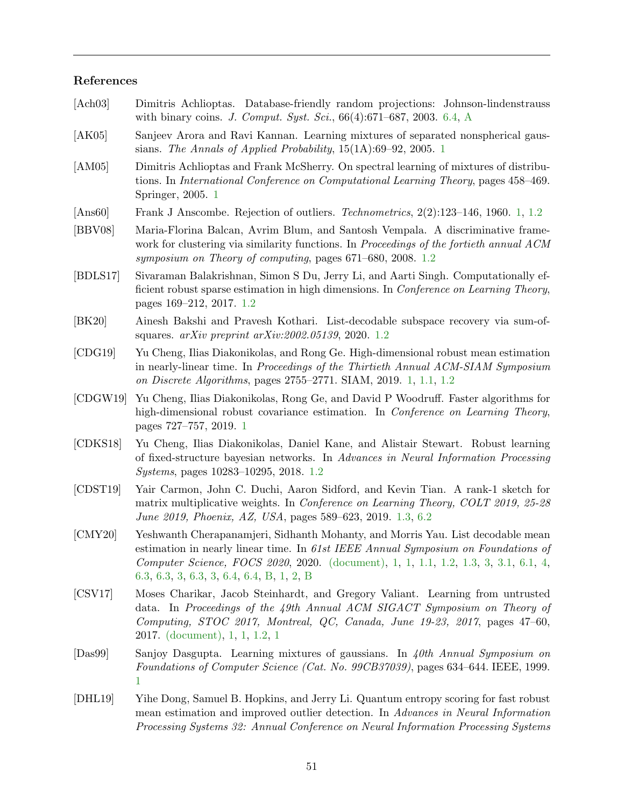## References

<span id="page-52-14"></span><span id="page-52-13"></span><span id="page-52-12"></span><span id="page-52-11"></span><span id="page-52-10"></span><span id="page-52-9"></span><span id="page-52-8"></span><span id="page-52-7"></span><span id="page-52-6"></span><span id="page-52-5"></span><span id="page-52-4"></span><span id="page-52-3"></span><span id="page-52-2"></span><span id="page-52-1"></span><span id="page-52-0"></span>

| [Ach03]  | Dimitris Achlioptas. Database-friendly random projections: Johnson-lindenstrauss<br>with binary coins. J. Comput. Syst. Sci., $66(4):671-687$ , 2003. 6.4, A                                                                                                                                               |
|----------|------------------------------------------------------------------------------------------------------------------------------------------------------------------------------------------------------------------------------------------------------------------------------------------------------------|
| [AK05]   | Sanjeev Arora and Ravi Kannan. Learning mixtures of separated nonspherical gaus-<br>sians. The Annals of Applied Probability, $15(1A):69-92$ , $2005.1$                                                                                                                                                    |
| [AM05]   | Dimitris Achlioptas and Frank McSherry. On spectral learning of mixtures of distribu-<br>tions. In International Conference on Computational Learning Theory, pages 458–469.<br>Springer, 2005. 1                                                                                                          |
| [Ans60]  | Frank J Anscombe. Rejection of outliers. Technometrics, $2(2):123-146$ , 1960. 1, 1.2                                                                                                                                                                                                                      |
| [BBV08]  | Maria-Florina Balcan, Avrim Blum, and Santosh Vempala. A discriminative frame-<br>work for clustering via similarity functions. In Proceedings of the fortieth annual ACM<br>symposium on Theory of computing, pages 671–680, 2008. 1.2                                                                    |
| [BDLS17] | Sivaraman Balakrishnan, Simon S Du, Jerry Li, and Aarti Singh. Computationally ef-<br>ficient robust sparse estimation in high dimensions. In Conference on Learning Theory,<br>pages 169–212, 2017. 1.2                                                                                                   |
| [BK20]   | Ainesh Bakshi and Pravesh Kothari. List-decodable subspace recovery via sum-of-<br>squares. $arXiv$ preprint $arXiv:2002.05139$ , 2020. 1.2                                                                                                                                                                |
| [CDG19]  | Yu Cheng, Ilias Diakonikolas, and Rong Ge. High-dimensional robust mean estimation<br>in nearly-linear time. In Proceedings of the Thirtieth Annual ACM-SIAM Symposium<br>on Discrete Algorithms, pages 2755–2771. SIAM, 2019. 1, 1.1, 1.2                                                                 |
| [CDGW19] | Yu Cheng, Ilias Diakonikolas, Rong Ge, and David P Woodruff. Faster algorithms for<br>high-dimensional robust covariance estimation. In Conference on Learning Theory,<br>pages 727–757, 2019. 1                                                                                                           |
| [CDKS18] | Yu Cheng, Ilias Diakonikolas, Daniel Kane, and Alistair Stewart. Robust learning<br>of fixed-structure bayesian networks. In Advances in Neural Information Processing<br><i>Systems</i> , pages 10283-10295, 2018. 1.2                                                                                    |
| [CDST19] | Yair Carmon, John C. Duchi, Aaron Sidford, and Kevin Tian. A rank-1 sketch for<br>matrix multiplicative weights. In Conference on Learning Theory, COLT 2019, 25-28<br>June 2019, Phoenix, AZ, USA, pages 589–623, 2019. 1.3, 6.2                                                                          |
| [CMY20]  | Yeshwanth Cherapanamjeri, Sidhanth Mohanty, and Morris Yau. List decodable mean<br>estimation in nearly linear time. In $61st$ IEEE Annual Symposium on Foundations of<br>Computer Science, FOCS 2020, 2020. (document), 1, 1, 1.1, 1.2, 1.3, 3, 3.1, 6.1, 4,<br>6.3, 6.3, 3, 6.3, 3, 6.4, 6.4, B, 1, 2, B |
| [CSV17]  | Moses Charikar, Jacob Steinhardt, and Gregory Valiant. Learning from untrusted<br>data. In Proceedings of the 49th Annual ACM SIGACT Symposium on Theory of<br>Computing, STOC 2017, Montreal, QC, Canada, June 19-23, 2017, pages 47-60,<br>2017. (document), $1, 1, 1.2, 1$                              |
| [Das99]  | Sanjoy Dasgupta. Learning mixtures of gaussians. In $40th$ Annual Symposium on<br>Foundations of Computer Science (Cat. No. 99CB37039), pages 634–644. IEEE, 1999.<br>1                                                                                                                                    |
| [DHL19]  | Yihe Dong, Samuel B. Hopkins, and Jerry Li. Quantum entropy scoring for fast robust<br>mean estimation and improved outlier detection. In Advances in Neural Information<br>Processing Systems 32: Annual Conference on Neural Information Processing Systems                                              |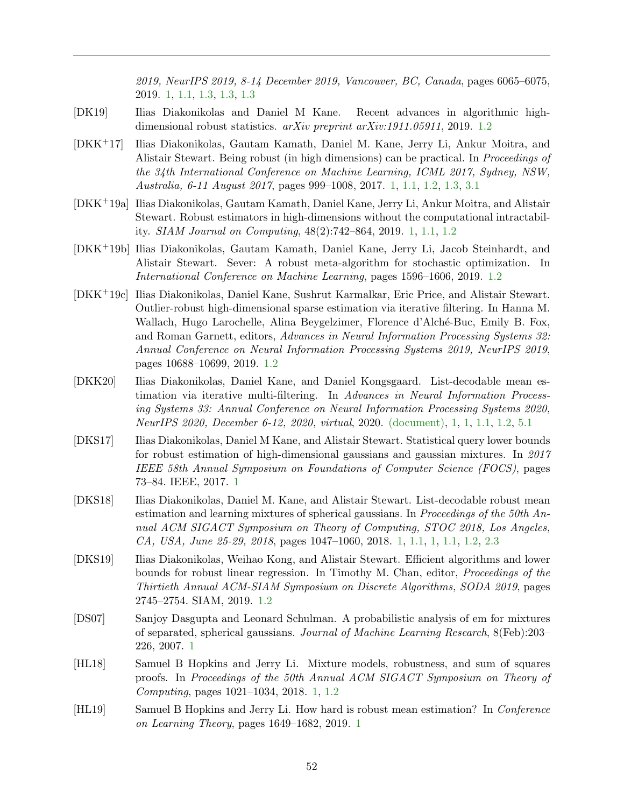2019, NeurIPS 2019, 8-14 December 2019, Vancouver, BC, Canada, pages 6065–6075, 2019. [1,](#page-2-0) [1.1,](#page-4-0) [1.3,](#page-7-0) [1.3,](#page-9-1) [1.3](#page-11-1)

- <span id="page-53-11"></span>[DK19] Ilias Diakonikolas and Daniel M Kane. Recent advances in algorithmic highdimensional robust statistics.  $arXiv$  preprint  $arXiv:1911.05911$ , 2019. [1.2](#page-6-0)
- <span id="page-53-2"></span>[DKK+17] Ilias Diakonikolas, Gautam Kamath, Daniel M. Kane, Jerry Li, Ankur Moitra, and Alistair Stewart. Being robust (in high dimensions) can be practical. In *Proceedings of* the 34th International Conference on Machine Learning, ICML 2017, Sydney, NSW, Australia, 6-11 August 2017, pages 999–1008, 2017. [1,](#page-2-0) [1.1,](#page-4-0) [1.2,](#page-6-0) [1.3,](#page-7-0) [3.1](#page-14-5)
- <span id="page-53-1"></span>[DKK+19a] Ilias Diakonikolas, Gautam Kamath, Daniel Kane, Jerry Li, Ankur Moitra, and Alistair Stewart. Robust estimators in high-dimensions without the computational intractability. SIAM Journal on Computing, 48(2):742–864, 2019. [1,](#page-2-0) [1.1,](#page-4-0) [1.2](#page-6-0)
- <span id="page-53-10"></span>[DKK+19b] Ilias Diakonikolas, Gautam Kamath, Daniel Kane, Jerry Li, Jacob Steinhardt, and Alistair Stewart. Sever: A robust meta-algorithm for stochastic optimization. In International Conference on Machine Learning, pages 1596–1606, 2019. [1.2](#page-6-0)
- <span id="page-53-8"></span>[DKK+19c] Ilias Diakonikolas, Daniel Kane, Sushrut Karmalkar, Eric Price, and Alistair Stewart. Outlier-robust high-dimensional sparse estimation via iterative filtering. In Hanna M. Wallach, Hugo Larochelle, Alina Beygelzimer, Florence d'Alché-Buc, Emily B. Fox, and Roman Garnett, editors, Advances in Neural Information Processing Systems 32: Annual Conference on Neural Information Processing Systems 2019, NeurIPS 2019, pages 10688–10699, 2019. [1.2](#page-6-0)
- <span id="page-53-0"></span>[DKK20] Ilias Diakonikolas, Daniel Kane, and Daniel Kongsgaard. List-decodable mean estimation via iterative multi-filtering. In Advances in Neural Information Processing Systems 33: Annual Conference on Neural Information Processing Systems 2020, NeurIPS 2020, December 6-12, 2020, virtual, 2020. [\(document\),](#page-0-1) [1,](#page-2-0) [1,](#page-4-0) [1.1,](#page-4-0) [1.2,](#page-6-0) [5.1](#page-30-1)
- <span id="page-53-6"></span>[DKS17] Ilias Diakonikolas, Daniel M Kane, and Alistair Stewart. Statistical query lower bounds for robust estimation of high-dimensional gaussians and gaussian mixtures. In 2017 IEEE 58th Annual Symposium on Foundations of Computer Science (FOCS), pages 73–84. IEEE, 2017. [1](#page-2-0)
- <span id="page-53-5"></span>[DKS18] Ilias Diakonikolas, Daniel M. Kane, and Alistair Stewart. List-decodable robust mean estimation and learning mixtures of spherical gaussians. In *Proceedings of the 50th An*nual ACM SIGACT Symposium on Theory of Computing, STOC 2018, Los Angeles, CA, USA, June 25-29, 2018, pages 1047–1060, 2018. [1,](#page-2-0) [1.1,](#page-3-1) [1,](#page-4-0) [1.1,](#page-4-0) [1.2,](#page-6-0) [2.3](#page-13-1)
- <span id="page-53-9"></span>[DKS19] Ilias Diakonikolas, Weihao Kong, and Alistair Stewart. Efficient algorithms and lower bounds for robust linear regression. In Timothy M. Chan, editor, Proceedings of the Thirtieth Annual ACM-SIAM Symposium on Discrete Algorithms, SODA 2019, pages 2745–2754. SIAM, 2019. [1.2](#page-6-0)
- <span id="page-53-3"></span>[DS07] Sanjoy Dasgupta and Leonard Schulman. A probabilistic analysis of em for mixtures of separated, spherical gaussians. Journal of Machine Learning Research, 8(Feb):203– 226, 2007. [1](#page-2-0)
- <span id="page-53-4"></span>[HL18] Samuel B Hopkins and Jerry Li. Mixture models, robustness, and sum of squares proofs. In Proceedings of the 50th Annual ACM SIGACT Symposium on Theory of Computing, pages 1021–1034, 2018. [1,](#page-2-0) [1.2](#page-6-0)
- <span id="page-53-7"></span>[HL19] Samuel B Hopkins and Jerry Li. How hard is robust mean estimation? In Conference on Learning Theory, pages 1649–1682, 2019. [1](#page-2-0)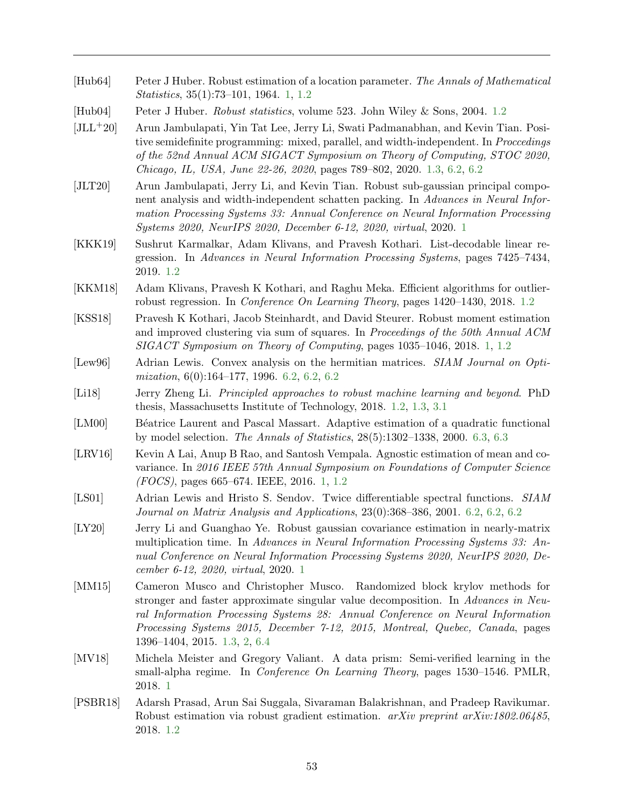- <span id="page-54-0"></span>[Hub64] Peter J Huber. Robust estimation of a location parameter. The Annals of Mathematical Statistics, 35(1):73–101, 1964. [1,](#page-2-0) [1.2](#page-6-0)
- <span id="page-54-6"></span>[Hub04] Peter J Huber. Robust statistics, volume 523. John Wiley & Sons, 2004. [1.2](#page-6-0)
- <span id="page-54-12"></span>[JLL+20] Arun Jambulapati, Yin Tat Lee, Jerry Li, Swati Padmanabhan, and Kevin Tian. Positive semidefinite programming: mixed, parallel, and width-independent. In Proccedings of the 52nd Annual ACM SIGACT Symposium on Theory of Computing, STOC 2020, Chicago, IL, USA, June 22-26, 2020, pages 789–802, 2020. [1.3,](#page-9-1) [6.2,](#page-37-0) [6.2](#page-40-0)
- <span id="page-54-5"></span>[JLT20] Arun Jambulapati, Jerry Li, and Kevin Tian. Robust sub-gaussian principal component analysis and width-independent schatten packing. In Advances in Neural Information Processing Systems 33: Annual Conference on Neural Information Processing Systems 2020, NeurIPS 2020, December 6-12, 2020, virtual, 2020. [1](#page-2-0)
- <span id="page-54-10"></span>[KKK19] Sushrut Karmalkar, Adam Klivans, and Pravesh Kothari. List-decodable linear regression. In Advances in Neural Information Processing Systems, pages 7425–7434, 2019. [1.2](#page-6-0)
- <span id="page-54-7"></span>[KKM18] Adam Klivans, Pravesh K Kothari, and Raghu Meka. Efficient algorithms for outlierrobust regression. In Conference On Learning Theory, pages 1420–1430, 2018. [1.2](#page-6-0)
- <span id="page-54-2"></span>[KSS18] Pravesh K Kothari, Jacob Steinhardt, and David Steurer. Robust moment estimation and improved clustering via sum of squares. In Proceedings of the 50th Annual ACM SIGACT Symposium on Theory of Computing, pages 1035–1046, 2018. [1,](#page-2-0) [1.2](#page-6-0)
- <span id="page-54-13"></span>[Lew96] Adrian Lewis. Convex analysis on the hermitian matrices. *SIAM Journal on Opti*mization, 6(0):164–177, 1996. [6.2,](#page-38-1) [6.2,](#page-38-3) [6.2](#page-40-1)
- <span id="page-54-9"></span>[Li18] Jerry Zheng Li. Principled approaches to robust machine learning and beyond. PhD thesis, Massachusetts Institute of Technology, 2018. [1.2,](#page-6-0) [1.3,](#page-7-0) [3.1](#page-14-5)
- <span id="page-54-15"></span>[LM00] Béatrice Laurent and Pascal Massart. Adaptive estimation of a quadratic functional by model selection. The Annals of Statistics, 28(5):1302–1338, 2000. [6.3,](#page-42-3) [6.3](#page-43-0)
- <span id="page-54-1"></span>[LRV16] Kevin A Lai, Anup B Rao, and Santosh Vempala. Agnostic estimation of mean and covariance. In 2016 IEEE 57th Annual Symposium on Foundations of Computer Science (FOCS), pages 665–674. IEEE, 2016. [1,](#page-2-0) [1.2](#page-6-0)
- <span id="page-54-14"></span>[LS01] Adrian Lewis and Hristo S. Sendov. Twice differentiable spectral functions. SIAM Journal on Matrix Analysis and Applications, 23(0):368–386, 2001. [6.2,](#page-38-3) [6.2,](#page-39-0) [6.2](#page-40-2)
- <span id="page-54-4"></span>[LY20] Jerry Li and Guanghao Ye. Robust gaussian covariance estimation in nearly-matrix multiplication time. In Advances in Neural Information Processing Systems 33: Annual Conference on Neural Information Processing Systems 2020, NeurIPS 2020, December 6-12, 2020, virtual, 2020. [1](#page-2-0)
- <span id="page-54-11"></span>[MM15] Cameron Musco and Christopher Musco. Randomized block krylov methods for stronger and faster approximate singular value decomposition. In Advances in Neural Information Processing Systems 28: Annual Conference on Neural Information Processing Systems 2015, December 7-12, 2015, Montreal, Quebec, Canada, pages 1396–1404, 2015. [1.3,](#page-9-1) [2,](#page-18-1) [6.4](#page-47-2)
- <span id="page-54-3"></span>[MV18] Michela Meister and Gregory Valiant. A data prism: Semi-verified learning in the small-alpha regime. In *Conference On Learning Theory*, pages 1530–1546. PMLR, 2018. [1](#page-2-0)
- <span id="page-54-8"></span>[PSBR18] Adarsh Prasad, Arun Sai Suggala, Sivaraman Balakrishnan, and Pradeep Ravikumar. Robust estimation via robust gradient estimation. arXiv preprint arXiv:1802.06485, 2018. [1.2](#page-6-0)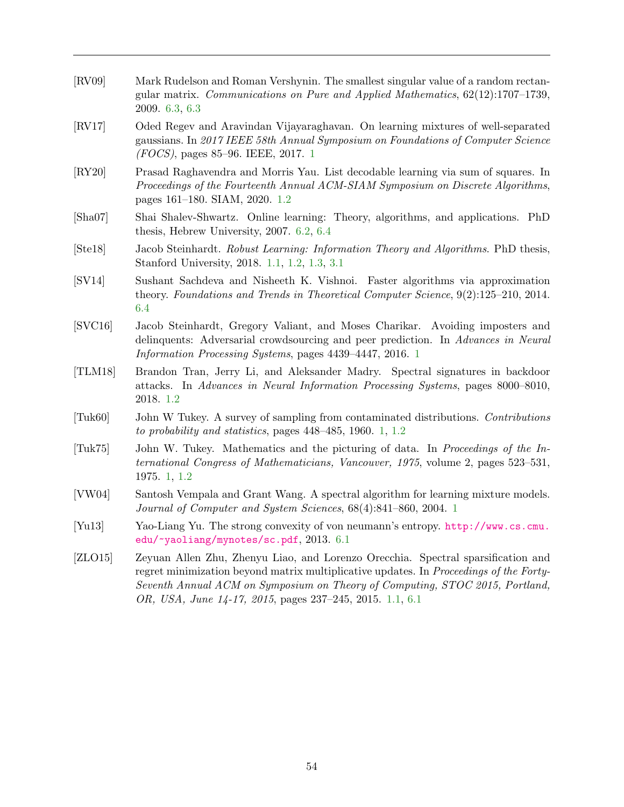<span id="page-55-12"></span><span id="page-55-11"></span><span id="page-55-10"></span><span id="page-55-9"></span><span id="page-55-8"></span><span id="page-55-7"></span><span id="page-55-6"></span><span id="page-55-5"></span><span id="page-55-4"></span><span id="page-55-3"></span><span id="page-55-2"></span><span id="page-55-1"></span><span id="page-55-0"></span>

| [RV09]                     | Mark Rudelson and Roman Vershynin. The smallest singular value of a random rectan-<br>gular matrix. Communications on Pure and Applied Mathematics, $62(12):1707-1739$ ,<br>2009. 6.3, 6.3                                                                                                                             |
|----------------------------|------------------------------------------------------------------------------------------------------------------------------------------------------------------------------------------------------------------------------------------------------------------------------------------------------------------------|
| $\left[\text{RV}17\right]$ | Oded Regev and Aravindan Vijayaraghavan. On learning mixtures of well-separated<br>gaussians. In 2017 IEEE 58th Annual Symposium on Foundations of Computer Science<br>$(FOCS)$ , pages 85–96. IEEE, 2017. 1                                                                                                           |
| [RY20]                     | Prasad Raghavendra and Morris Yau. List decodable learning via sum of squares. In<br>Proceedings of the Fourteenth Annual ACM-SIAM Symposium on Discrete Algorithms,<br>pages 161–180. SIAM, 2020. 1.2                                                                                                                 |
| [Sha07]                    | Shai Shalev-Shwartz. Online learning: Theory, algorithms, and applications. PhD<br>thesis, Hebrew University, $2007.6.2, 6.4$                                                                                                                                                                                          |
| [Ste18]                    | Jacob Steinhardt. Robust Learning: Information Theory and Algorithms. PhD thesis,<br>Stanford University, 2018. 1.1, 1.2, 1.3, 3.1                                                                                                                                                                                     |
| [SV14]                     | Sushant Sachdeva and Nisheeth K. Vishnoi. Faster algorithms via approximation<br>theory. Foundations and Trends in Theoretical Computer Science, $9(2):125-210$ , $2014$ .<br>6.4                                                                                                                                      |
| [SVC16]                    | Jacob Steinhardt, Gregory Valiant, and Moses Charikar. Avoiding imposters and<br>delinquents: Adversarial crowdsourcing and peer prediction. In Advances in Neural<br><i>Information Processing Systems, pages 4439-4447, 2016.</i> 1                                                                                  |
| [TLM18]                    | Brandon Tran, Jerry Li, and Aleksander Madry. Spectral signatures in backdoor<br>attacks. In Advances in Neural Information Processing Systems, pages 8000–8010,<br>2018. 1.2                                                                                                                                          |
| [Tuk60]                    | John W Tukey. A survey of sampling from contaminated distributions. Contributions<br>to probability and statistics, pages $448-485$ , 1960. 1, 1.2                                                                                                                                                                     |
| $[\text{Tuk}75]$           | John W. Tukey. Mathematics and the picturing of data. In Proceedings of the In-<br><i>ternational Congress of Mathematicians, Vancouver, 1975, volume 2, pages 523–531,</i><br>1975. 1, 1.2                                                                                                                            |
| [VW04]                     | Santosh Vempala and Grant Wang. A spectral algorithm for learning mixture models.<br>Journal of Computer and System Sciences, 68(4):841-860, 2004. 1                                                                                                                                                                   |
| [Yu13]                     | Yao-Liang Yu. The strong convexity of von neumann's entropy. http://www.cs.cmu.<br>edu/~yaoliang/mynotes/sc.pdf, 2013. 6.1                                                                                                                                                                                             |
| [ZLO15]                    | Zeyuan Allen Zhu, Zhenyu Liao, and Lorenzo Orecchia. Spectral sparsification and<br>regret minimization beyond matrix multiplicative updates. In Proceedings of the Forty-<br>Seventh Annual ACM on Symposium on Theory of Computing, STOC 2015, Portland,<br>OR, USA, June 14-17, 2015, pages 237-245, 2015. 1.1, 6.1 |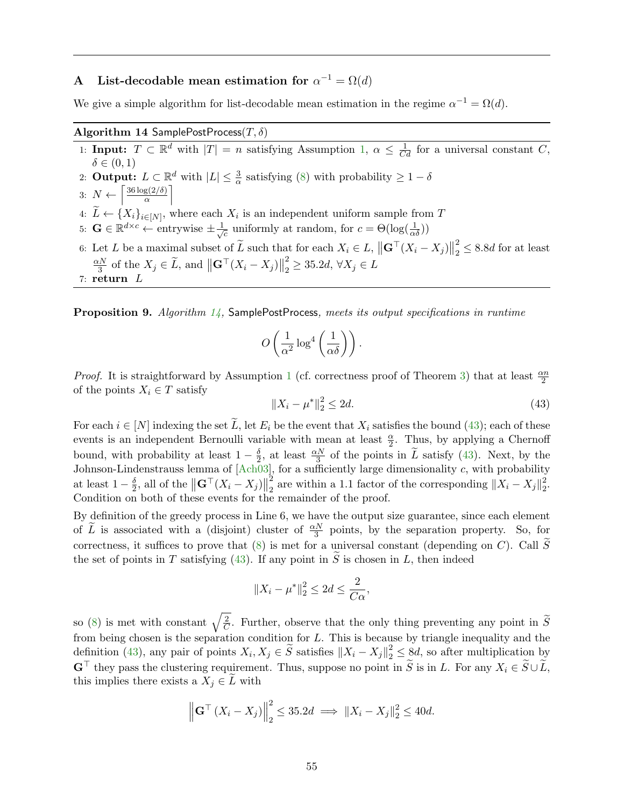## <span id="page-56-0"></span>A List-decodable mean estimation for  $\alpha^{-1} = \Omega(d)$

We give a simple algorithm for list-decodable mean estimation in the regime  $\alpha^{-1} = \Omega(d)$ .

## Algorithm 14 SamplePostProcess $(T, \delta)$

<span id="page-56-2"></span>1: Input:  $T \subset \mathbb{R}^d$  with  $|T| = n$  satisfying Assumption [1,](#page-14-2)  $\alpha \leq \frac{1}{Cd}$  for a universal constant C,  $\delta \in (0,1)$ 2: **Output:**  $L \subset \mathbb{R}^d$  with  $|L| \leq \frac{3}{\alpha}$  satisfying [\(8\)](#page-14-6) with probability  $\geq 1 - \delta$ 3:  $N \leftarrow \left[\frac{36 \log(2/\delta)}{\alpha}\right]$  $\frac{\mathrm{g}(2/\delta)}{\alpha}$ 4:  $L \leftarrow \{X_i\}_{i \in [N]}$ , where each  $X_i$  is an independent uniform sample from T 5:  $\mathbf{G} \in \mathbb{R}^{d \times c} \leftarrow$  entrywise  $\pm \frac{1}{\sqrt{d}}$  $\overline{c}$  uniformly at random, for  $c = \Theta(\log(\frac{1}{\alpha\delta}))$ 6: Let L be a maximal subset of  $\widetilde{L}$  such that for each  $X_i \in L$ ,  $||\mathbf{G}^\top (X_i - X_j)||$ 2  $\frac{2}{2} \leq 8.8d$  for at least  $\alpha N$  $\frac{dN}{3}$  of the  $X_j \in \widetilde{L}$ , and  $\left\| \mathbf{G}^\top (X_i - X_j) \right\|$ 2  $\frac{2}{2} \geq 35.2d, \,\forall X_j \in L$ 

7: return L

<span id="page-56-3"></span>Proposition 9. Algorithm [14,](#page-56-2) SamplePostProcess, meets its output specifications in runtime

$$
O\left(\frac{1}{\alpha^2}\log^4\left(\frac{1}{\alpha\delta}\right)\right).
$$

*Proof.* It is straightforward by Assumption [1](#page-14-2) (cf. correctness proof of Theorem [3\)](#page-20-0) that at least  $\frac{\alpha n}{2}$ of the points  $X_i \in T$  satisfy

<span id="page-56-1"></span>
$$
||X_i - \mu^*||_2^2 \le 2d. \tag{43}
$$

For each  $i \in [N]$  indexing the set  $\overline{L}$ , let  $E_i$  be the event that  $X_i$  satisfies the bound [\(43\)](#page-56-1); each of these events is an independent Bernoulli variable with mean at least  $\frac{\alpha}{2}$ . Thus, by applying a Chernoff bound, with probability at least  $1-\frac{\delta}{2}$  $\frac{\delta}{2}$ , at least  $\frac{\alpha N}{3}$  of the points in  $\tilde{L}$  satisfy [\(43\)](#page-56-1). Next, by the Johnson-Lindenstrauss lemma of  $[Ach\overset{\sim}{0}3]$ , for a sufficiently large dimensionality c, with probability at least  $1-\frac{\delta}{2}$  $\frac{\delta}{2}$ , all of the  $\left\| \mathbf{G}^{\top}(X_i - X_j) \right\|$ 2  $\frac{2}{2}$  are within a 1.1 factor of the corresponding  $||X_i - X_j||_2^2$ 2 . Condition on both of these events for the remainder of the proof.

By definition of the greedy process in Line 6, we have the output size guarantee, since each element of  $\tilde{L}$  is associated with a (disjoint) cluster of  $\frac{\alpha N}{3}$  points, by the separation property. So, for correctness, it suffices to prove that [\(8\)](#page-14-6) is met for a universal constant (depending on C). Call  $\widetilde{S}$ the set of points in T satisfying [\(43\)](#page-56-1). If any point in S is chosen in L, then indeed

$$
||X_i - \mu^*||_2^2 \le 2d \le \frac{2}{C\alpha},
$$

so [\(8\)](#page-14-6) is met with constant  $\sqrt{\frac{2}{C}}$  $\frac{2}{C}$ . Further, observe that the only thing preventing any point in S from being chosen is the separation condition for  $L$ . This is because by triangle inequality and the definition [\(43\)](#page-56-1), any pair of points  $X_i, X_j \in \tilde{S}$  satisfies  $||X_i - X_j||_2^2 \leq \tilde{S}d$ , so after multiplication by  $\mathbf{G}^{\top}$  they pass the clustering requirement. Thus, suppose no point in  $\widetilde{S}$  is in L. For any  $X_i \in \widetilde{S} \cup \widetilde{L}$ . this implies there exists a  $X_j \in L$  with

$$
\left\| \mathbf{G}^{\top} \left( X_i - X_j \right) \right\|_2^2 \le 35.2d \implies \| X_i - X_j \|_2^2 \le 40d.
$$